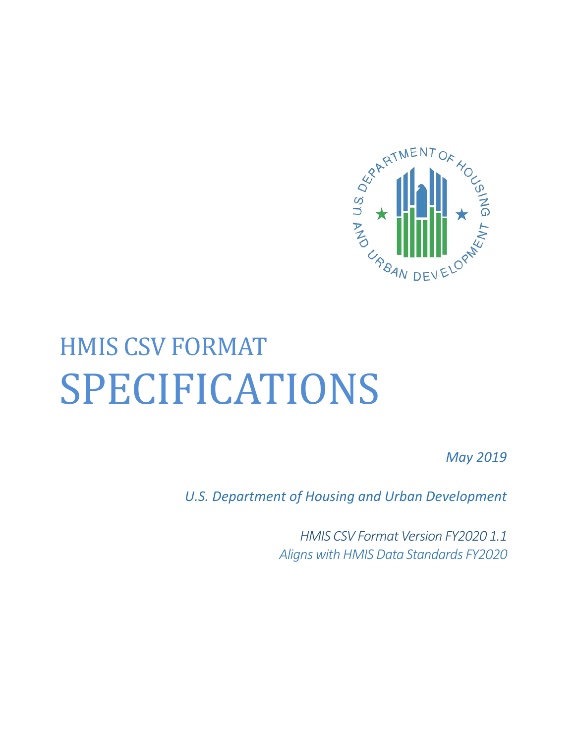

# HMIS CSV FORMAT SPECIFICATIONS

*May 2019*

*U.S. Department of Housing and Urban Development*

*HMIS CSV Format Version FY2020 1.1 Aligns with HMIS Data Standards FY2020*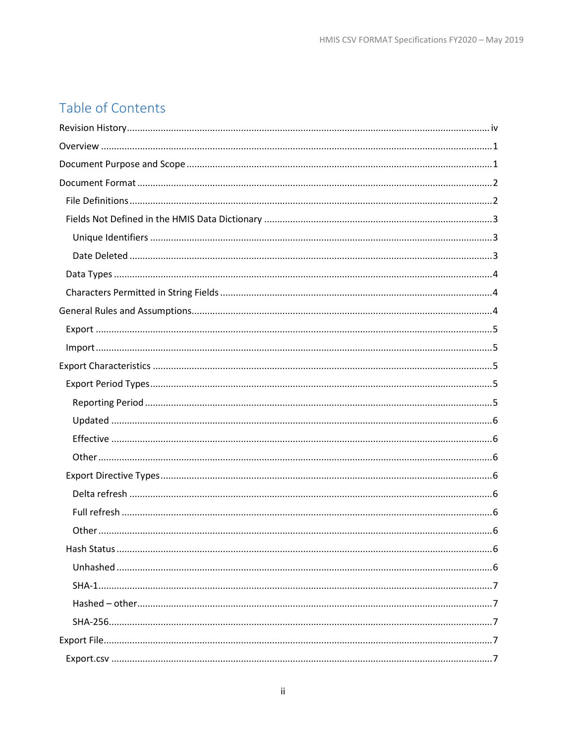# Table of Contents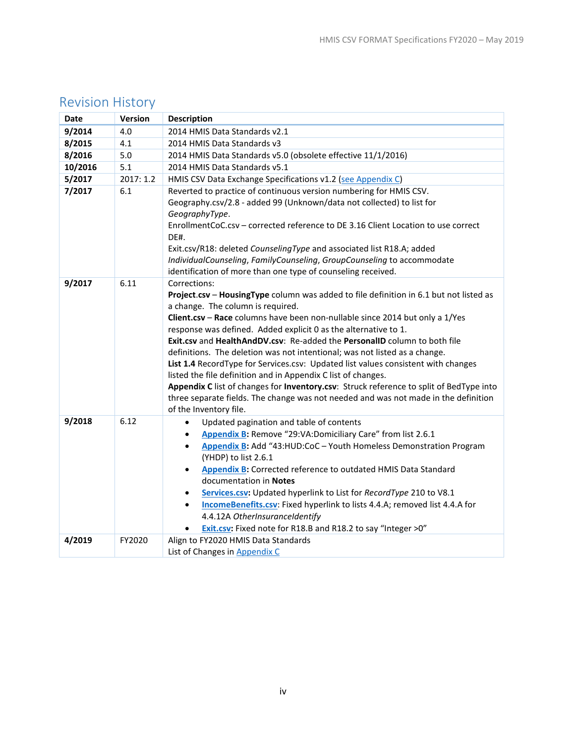| Date    | Version   | <b>Description</b>                                                                                                                                                                                                                                                                                                                                                                                                                                                                                                                                                                                                                                                                                                                                                                                                          |
|---------|-----------|-----------------------------------------------------------------------------------------------------------------------------------------------------------------------------------------------------------------------------------------------------------------------------------------------------------------------------------------------------------------------------------------------------------------------------------------------------------------------------------------------------------------------------------------------------------------------------------------------------------------------------------------------------------------------------------------------------------------------------------------------------------------------------------------------------------------------------|
| 9/2014  | 4.0       | 2014 HMIS Data Standards v2.1                                                                                                                                                                                                                                                                                                                                                                                                                                                                                                                                                                                                                                                                                                                                                                                               |
| 8/2015  | 4.1       | 2014 HMIS Data Standards v3                                                                                                                                                                                                                                                                                                                                                                                                                                                                                                                                                                                                                                                                                                                                                                                                 |
| 8/2016  | 5.0       | 2014 HMIS Data Standards v5.0 (obsolete effective 11/1/2016)                                                                                                                                                                                                                                                                                                                                                                                                                                                                                                                                                                                                                                                                                                                                                                |
| 10/2016 | 5.1       | 2014 HMIS Data Standards v5.1                                                                                                                                                                                                                                                                                                                                                                                                                                                                                                                                                                                                                                                                                                                                                                                               |
| 5/2017  | 2017: 1.2 | HMIS CSV Data Exchange Specifications v1.2 (see Appendix C)                                                                                                                                                                                                                                                                                                                                                                                                                                                                                                                                                                                                                                                                                                                                                                 |
| 7/2017  | 6.1       | Reverted to practice of continuous version numbering for HMIS CSV.<br>Geography.csv/2.8 - added 99 (Unknown/data not collected) to list for<br>GeographyType.<br>EnrollmentCoC.csv - corrected reference to DE 3.16 Client Location to use correct<br>DE#.<br>Exit.csv/R18: deleted CounselingType and associated list R18.A; added<br>IndividualCounseling, FamilyCounseling, GroupCounseling to accommodate<br>identification of more than one type of counseling received.                                                                                                                                                                                                                                                                                                                                               |
| 9/2017  | 6.11      | Corrections:<br>Project.csv - HousingType column was added to file definition in 6.1 but not listed as<br>a change. The column is required.<br>Client.csv - Race columns have been non-nullable since 2014 but only a 1/Yes<br>response was defined. Added explicit 0 as the alternative to 1.<br>Exit.csv and HealthAndDV.csv: Re-added the PersonalID column to both file<br>definitions. The deletion was not intentional; was not listed as a change.<br>List 1.4 RecordType for Services.csv: Updated list values consistent with changes<br>listed the file definition and in Appendix C list of changes.<br>Appendix C list of changes for Inventory.csv: Struck reference to split of BedType into<br>three separate fields. The change was not needed and was not made in the definition<br>of the Inventory file. |
| 9/2018  | 6.12      | Updated pagination and table of contents<br>$\bullet$<br>Appendix B: Remove "29:VA:Domiciliary Care" from list 2.6.1<br>$\bullet$<br>Appendix B: Add "43:HUD:CoC - Youth Homeless Demonstration Program<br>$\bullet$<br>(YHDP) to list 2.6.1<br>Appendix B: Corrected reference to outdated HMIS Data Standard<br>$\bullet$<br>documentation in Notes<br>Services.csv: Updated hyperlink to List for RecordType 210 to V8.1<br>$\bullet$<br>IncomeBenefits.csv: Fixed hyperlink to lists 4.4.A; removed list 4.4.A for<br>$\bullet$<br>4.4.12A OtherInsuranceIdentify<br>Exit.csv: Fixed note for R18.B and R18.2 to say "Integer >0"                                                                                                                                                                                       |
| 4/2019  | FY2020    | Align to FY2020 HMIS Data Standards<br>List of Changes in Appendix C                                                                                                                                                                                                                                                                                                                                                                                                                                                                                                                                                                                                                                                                                                                                                        |

# <span id="page-3-0"></span>Revision History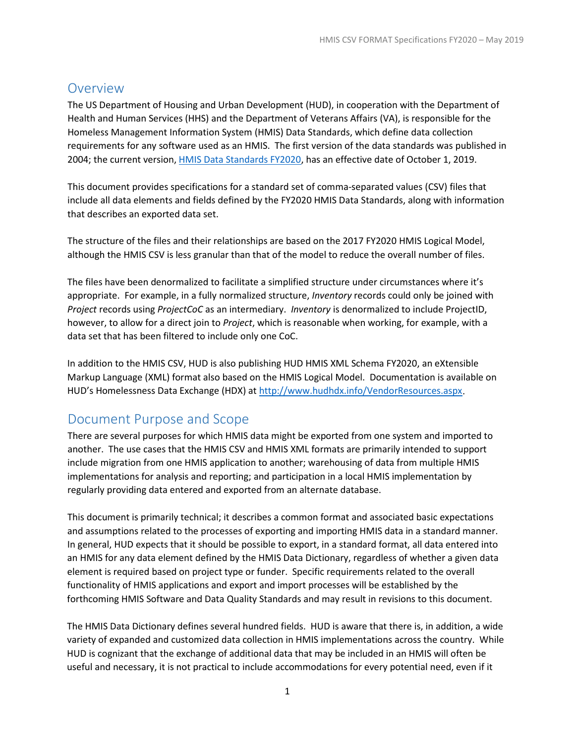# <span id="page-4-0"></span>Overview

The US Department of Housing and Urban Development (HUD), in cooperation with the Department of Health and Human Services (HHS) and the Department of Veterans Affairs (VA), is responsible for the Homeless Management Information System (HMIS) Data Standards, which define data collection requirements for any software used as an HMIS. The first version of the data standards was published in 2004; the current version[, HMIS Data Standards FY2020,](https://www.hudexchange.info/resource/3824/hmis-data-dictionary/) has an effective date of October 1, 2019.

This document provides specifications for a standard set of comma-separated values (CSV) files that include all data elements and fields defined by the FY2020 HMIS Data Standards, along with information that describes an exported data set.

The structure of the files and their relationships are based on the 2017 FY2020 HMIS Logical Model, although the HMIS CSV is less granular than that of the model to reduce the overall number of files.

The files have been denormalized to facilitate a simplified structure under circumstances where it's appropriate. For example, in a fully normalized structure, *Inventory* records could only be joined with *Project* records using *ProjectCoC* as an intermediary. *Inventory* is denormalized to include ProjectID, however, to allow for a direct join to *Project*, which is reasonable when working, for example, with a data set that has been filtered to include only one CoC.

In addition to the HMIS CSV, HUD is also publishing HUD HMIS XML Schema FY2020, an eXtensible Markup Language (XML) format also based on the HMIS Logical Model. Documentation is available on HUD's Homelessness Data Exchange (HDX) at [http://www.hudhdx.info/VendorResources.aspx.](http://www.hudhdx.info/VendorResources.aspx)

# <span id="page-4-1"></span>Document Purpose and Scope

There are several purposes for which HMIS data might be exported from one system and imported to another. The use cases that the HMIS CSV and HMIS XML formats are primarily intended to support include migration from one HMIS application to another; warehousing of data from multiple HMIS implementations for analysis and reporting; and participation in a local HMIS implementation by regularly providing data entered and exported from an alternate database.

This document is primarily technical; it describes a common format and associated basic expectations and assumptions related to the processes of exporting and importing HMIS data in a standard manner. In general, HUD expects that it should be possible to export, in a standard format, all data entered into an HMIS for any data element defined by the HMIS Data Dictionary, regardless of whether a given data element is required based on project type or funder. Specific requirements related to the overall functionality of HMIS applications and export and import processes will be established by the forthcoming HMIS Software and Data Quality Standards and may result in revisions to this document.

The HMIS Data Dictionary defines several hundred fields. HUD is aware that there is, in addition, a wide variety of expanded and customized data collection in HMIS implementations across the country. While HUD is cognizant that the exchange of additional data that may be included in an HMIS will often be useful and necessary, it is not practical to include accommodations for every potential need, even if it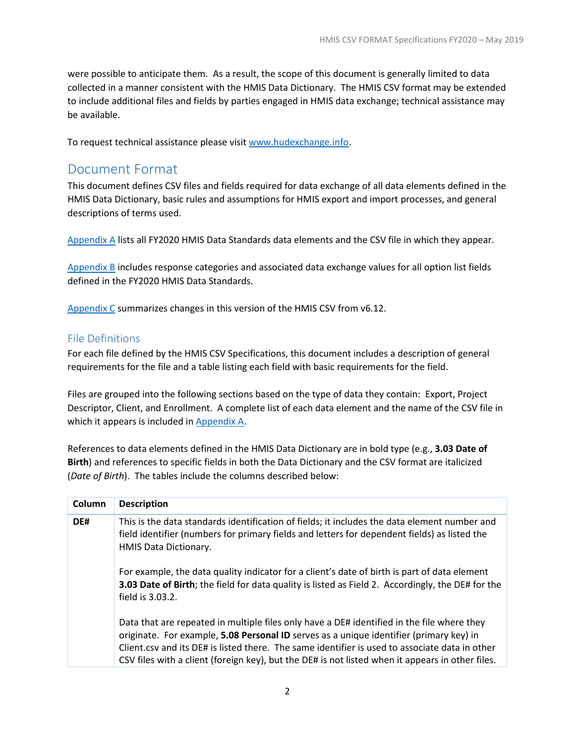were possible to anticipate them. As a result, the scope of this document is generally limited to data collected in a manner consistent with the HMIS Data Dictionary. The HMIS CSV format may be extended to include additional files and fields by parties engaged in HMIS data exchange; technical assistance may be available.

<span id="page-5-0"></span>To request technical assistance please visit [www.hudexchange.info.](http://www.hudexchange.info/)

# Document Format

This document defines CSV files and fields required for data exchange of all data elements defined in the HMIS Data Dictionary, basic rules and assumptions for HMIS export and import processes, and general descriptions of terms used.

[Appendix](#page-36-0) A lists all FY2020 HMIS Data Standards data elements and the CSV file in which they appear.

[Appendix](#page-38-0) B includes response categories and associated data exchange values for all option list fields defined in the FY2020 HMIS Data Standards.

[Appendix](#page-63-0) C summarizes changes in this version of the HMIS CSV from v6.12.

## <span id="page-5-1"></span>File Definitions

For each file defined by the HMIS CSV Specifications, this document includes a description of general requirements for the file and a table listing each field with basic requirements for the field.

Files are grouped into the following sections based on the type of data they contain: Export, Project Descriptor, Client, and Enrollment. A complete list of each data element and the name of the CSV file in which it appears is included in [Appendix](#page-36-0) A.

References to data elements defined in the HMIS Data Dictionary are in bold type (e.g., **3.03 Date of Birth**) and references to specific fields in both the Data Dictionary and the CSV format are italicized (*Date of Birth*). The tables include the columns described below:

| Column | <b>Description</b>                                                                                                                                                                                                                                                                                                                                                                          |
|--------|---------------------------------------------------------------------------------------------------------------------------------------------------------------------------------------------------------------------------------------------------------------------------------------------------------------------------------------------------------------------------------------------|
| DE#    | This is the data standards identification of fields; it includes the data element number and<br>field identifier (numbers for primary fields and letters for dependent fields) as listed the<br><b>HMIS Data Dictionary.</b>                                                                                                                                                                |
|        | For example, the data quality indicator for a client's date of birth is part of data element<br>3.03 Date of Birth; the field for data quality is listed as Field 2. Accordingly, the DE# for the<br>field is 3.03.2.                                                                                                                                                                       |
|        | Data that are repeated in multiple files only have a DE# identified in the file where they<br>originate. For example, 5.08 Personal ID serves as a unique identifier (primary key) in<br>Client.csv and its DE# is listed there. The same identifier is used to associate data in other<br>CSV files with a client (foreign key), but the DE# is not listed when it appears in other files. |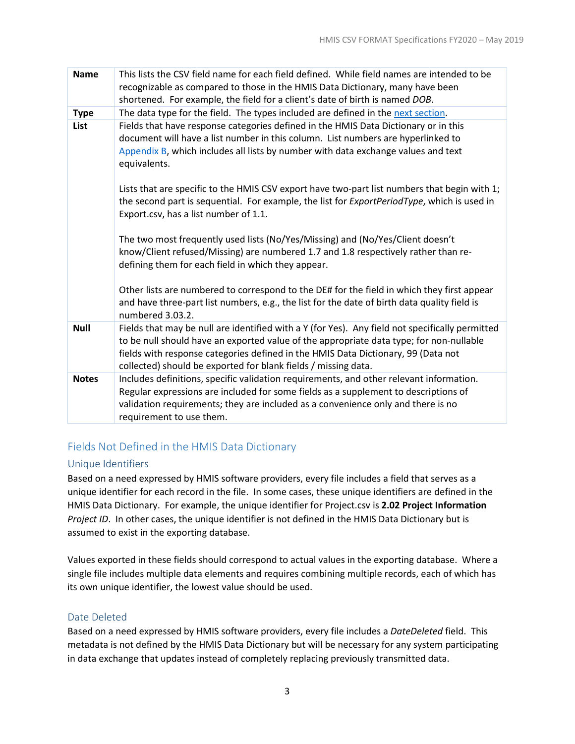| <b>Name</b>  | This lists the CSV field name for each field defined. While field names are intended to be<br>recognizable as compared to those in the HMIS Data Dictionary, many have been<br>shortened. For example, the field for a client's date of birth is named DOB.                                                                                       |
|--------------|---------------------------------------------------------------------------------------------------------------------------------------------------------------------------------------------------------------------------------------------------------------------------------------------------------------------------------------------------|
| <b>Type</b>  | The data type for the field. The types included are defined in the next section.                                                                                                                                                                                                                                                                  |
| List         | Fields that have response categories defined in the HMIS Data Dictionary or in this<br>document will have a list number in this column. List numbers are hyperlinked to<br>Appendix B, which includes all lists by number with data exchange values and text<br>equivalents.                                                                      |
|              | Lists that are specific to the HMIS CSV export have two-part list numbers that begin with 1;<br>the second part is sequential. For example, the list for ExportPeriodType, which is used in<br>Export.csv, has a list number of 1.1.                                                                                                              |
|              | The two most frequently used lists (No/Yes/Missing) and (No/Yes/Client doesn't<br>know/Client refused/Missing) are numbered 1.7 and 1.8 respectively rather than re-<br>defining them for each field in which they appear.                                                                                                                        |
|              | Other lists are numbered to correspond to the DE# for the field in which they first appear<br>and have three-part list numbers, e.g., the list for the date of birth data quality field is<br>numbered 3.03.2.                                                                                                                                    |
| <b>Null</b>  | Fields that may be null are identified with a Y (for Yes). Any field not specifically permitted<br>to be null should have an exported value of the appropriate data type; for non-nullable<br>fields with response categories defined in the HMIS Data Dictionary, 99 (Data not<br>collected) should be exported for blank fields / missing data. |
| <b>Notes</b> | Includes definitions, specific validation requirements, and other relevant information.<br>Regular expressions are included for some fields as a supplement to descriptions of<br>validation requirements; they are included as a convenience only and there is no<br>requirement to use them.                                                    |

# <span id="page-6-0"></span>Fields Not Defined in the HMIS Data Dictionary

#### <span id="page-6-1"></span>Unique Identifiers

Based on a need expressed by HMIS software providers, every file includes a field that serves as a unique identifier for each record in the file. In some cases, these unique identifiers are defined in the HMIS Data Dictionary. For example, the unique identifier for Project.csv is **2.02 Project Information** *Project ID*. In other cases, the unique identifier is not defined in the HMIS Data Dictionary but is assumed to exist in the exporting database.

Values exported in these fields should correspond to actual values in the exporting database. Where a single file includes multiple data elements and requires combining multiple records, each of which has its own unique identifier, the lowest value should be used.

#### <span id="page-6-2"></span>Date Deleted

Based on a need expressed by HMIS software providers, every file includes a *DateDeleted* field. This metadata is not defined by the HMIS Data Dictionary but will be necessary for any system participating in data exchange that updates instead of completely replacing previously transmitted data.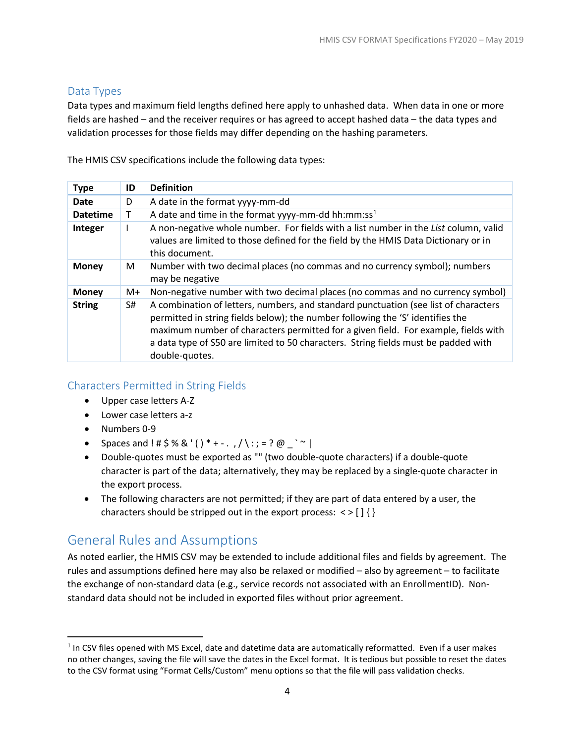# <span id="page-7-0"></span>Data Types

Data types and maximum field lengths defined here apply to unhashed data. When data in one or more fields are hashed – and the receiver requires or has agreed to accept hashed data – the data types and validation processes for those fields may differ depending on the hashing parameters.

The HMIS CSV specifications include the following data types:

| <b>Type</b>     | ID | <b>Definition</b>                                                                                                                                                                                                                                                                                                                                                   |
|-----------------|----|---------------------------------------------------------------------------------------------------------------------------------------------------------------------------------------------------------------------------------------------------------------------------------------------------------------------------------------------------------------------|
| <b>Date</b>     | D  | A date in the format yyyy-mm-dd                                                                                                                                                                                                                                                                                                                                     |
| <b>Datetime</b> | т  | A date and time in the format yyyy-mm-dd hh:mm:ss <sup>1</sup>                                                                                                                                                                                                                                                                                                      |
| Integer         |    | A non-negative whole number. For fields with a list number in the List column, valid<br>values are limited to those defined for the field by the HMIS Data Dictionary or in<br>this document.                                                                                                                                                                       |
| <b>Money</b>    | M  | Number with two decimal places (no commas and no currency symbol); numbers<br>may be negative                                                                                                                                                                                                                                                                       |
| <b>Money</b>    | M+ | Non-negative number with two decimal places (no commas and no currency symbol)                                                                                                                                                                                                                                                                                      |
| <b>String</b>   | S# | A combination of letters, numbers, and standard punctuation (see list of characters<br>permitted in string fields below); the number following the 'S' identifies the<br>maximum number of characters permitted for a given field. For example, fields with<br>a data type of S50 are limited to 50 characters. String fields must be padded with<br>double-quotes. |

# <span id="page-7-1"></span>Characters Permitted in String Fields

- Upper case letters A-Z
- Lower case letters a-z
- Numbers 0-9

l

- Spaces and ! #  $$\%$  & '() \* + . , / \ : ; = ? @ \_ ` ~ |
- Double-quotes must be exported as "" (two double-quote characters) if a double-quote character is part of the data; alternatively, they may be replaced by a single-quote character in the export process.
- The following characters are not permitted; if they are part of data entered by a user, the characters should be stripped out in the export process:  $\langle \rangle$  [ ] { }

# <span id="page-7-2"></span>General Rules and Assumptions

As noted earlier, the HMIS CSV may be extended to include additional files and fields by agreement. The rules and assumptions defined here may also be relaxed or modified – also by agreement – to facilitate the exchange of non-standard data (e.g., service records not associated with an EnrollmentID). Nonstandard data should not be included in exported files without prior agreement.

<span id="page-7-3"></span> $1$  In CSV files opened with MS Excel, date and datetime data are automatically reformatted. Even if a user makes no other changes, saving the file will save the dates in the Excel format. It is tedious but possible to reset the dates to the CSV format using "Format Cells/Custom" menu options so that the file will pass validation checks.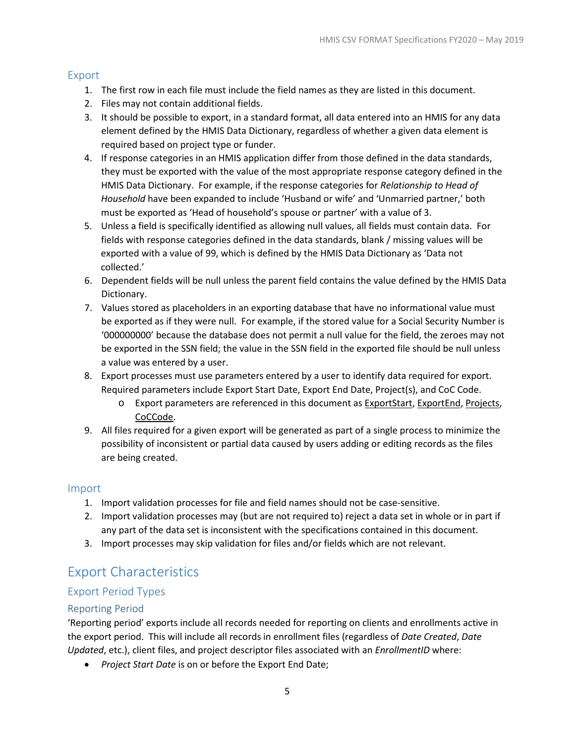#### <span id="page-8-0"></span>Export

- 1. The first row in each file must include the field names as they are listed in this document.
- 2. Files may not contain additional fields.
- 3. It should be possible to export, in a standard format, all data entered into an HMIS for any data element defined by the HMIS Data Dictionary, regardless of whether a given data element is required based on project type or funder.
- 4. If response categories in an HMIS application differ from those defined in the data standards, they must be exported with the value of the most appropriate response category defined in the HMIS Data Dictionary. For example, if the response categories for *Relationship to Head of Household* have been expanded to include 'Husband or wife' and 'Unmarried partner,' both must be exported as 'Head of household's spouse or partner' with a value of 3.
- 5. Unless a field is specifically identified as allowing null values, all fields must contain data. For fields with response categories defined in the data standards, blank / missing values will be exported with a value of 99, which is defined by the HMIS Data Dictionary as 'Data not collected.'
- 6. Dependent fields will be null unless the parent field contains the value defined by the HMIS Data Dictionary.
- 7. Values stored as placeholders in an exporting database that have no informational value must be exported as if they were null. For example, if the stored value for a Social Security Number is '000000000' because the database does not permit a null value for the field, the zeroes may not be exported in the SSN field; the value in the SSN field in the exported file should be null unless a value was entered by a user.
- 8. Export processes must use parameters entered by a user to identify data required for export. Required parameters include Export Start Date, Export End Date, Project(s), and CoC Code.
	- o Export parameters are referenced in this document as ExportStart, ExportEnd, Projects, CoCCode.
- 9. All files required for a given export will be generated as part of a single process to minimize the possibility of inconsistent or partial data caused by users adding or editing records as the files are being created.

#### <span id="page-8-1"></span>Import

- 1. Import validation processes for file and field names should not be case-sensitive.
- 2. Import validation processes may (but are not required to) reject a data set in whole or in part if any part of the data set is inconsistent with the specifications contained in this document.
- 3. Import processes may skip validation for files and/or fields which are not relevant.

# <span id="page-8-2"></span>Export Characteristics

# <span id="page-8-3"></span>Export Period Types

#### <span id="page-8-4"></span>Reporting Period

'Reporting period' exports include all records needed for reporting on clients and enrollments active in the export period. This will include all records in enrollment files (regardless of *Date Created*, *Date Updated*, etc.), client files, and project descriptor files associated with an *EnrollmentID* where:

• *Project Start Date* is on or before the Export End Date;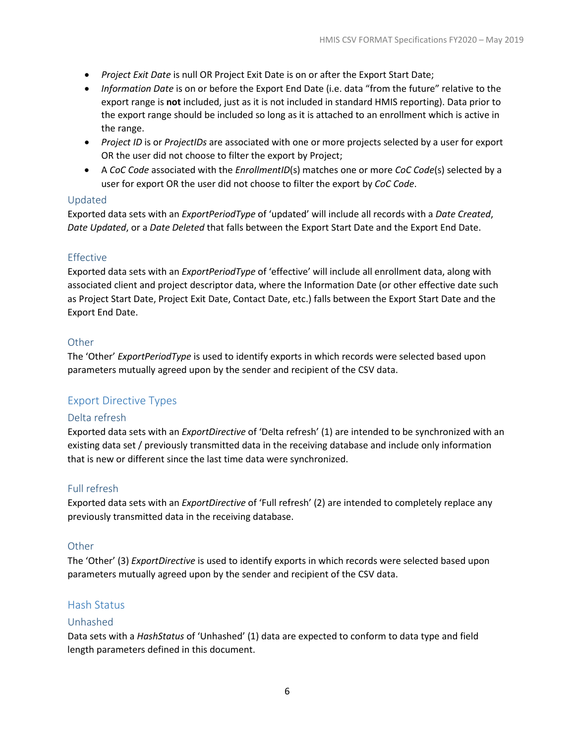- *Project Exit Date* is null OR Project Exit Date is on or after the Export Start Date;
- *Information Date* is on or before the Export End Date (i.e. data "from the future" relative to the export range is **not** included, just as it is not included in standard HMIS reporting). Data prior to the export range should be included so long as it is attached to an enrollment which is active in the range.
- *Project ID* is or *ProjectIDs* are associated with one or more projects selected by a user for export OR the user did not choose to filter the export by Project;
- A *CoC Code* associated with the *EnrollmentID*(s) matches one or more *CoC Code*(s) selected by a user for export OR the user did not choose to filter the export by *CoC Code*.

#### <span id="page-9-0"></span>Updated

Exported data sets with an *ExportPeriodType* of 'updated' will include all records with a *Date Created*, *Date Updated*, or a *Date Deleted* that falls between the Export Start Date and the Export End Date.

#### <span id="page-9-1"></span>Effective

Exported data sets with an *ExportPeriodType* of 'effective' will include all enrollment data, along with associated client and project descriptor data, where the Information Date (or other effective date such as Project Start Date, Project Exit Date, Contact Date, etc.) falls between the Export Start Date and the Export End Date.

#### <span id="page-9-2"></span>**Other**

The 'Other' *ExportPeriodType* is used to identify exports in which records were selected based upon parameters mutually agreed upon by the sender and recipient of the CSV data.

# <span id="page-9-3"></span>Export Directive Types

#### <span id="page-9-4"></span>Delta refresh

Exported data sets with an *ExportDirective* of 'Delta refresh' (1) are intended to be synchronized with an existing data set / previously transmitted data in the receiving database and include only information that is new or different since the last time data were synchronized.

#### <span id="page-9-5"></span>Full refresh

Exported data sets with an *ExportDirective* of 'Full refresh' (2) are intended to completely replace any previously transmitted data in the receiving database.

#### <span id="page-9-6"></span>**Other**

The 'Other' (3) *ExportDirective* is used to identify exports in which records were selected based upon parameters mutually agreed upon by the sender and recipient of the CSV data.

#### <span id="page-9-7"></span>Hash Status

#### <span id="page-9-8"></span>Unhashed

Data sets with a *HashStatus* of 'Unhashed' (1) data are expected to conform to data type and field length parameters defined in this document.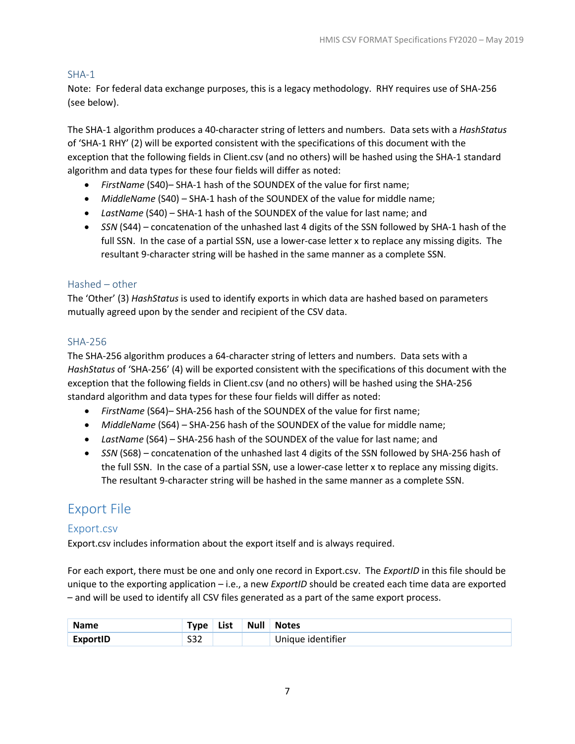#### <span id="page-10-0"></span>SHA-1

Note: For federal data exchange purposes, this is a legacy methodology. RHY requires use of SHA-256 (see below).

The SHA-1 algorithm produces a 40-character string of letters and numbers. Data sets with a *HashStatus* of 'SHA-1 RHY' (2) will be exported consistent with the specifications of this document with the exception that the following fields in Client.csv (and no others) will be hashed using the SHA-1 standard algorithm and data types for these four fields will differ as noted:

- *FirstName* (S40)– SHA-1 hash of the SOUNDEX of the value for first name;
- *MiddleName* (S40) SHA-1 hash of the SOUNDEX of the value for middle name;
- *LastName* (S40) SHA-1 hash of the SOUNDEX of the value for last name; and
- *SSN* (S44) concatenation of the unhashed last 4 digits of the SSN followed by SHA-1 hash of the full SSN. In the case of a partial SSN, use a lower-case letter x to replace any missing digits. The resultant 9-character string will be hashed in the same manner as a complete SSN.

#### <span id="page-10-1"></span>Hashed – other

The 'Other' (3) *HashStatus* is used to identify exports in which data are hashed based on parameters mutually agreed upon by the sender and recipient of the CSV data.

#### <span id="page-10-2"></span>SHA-256

The SHA-256 algorithm produces a 64-character string of letters and numbers. Data sets with a *HashStatus* of 'SHA-256' (4) will be exported consistent with the specifications of this document with the exception that the following fields in Client.csv (and no others) will be hashed using the SHA-256 standard algorithm and data types for these four fields will differ as noted:

- *FirstName* (S64)– SHA-256 hash of the SOUNDEX of the value for first name;
- *MiddleName* (S64) SHA-256 hash of the SOUNDEX of the value for middle name;
- *LastName* (S64) SHA-256 hash of the SOUNDEX of the value for last name; and
- *SSN* (S68) concatenation of the unhashed last 4 digits of the SSN followed by SHA-256 hash of the full SSN. In the case of a partial SSN, use a lower-case letter x to replace any missing digits. The resultant 9-character string will be hashed in the same manner as a complete SSN.

# <span id="page-10-3"></span>Export File

#### <span id="page-10-4"></span>Export.csv

Export.csv includes information about the export itself and is always required.

For each export, there must be one and only one record in Export.csv. The *ExportID* in this file should be unique to the exporting application – i.e., a new *ExportID* should be created each time data are exported – and will be used to identify all CSV files generated as a part of the same export process.

| <b>Name</b>     | Type i     | List | <b>Null</b> | <b>Notes</b>      |
|-----------------|------------|------|-------------|-------------------|
| <b>ExportID</b> | can<br>ےرت |      |             | Unique identifier |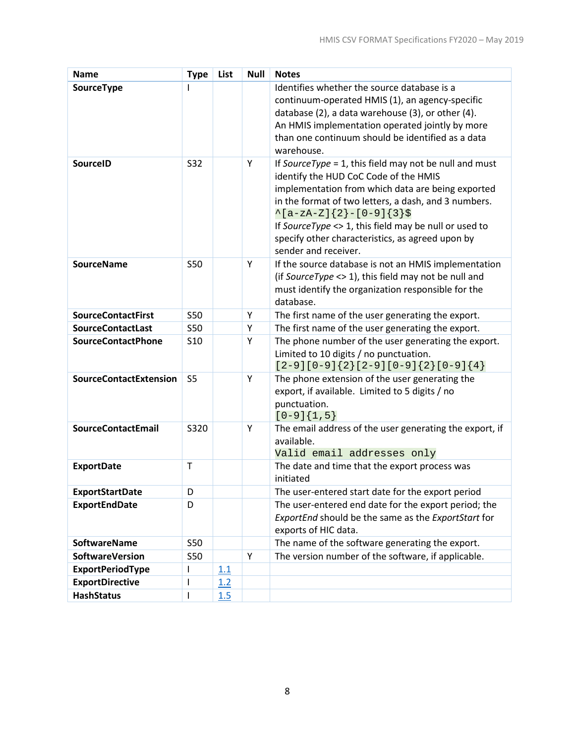| <b>Name</b>                   | <b>Type</b>                                                                                                                                                                                                                                                                                                                                                                      | List | <b>Null</b> | <b>Notes</b>                                                                                              |
|-------------------------------|----------------------------------------------------------------------------------------------------------------------------------------------------------------------------------------------------------------------------------------------------------------------------------------------------------------------------------------------------------------------------------|------|-------------|-----------------------------------------------------------------------------------------------------------|
| SourceType                    |                                                                                                                                                                                                                                                                                                                                                                                  |      |             | Identifies whether the source database is a                                                               |
|                               |                                                                                                                                                                                                                                                                                                                                                                                  |      |             | continuum-operated HMIS (1), an agency-specific                                                           |
|                               |                                                                                                                                                                                                                                                                                                                                                                                  |      |             | database (2), a data warehouse (3), or other (4).                                                         |
|                               |                                                                                                                                                                                                                                                                                                                                                                                  |      |             | An HMIS implementation operated jointly by more                                                           |
|                               |                                                                                                                                                                                                                                                                                                                                                                                  |      |             | than one continuum should be identified as a data                                                         |
|                               |                                                                                                                                                                                                                                                                                                                                                                                  |      |             | warehouse.                                                                                                |
| SourceID                      | S32                                                                                                                                                                                                                                                                                                                                                                              |      | Y           | If SourceType = 1, this field may not be null and must                                                    |
|                               |                                                                                                                                                                                                                                                                                                                                                                                  |      |             | identify the HUD CoC Code of the HMIS                                                                     |
|                               |                                                                                                                                                                                                                                                                                                                                                                                  |      |             | implementation from which data are being exported                                                         |
|                               |                                                                                                                                                                                                                                                                                                                                                                                  |      |             | in the format of two letters, a dash, and 3 numbers.                                                      |
|                               |                                                                                                                                                                                                                                                                                                                                                                                  |      |             | $\{a-zA-Z\}$ { 2 } - [0-9] { 3 } \$                                                                       |
|                               |                                                                                                                                                                                                                                                                                                                                                                                  |      |             | If SourceType <> 1, this field may be null or used to<br>specify other characteristics, as agreed upon by |
|                               |                                                                                                                                                                                                                                                                                                                                                                                  |      |             | sender and receiver.                                                                                      |
| <b>SourceName</b>             | <b>S50</b>                                                                                                                                                                                                                                                                                                                                                                       |      | Y           | If the source database is not an HMIS implementation                                                      |
|                               |                                                                                                                                                                                                                                                                                                                                                                                  |      |             | (if SourceType $\langle$ > 1), this field may not be null and                                             |
|                               |                                                                                                                                                                                                                                                                                                                                                                                  |      |             | must identify the organization responsible for the                                                        |
|                               |                                                                                                                                                                                                                                                                                                                                                                                  |      |             | database.                                                                                                 |
| <b>SourceContactFirst</b>     | <b>S50</b>                                                                                                                                                                                                                                                                                                                                                                       |      | Υ           | The first name of the user generating the export.                                                         |
| <b>SourceContactLast</b>      | <b>S50</b>                                                                                                                                                                                                                                                                                                                                                                       |      | Υ           | The first name of the user generating the export.                                                         |
| <b>SourceContactPhone</b>     | <b>S10</b>                                                                                                                                                                                                                                                                                                                                                                       |      | Υ           | The phone number of the user generating the export.                                                       |
|                               |                                                                                                                                                                                                                                                                                                                                                                                  |      |             | Limited to 10 digits / no punctuation.                                                                    |
|                               |                                                                                                                                                                                                                                                                                                                                                                                  |      |             | $[2-9][0-9]\{2\}[2-9][0-9]\{2\}[0-9]\{4\}$                                                                |
| <b>SourceContactExtension</b> | S <sub>5</sub>                                                                                                                                                                                                                                                                                                                                                                   |      | Υ           | The phone extension of the user generating the                                                            |
|                               |                                                                                                                                                                                                                                                                                                                                                                                  |      |             | export, if available. Limited to 5 digits / no                                                            |
|                               |                                                                                                                                                                                                                                                                                                                                                                                  |      |             | punctuation.                                                                                              |
|                               |                                                                                                                                                                                                                                                                                                                                                                                  |      |             | $[0-9]\{1,5\}$                                                                                            |
| <b>SourceContactEmail</b>     | S320                                                                                                                                                                                                                                                                                                                                                                             |      | Υ           | The email address of the user generating the export, if<br>available.                                     |
|                               |                                                                                                                                                                                                                                                                                                                                                                                  |      |             | Valid email addresses only                                                                                |
| <b>ExportDate</b>             | T                                                                                                                                                                                                                                                                                                                                                                                |      |             | The date and time that the export process was                                                             |
|                               |                                                                                                                                                                                                                                                                                                                                                                                  |      |             | initiated                                                                                                 |
| <b>ExportStartDate</b>        | D                                                                                                                                                                                                                                                                                                                                                                                |      |             | The user-entered start date for the export period                                                         |
| <b>ExportEndDate</b>          | D                                                                                                                                                                                                                                                                                                                                                                                |      |             | The user-entered end date for the export period; the                                                      |
|                               |                                                                                                                                                                                                                                                                                                                                                                                  |      |             | ExportEnd should be the same as the ExportStart for                                                       |
|                               |                                                                                                                                                                                                                                                                                                                                                                                  |      |             | exports of HIC data.                                                                                      |
| <b>SoftwareName</b>           | <b>S50</b>                                                                                                                                                                                                                                                                                                                                                                       |      |             | The name of the software generating the export.                                                           |
| <b>SoftwareVersion</b>        | <b>S50</b>                                                                                                                                                                                                                                                                                                                                                                       |      | Υ           | The version number of the software, if applicable.                                                        |
| <b>ExportPeriodType</b>       | I                                                                                                                                                                                                                                                                                                                                                                                | 1.1  |             |                                                                                                           |
| <b>ExportDirective</b>        | I                                                                                                                                                                                                                                                                                                                                                                                | 1.2  |             |                                                                                                           |
| <b>HashStatus</b>             | $\begin{array}{c} \rule{0pt}{2.5ex} \rule{0pt}{2.5ex} \rule{0pt}{2.5ex} \rule{0pt}{2.5ex} \rule{0pt}{2.5ex} \rule{0pt}{2.5ex} \rule{0pt}{2.5ex} \rule{0pt}{2.5ex} \rule{0pt}{2.5ex} \rule{0pt}{2.5ex} \rule{0pt}{2.5ex} \rule{0pt}{2.5ex} \rule{0pt}{2.5ex} \rule{0pt}{2.5ex} \rule{0pt}{2.5ex} \rule{0pt}{2.5ex} \rule{0pt}{2.5ex} \rule{0pt}{2.5ex} \rule{0pt}{2.5ex} \rule{0$ | 1.5  |             |                                                                                                           |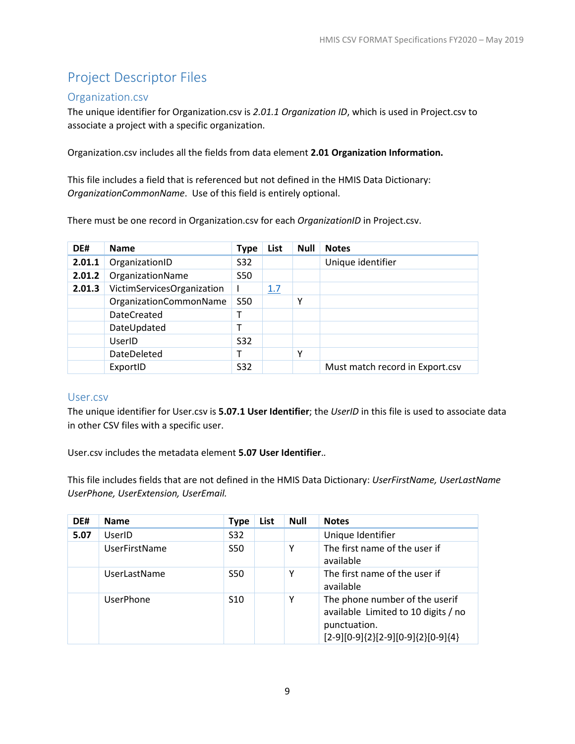# <span id="page-12-0"></span>Project Descriptor Files

#### <span id="page-12-1"></span>Organization.csv

The unique identifier for Organization.csv is *2.01.1 Organization ID*, which is used in Project.csv to associate a project with a specific organization.

Organization.csv includes all the fields from data element **2.01 Organization Information.**

This file includes a field that is referenced but not defined in the HMIS Data Dictionary: *OrganizationCommonName*. Use of this field is entirely optional.

There must be one record in Organization.csv for each *OrganizationID* in Project.csv.

| DE#    | <b>Name</b>                | <b>Type</b> | List | <b>Null</b> | <b>Notes</b>                    |
|--------|----------------------------|-------------|------|-------------|---------------------------------|
| 2.01.1 | OrganizationID             | <b>S32</b>  |      |             | Unique identifier               |
| 2.01.2 | OrganizationName           | <b>S50</b>  |      |             |                                 |
| 2.01.3 | VictimServicesOrganization |             | 1.7  |             |                                 |
|        | OrganizationCommonName     | <b>S50</b>  |      | Υ           |                                 |
|        | <b>DateCreated</b>         |             |      |             |                                 |
|        | DateUpdated                |             |      |             |                                 |
|        | UserID                     | <b>S32</b>  |      |             |                                 |
|        | DateDeleted                |             |      | Υ           |                                 |
|        | ExportID                   | S32         |      |             | Must match record in Export.csv |

#### <span id="page-12-2"></span>User.csv

The unique identifier for User.csv is **5.07.1 User Identifier**; the *UserID* in this file is used to associate data in other CSV files with a specific user.

User.csv includes the metadata element **5.07 User Identifier**.*.*

This file includes fields that are not defined in the HMIS Data Dictionary: *UserFirstName, UserLastName UserPhone, UserExtension, UserEmail.*

| DE#  | <b>Name</b>          | <b>Type</b>     | List | <b>Null</b> | <b>Notes</b>                                                                                                                        |
|------|----------------------|-----------------|------|-------------|-------------------------------------------------------------------------------------------------------------------------------------|
| 5.07 | UserID               | S32             |      |             | Unique Identifier                                                                                                                   |
|      | <b>UserFirstName</b> | <b>S50</b>      |      | Υ           | The first name of the user if<br>available                                                                                          |
|      | <b>UserLastName</b>  | S <sub>50</sub> |      | Υ           | The first name of the user if<br>available                                                                                          |
|      | <b>UserPhone</b>     | S <sub>10</sub> |      | Υ           | The phone number of the userif<br>available Limited to 10 digits / no<br>punctuation.<br>$[2-9][0-9]\{2\}[2-9][0-9]\{2\}[0-9]\{4\}$ |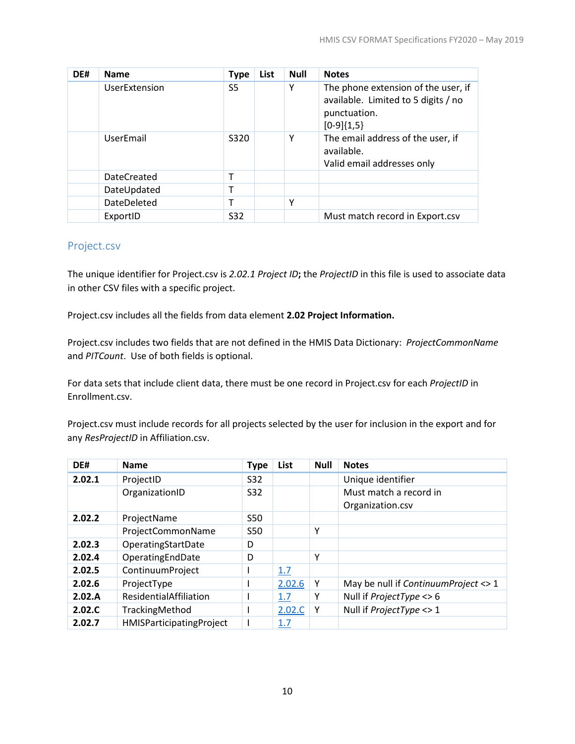| DE# | <b>Name</b>        | <b>Type</b> | List | <b>Null</b> | <b>Notes</b>                                                                                               |
|-----|--------------------|-------------|------|-------------|------------------------------------------------------------------------------------------------------------|
|     | UserExtension      | S5          |      | Y           | The phone extension of the user, if<br>available. Limited to 5 digits / no<br>punctuation.<br>$[0-9]{1,5}$ |
|     | UserEmail          | S320        |      | Υ           | The email address of the user, if<br>available.<br>Valid email addresses only                              |
|     | <b>DateCreated</b> |             |      |             |                                                                                                            |
|     | DateUpdated        |             |      |             |                                                                                                            |
|     | <b>DateDeleted</b> |             |      | Y           |                                                                                                            |
|     | ExportID           | S32         |      |             | Must match record in Export.csv                                                                            |

#### <span id="page-13-0"></span>Project.csv

The unique identifier for Project.csv is *2.02.1 Project ID***;** the *ProjectID* in this file is used to associate data in other CSV files with a specific project.

Project.csv includes all the fields from data element **2.02 Project Information.**

Project.csv includes two fields that are not defined in the HMIS Data Dictionary: *ProjectCommonName* and *PITCount*. Use of both fields is optional.

For data sets that include client data, there must be one record in Project.csv for each *ProjectID* in Enrollment.csv.

Project.csv must include records for all projects selected by the user for inclusion in the export and for any *ResProjectID* in Affiliation.csv.

| DE#    | <b>Name</b>              | <b>Type</b> | List   | <b>Null</b> | <b>Notes</b>                          |
|--------|--------------------------|-------------|--------|-------------|---------------------------------------|
| 2.02.1 | ProjectID                | S32         |        |             | Unique identifier                     |
|        | OrganizationID           | S32         |        |             | Must match a record in                |
|        |                          |             |        |             | Organization.csv                      |
| 2.02.2 | ProjectName              | <b>S50</b>  |        |             |                                       |
|        | ProjectCommonName        | <b>S50</b>  |        | Υ           |                                       |
| 2.02.3 | OperatingStartDate       | D           |        |             |                                       |
| 2.02.4 | OperatingEndDate         | D           |        | Υ           |                                       |
| 2.02.5 | ContinuumProject         |             | 1.7    |             |                                       |
| 2.02.6 | ProjectType              |             | 2.02.6 | Y           | May be null if Continuum Project <> 1 |
| 2.02.A | ResidentialAffiliation   |             | 1.7    | Υ           | Null if <i>ProjectType</i> <> 6       |
| 2.02.C | TrackingMethod           |             | 2.02.C | Υ           | Null if <i>ProjectType</i> <> 1       |
| 2.02.7 | HMISParticipatingProject |             | 1.7    |             |                                       |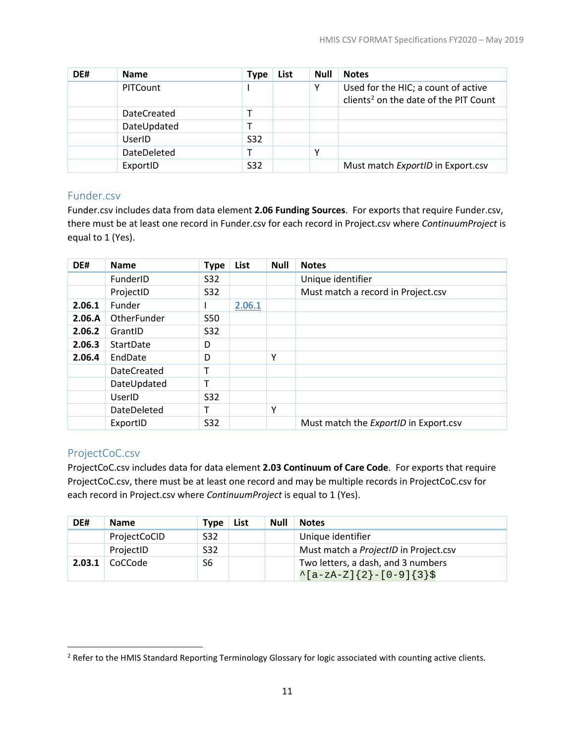| DE# | <b>Name</b>        | Type | List | <b>Null</b> | <b>Notes</b>                                                                             |
|-----|--------------------|------|------|-------------|------------------------------------------------------------------------------------------|
|     | PITCount           |      |      | Υ           | Used for the HIC; a count of active<br>clients <sup>2</sup> on the date of the PIT Count |
|     | <b>DateCreated</b> |      |      |             |                                                                                          |
|     | DateUpdated        |      |      |             |                                                                                          |
|     | UserID             | S32  |      |             |                                                                                          |
|     | DateDeleted        |      |      | Υ           |                                                                                          |
|     | ExportID           | S32  |      |             | Must match ExportID in Export.csv                                                        |

#### <span id="page-14-0"></span>Funder.csv

Funder.csv includes data from data element **2.06 Funding Sources**. For exports that require Funder.csv, there must be at least one record in Funder.csv for each record in Project.csv where *ContinuumProject* is equal to 1 (Yes).

| DE#    | <b>Name</b>        | <b>Type</b> | List   | <b>Null</b> | <b>Notes</b>                          |
|--------|--------------------|-------------|--------|-------------|---------------------------------------|
|        | <b>FunderID</b>    | S32         |        |             | Unique identifier                     |
|        | ProjectID          | S32         |        |             | Must match a record in Project.csv    |
| 2.06.1 | Funder             |             | 2.06.1 |             |                                       |
| 2.06.A | OtherFunder        | <b>S50</b>  |        |             |                                       |
| 2.06.2 | GrantID            | S32         |        |             |                                       |
| 2.06.3 | StartDate          | D           |        |             |                                       |
| 2.06.4 | EndDate            | D           |        | Υ           |                                       |
|        | <b>DateCreated</b> | т           |        |             |                                       |
|        | DateUpdated        | т           |        |             |                                       |
|        | UserID             | S32         |        |             |                                       |
|        | DateDeleted        |             |        | Υ           |                                       |
|        | ExportID           | <b>S32</b>  |        |             | Must match the ExportID in Export.csv |

#### <span id="page-14-1"></span>ProjectCoC.csv

l

ProjectCoC.csv includes data for data element **2.03 Continuum of Care Code**. For exports that require ProjectCoC.csv, there must be at least one record and may be multiple records in ProjectCoC.csv for each record in Project.csv where *ContinuumProject* is equal to 1 (Yes).

| DE#    | <b>Name</b>  | <b>Type</b> | List | <b>Null</b> | <b>Notes</b>                          |
|--------|--------------|-------------|------|-------------|---------------------------------------|
|        | ProjectCoCID | S32         |      |             | Unique identifier                     |
|        | ProjectID    | S32         |      |             | Must match a ProjectID in Project.csv |
| 2.03.1 | CoCCode      | S6          |      |             | Two letters, a dash, and 3 numbers    |
|        |              |             |      |             | $\{a-zA-Z\}$ {2}-[0-9]{3}\$           |

<span id="page-14-2"></span><sup>&</sup>lt;sup>2</sup> Refer to the HMIS Standard Reporting Terminology Glossary for logic associated with counting active clients.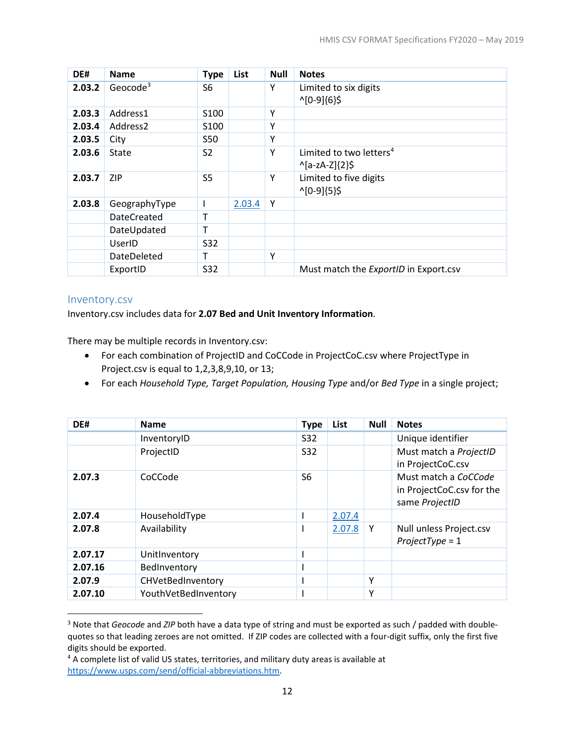| DE#    | <b>Name</b>        | <b>Type</b>      | List   | <b>Null</b> | <b>Notes</b>                          |
|--------|--------------------|------------------|--------|-------------|---------------------------------------|
| 2.03.2 | Geocode $3$        | S6               |        | Υ           | Limited to six digits                 |
|        |                    |                  |        |             | $^1[0-9]\{6\}$ \$                     |
| 2.03.3 | Address1           | S <sub>100</sub> |        | Υ           |                                       |
| 2.03.4 | Address2           | S <sub>100</sub> |        | Υ           |                                       |
| 2.03.5 | City               | <b>S50</b>       |        | Υ           |                                       |
| 2.03.6 | State              | S <sub>2</sub>   |        | Y           | Limited to two letters <sup>4</sup>   |
|        |                    |                  |        |             | $^{\wedge}$ [a-zA-Z]{2}\$             |
| 2.03.7 | <b>ZIP</b>         | S <sub>5</sub>   |        | Y           | Limited to five digits                |
|        |                    |                  |        |             | $^1[0-9]\{5\}$ \$                     |
| 2.03.8 | GeographyType      |                  | 2.03.4 | Υ           |                                       |
|        | <b>DateCreated</b> | т                |        |             |                                       |
|        | DateUpdated        | т                |        |             |                                       |
|        | UserID             | S32              |        |             |                                       |
|        | DateDeleted        | т                |        | Y           |                                       |
|        | ExportID           | S32              |        |             | Must match the ExportID in Export.csv |

#### <span id="page-15-0"></span>Inventory.csv

 $\overline{\phantom{a}}$ 

Inventory.csv includes data for **2.07 Bed and Unit Inventory Information**.

There may be multiple records in Inventory.csv:

- For each combination of ProjectID and CoCCode in ProjectCoC.csv where ProjectType in Project.csv is equal to 1,2,3,8,9,10, or 13;
- For each *Household Type, Target Population, Housing Type* and/or *Bed Type* in a single project;

| DE#     | <b>Name</b>          | <b>Type</b>    | List   | <b>Null</b> | <b>Notes</b>                                                        |
|---------|----------------------|----------------|--------|-------------|---------------------------------------------------------------------|
|         | InventoryID          | <b>S32</b>     |        |             | Unique identifier                                                   |
|         | ProjectID            | <b>S32</b>     |        |             | Must match a ProjectID<br>in ProjectCoC.csv                         |
| 2.07.3  | CoCCode              | S <sub>6</sub> |        |             | Must match a CoCCode<br>in ProjectCoC.csv for the<br>same ProjectID |
| 2.07.4  | HouseholdType        |                | 2.07.4 |             |                                                                     |
| 2.07.8  | Availability         |                | 2.07.8 | Y           | Null unless Project.csv<br>$ProjectType = 1$                        |
| 2.07.17 | UnitInventory        |                |        |             |                                                                     |
| 2.07.16 | BedInventory         |                |        |             |                                                                     |
| 2.07.9  | CHVetBedInventory    |                |        | Y           |                                                                     |
| 2.07.10 | YouthVetBedInventory |                |        | v           |                                                                     |

<span id="page-15-1"></span><sup>&</sup>lt;sup>3</sup> Note that *Geocode* and *ZIP* both have a data type of string and must be exported as such / padded with doublequotes so that leading zeroes are not omitted. If ZIP codes are collected with a four-digit suffix, only the first five digits should be exported.

<span id="page-15-2"></span><sup>&</sup>lt;sup>4</sup> A complete list of valid US states, territories, and military duty areas is available at [https://www.usps.com/send/official-abbreviations.htm.](https://www.usps.com/send/official-abbreviations.htm)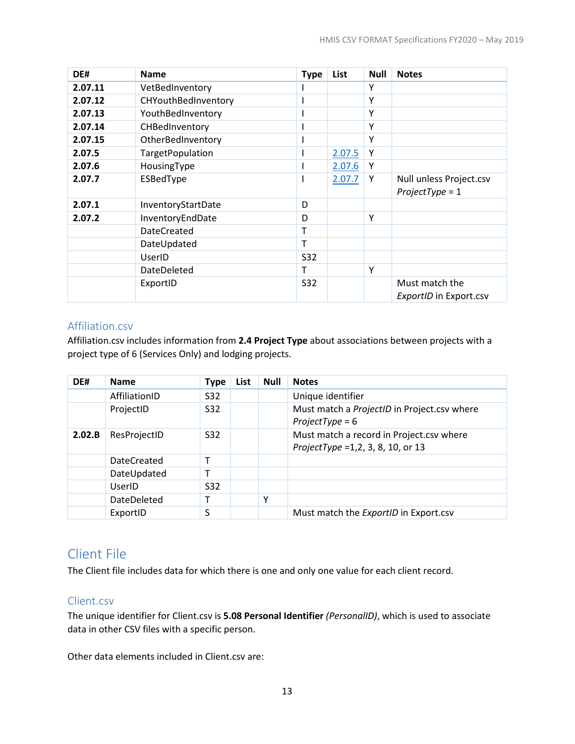| DE#     | <b>Name</b>             | <b>Type</b> | List   | Null | <b>Notes</b>                                 |
|---------|-------------------------|-------------|--------|------|----------------------------------------------|
| 2.07.11 | VetBedInventory         |             |        | Υ    |                                              |
| 2.07.12 | CHYouthBedInventory     | ш           |        | Y    |                                              |
| 2.07.13 | YouthBedInventory       |             |        | Υ    |                                              |
| 2.07.14 | CHBedInventory          |             |        | Υ    |                                              |
| 2.07.15 | OtherBedInventory       |             |        | Y    |                                              |
| 2.07.5  | <b>TargetPopulation</b> |             | 2.07.5 | Y    |                                              |
| 2.07.6  | HousingType             |             | 2.07.6 | Y    |                                              |
| 2.07.7  | ESBedType               | I           | 2.07.7 | Y    | Null unless Project.csv<br>$ProjectType = 1$ |
| 2.07.1  | InventoryStartDate      | D           |        |      |                                              |
| 2.07.2  | InventoryEndDate        | D           |        | Y    |                                              |
|         | <b>DateCreated</b>      | Т           |        |      |                                              |
|         | DateUpdated             | T           |        |      |                                              |
|         | UserID                  | S32         |        |      |                                              |
|         | <b>DateDeleted</b>      | т           |        | Y    |                                              |
|         | ExportID                | <b>S32</b>  |        |      | Must match the<br>ExportID in Export.csv     |

#### <span id="page-16-0"></span>Affiliation.csv

Affiliation.csv includes information from **2.4 Project Type** about associations between projects with a project type of 6 (Services Only) and lodging projects.

| DE#    | <b>Name</b>        | <b>Type</b>     | List | <b>Null</b> | <b>Notes</b>                                                                       |
|--------|--------------------|-----------------|------|-------------|------------------------------------------------------------------------------------|
|        | AffiliationID      | S32             |      |             | Unique identifier                                                                  |
|        | ProjectID          | S <sub>32</sub> |      |             | Must match a ProjectID in Project.csv where<br>$ProjectType = 6$                   |
| 2.02.B | ResProjectID       | S <sub>32</sub> |      |             | Must match a record in Project.csv where<br>ProjectType = $1, 2, 3, 8, 10$ , or 13 |
|        | <b>DateCreated</b> | т               |      |             |                                                                                    |
|        | DateUpdated        |                 |      |             |                                                                                    |
|        | UserID             | S <sub>32</sub> |      |             |                                                                                    |
|        | DateDeleted        |                 |      | v           |                                                                                    |
|        | ExportID           | S               |      |             | Must match the ExportID in Export.csv                                              |

# <span id="page-16-1"></span>Client File

The Client file includes data for which there is one and only one value for each client record.

# <span id="page-16-2"></span>Client.csv

The unique identifier for Client.csv is **5.08 Personal Identifier** *(PersonalID)*, which is used to associate data in other CSV files with a specific person.

Other data elements included in Client.csv are: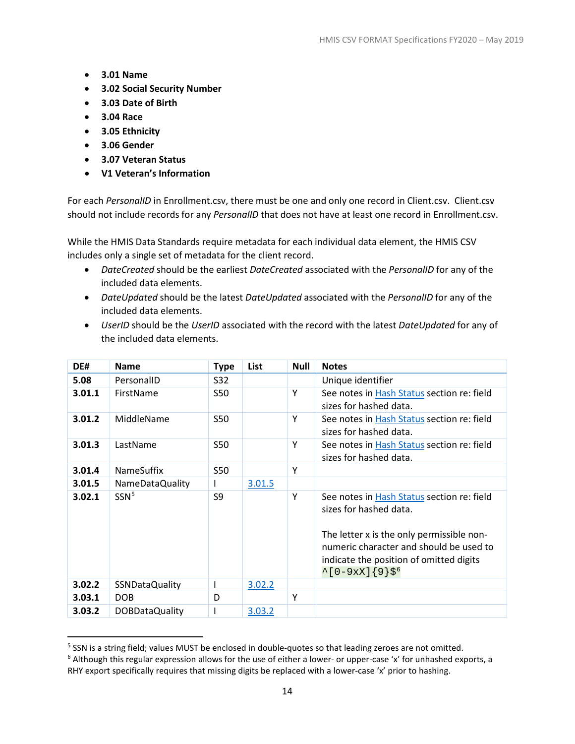- **3.01 Name**
- **3.02 Social Security Number**
- **3.03 Date of Birth**
- **3.04 Race**
- **3.05 Ethnicity**
- **3.06 Gender**

l

- **3.07 Veteran Status**
- **V1 Veteran's Information**

For each *PersonalID* in Enrollment.csv, there must be one and only one record in Client.csv. Client.csv should not include records for any *PersonalID* that does not have at least one record in Enrollment.csv.

While the HMIS Data Standards require metadata for each individual data element, the HMIS CSV includes only a single set of metadata for the client record.

- *DateCreated* should be the earliest *DateCreated* associated with the *PersonalID* for any of the included data elements.
- *DateUpdated* should be the latest *DateUpdated* associated with the *PersonalID* for any of the included data elements.
- *UserID* should be the *UserID* associated with the record with the latest *DateUpdated* for any of the included data elements.

| DE#    | <b>Name</b>           | <b>Type</b> | List   | <b>Null</b> | <b>Notes</b>                                                                                                                                                                                                                                     |
|--------|-----------------------|-------------|--------|-------------|--------------------------------------------------------------------------------------------------------------------------------------------------------------------------------------------------------------------------------------------------|
| 5.08   | PersonalID            | S32         |        |             | Unique identifier                                                                                                                                                                                                                                |
| 3.01.1 | FirstName             | S50         |        | Υ           | See notes in Hash Status section re: field<br>sizes for hashed data.                                                                                                                                                                             |
| 3.01.2 | MiddleName            | S50         |        | Y           | See notes in Hash Status section re: field<br>sizes for hashed data.                                                                                                                                                                             |
| 3.01.3 | LastName              | S50         |        | Y           | See notes in Hash Status section re: field<br>sizes for hashed data.                                                                                                                                                                             |
| 3.01.4 | <b>NameSuffix</b>     | <b>S50</b>  |        | Y           |                                                                                                                                                                                                                                                  |
| 3.01.5 | NameDataQuality       |             | 3.01.5 |             |                                                                                                                                                                                                                                                  |
| 3.02.1 | SSN <sup>5</sup>      | S9          |        | Y           | See notes in Hash Status section re: field<br>sizes for hashed data.<br>The letter x is the only permissible non-<br>numeric character and should be used to<br>indicate the position of omitted digits<br>$^{\wedge}[0-9xX]\{9\}\$ <sup>6</sup> |
| 3.02.2 | <b>SSNDataQuality</b> |             | 3.02.2 |             |                                                                                                                                                                                                                                                  |
| 3.03.1 | <b>DOB</b>            | D           |        | Y           |                                                                                                                                                                                                                                                  |
| 3.03.2 | DOBDataQuality        |             | 3.03.2 |             |                                                                                                                                                                                                                                                  |

<span id="page-17-0"></span><sup>&</sup>lt;sup>5</sup> SSN is a string field; values MUST be enclosed in double-quotes so that leading zeroes are not omitted.

<span id="page-17-1"></span> $6$  Although this regular expression allows for the use of either a lower- or upper-case 'x' for unhashed exports, a RHY export specifically requires that missing digits be replaced with a lower-case 'x' prior to hashing.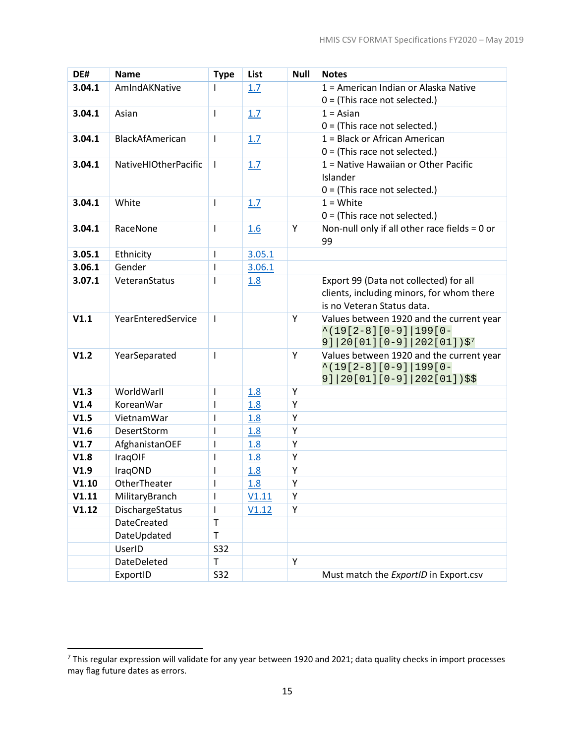| DE#    | <b>Name</b>          | <b>Type</b>  | List   | <b>Null</b> | <b>Notes</b>                                                                               |
|--------|----------------------|--------------|--------|-------------|--------------------------------------------------------------------------------------------|
| 3.04.1 | AmIndAKNative        | L            | 1.7    |             | 1 = American Indian or Alaska Native                                                       |
|        |                      |              |        |             | $0 =$ (This race not selected.)                                                            |
| 3.04.1 | Asian                | T            | 1.7    |             | $1 = Asian$                                                                                |
|        |                      |              |        |             | $0 =$ (This race not selected.)                                                            |
| 3.04.1 | BlackAfAmerican      | I            | 1.7    |             | 1 = Black or African American                                                              |
|        |                      |              |        |             | $0 =$ (This race not selected.)                                                            |
| 3.04.1 | NativeHIOtherPacific | $\mathbf{I}$ | 1.7    |             | 1 = Native Hawaiian or Other Pacific<br>Islander                                           |
|        |                      |              |        |             | $0 =$ (This race not selected.)                                                            |
| 3.04.1 | White                | T            | 1.7    |             | $1 = White$                                                                                |
|        |                      |              |        |             | $0 =$ (This race not selected.)                                                            |
| 3.04.1 | RaceNone             | T            | 1.6    | Y           | Non-null only if all other race fields = 0 or                                              |
|        |                      |              |        |             | 99                                                                                         |
| 3.05.1 | Ethnicity            | T            | 3.05.1 |             |                                                                                            |
| 3.06.1 | Gender               | T            | 3.06.1 |             |                                                                                            |
| 3.07.1 | VeteranStatus        | T            | 1.8    |             | Export 99 (Data not collected) for all                                                     |
|        |                      |              |        |             | clients, including minors, for whom there                                                  |
|        |                      |              |        |             | is no Veteran Status data.                                                                 |
| V1.1   | YearEnteredService   | $\mathbf{I}$ |        | Y           | Values between 1920 and the current year                                                   |
|        |                      |              |        |             | $\binom{19[2-8][0-9][199[0-1]}{2}$                                                         |
| V1.2   | YearSeparated        | T            |        | Y           | $9$ ]   20[01][0-9]   202[01]) \$ <sup>7</sup><br>Values between 1920 and the current year |
|        |                      |              |        |             | $\binom{19[2-8][0-9][199[0-1]}{2}$                                                         |
|        |                      |              |        |             | $9$ ] 20[01][0-9] 202[01])\$\$                                                             |
| V1.3   | WorldWarll           | T            | 1.8    | Y           |                                                                                            |
| V1.4   | KoreanWar            | T            | 1.8    | Y           |                                                                                            |
| V1.5   | VietnamWar           | I            | 1.8    | Υ           |                                                                                            |
| V1.6   | DesertStorm          | T            | 1.8    | Υ           |                                                                                            |
| V1.7   | AfghanistanOEF       | $\mathsf I$  | 1.8    | Y           |                                                                                            |
| V1.8   | <b>IraqOIF</b>       | I            | 1.8    | Υ           |                                                                                            |
| V1.9   | IraqOND              | I            | 1.8    | Υ           |                                                                                            |
| V1.10  | OtherTheater         | T            | 1.8    | Υ           |                                                                                            |
| V1.11  | MilitaryBranch       | ı            | V1.11  | Υ           |                                                                                            |
| V1.12  | DischargeStatus      | I            | V1.12  | Υ           |                                                                                            |
|        | <b>DateCreated</b>   | T            |        |             |                                                                                            |
|        | DateUpdated          | T            |        |             |                                                                                            |
|        | UserID               | S32          |        |             |                                                                                            |
|        | DateDeleted          | T            |        | Υ           |                                                                                            |
|        | ExportID             | S32          |        |             | Must match the ExportID in Export.csv                                                      |

 $\overline{\phantom{a}}$ 

<span id="page-18-0"></span> $^7$  This regular expression will validate for any year between 1920 and 2021; data quality checks in import processes may flag future dates as errors.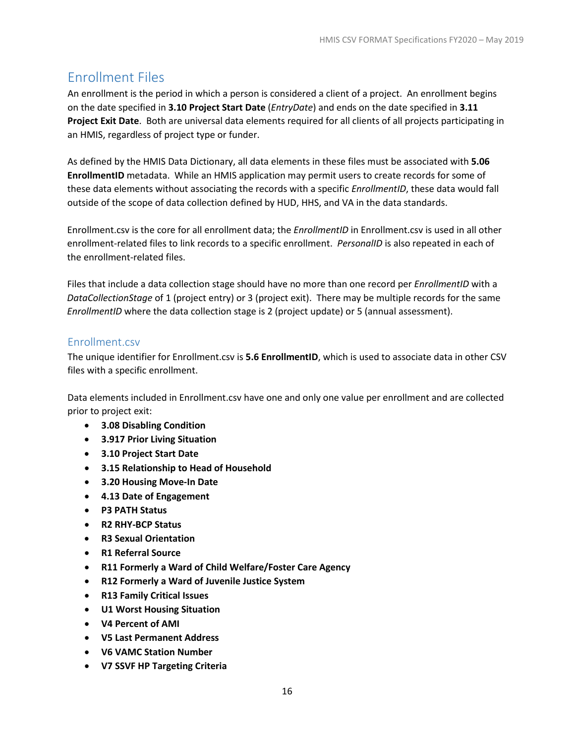# <span id="page-19-0"></span>Enrollment Files

An enrollment is the period in which a person is considered a client of a project. An enrollment begins on the date specified in **3.10 Project Start Date** (*EntryDate*) and ends on the date specified in **3.11 Project Exit Date**. Both are universal data elements required for all clients of all projects participating in an HMIS, regardless of project type or funder.

As defined by the HMIS Data Dictionary, all data elements in these files must be associated with **5.06 EnrollmentID** metadata. While an HMIS application may permit users to create records for some of these data elements without associating the records with a specific *EnrollmentID*, these data would fall outside of the scope of data collection defined by HUD, HHS, and VA in the data standards.

Enrollment.csv is the core for all enrollment data; the *EnrollmentID* in Enrollment.csv is used in all other enrollment-related files to link records to a specific enrollment. *PersonalID* is also repeated in each of the enrollment-related files.

Files that include a data collection stage should have no more than one record per *EnrollmentID* with a *DataCollectionStage* of 1 (project entry) or 3 (project exit). There may be multiple records for the same *EnrollmentID* where the data collection stage is 2 (project update) or 5 (annual assessment).

# <span id="page-19-1"></span>Enrollment.csv

The unique identifier for Enrollment.csv is **5.6 EnrollmentID**, which is used to associate data in other CSV files with a specific enrollment.

Data elements included in Enrollment.csv have one and only one value per enrollment and are collected prior to project exit:

- **3.08 Disabling Condition**
- **3.917 Prior Living Situation**
- **3.10 Project Start Date**
- **3.15 Relationship to Head of Household**
- **3.20 Housing Move-In Date**
- **4.13 Date of Engagement**
- **P3 PATH Status**
- **R2 RHY-BCP Status**
- **R3 Sexual Orientation**
- **R1 Referral Source**
- **R11 Formerly a Ward of Child Welfare/Foster Care Agency**
- **R12 Formerly a Ward of Juvenile Justice System**
- **R13 Family Critical Issues**
- **U1 Worst Housing Situation**
- **V4 Percent of AMI**
- **V5 Last Permanent Address**
- **V6 VAMC Station Number**
- **V7 SSVF HP Targeting Criteria**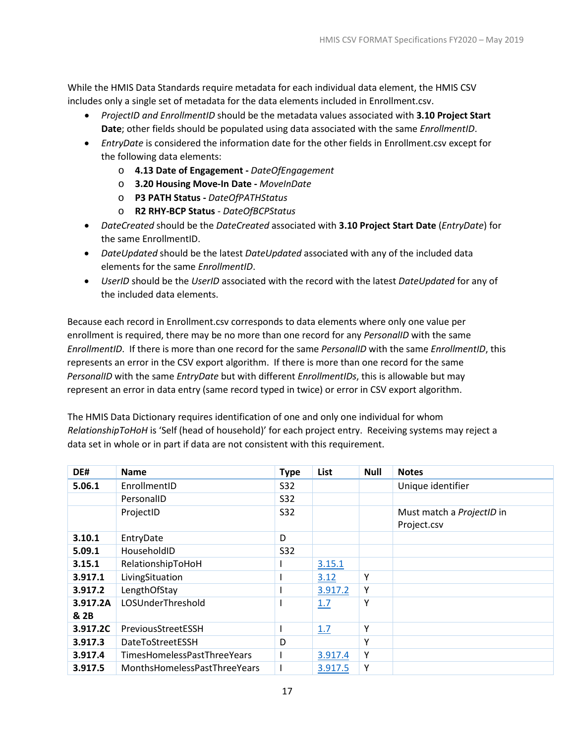While the HMIS Data Standards require metadata for each individual data element, the HMIS CSV includes only a single set of metadata for the data elements included in Enrollment.csv.

- *ProjectID and EnrollmentID* should be the metadata values associated with **3.10 Project Start Date**; other fields should be populated using data associated with the same *EnrollmentID*.
- *EntryDate* is considered the information date for the other fields in Enrollment.csv except for the following data elements:
	- o **4.13 Date of Engagement -** *DateOfEngagement*
	- o **3.20 Housing Move-In Date -** *MoveInDate*
	- o **P3 PATH Status -** *DateOfPATHStatus*
	- o **R2 RHY-BCP Status** *DateOfBCPStatus*
- *DateCreated* should be the *DateCreated* associated with **3.10 Project Start Date** (*EntryDate*) for the same EnrollmentID.
- *DateUpdated* should be the latest *DateUpdated* associated with any of the included data elements for the same *EnrollmentID*.
- *UserID* should be the *UserID* associated with the record with the latest *DateUpdated* for any of the included data elements.

Because each record in Enrollment.csv corresponds to data elements where only one value per enrollment is required, there may be no more than one record for any *PersonalID* with the same *EnrollmentID*. If there is more than one record for the same *PersonalID* with the same *EnrollmentID*, this represents an error in the CSV export algorithm. If there is more than one record for the same *PersonalID* with the same *EntryDate* but with different *EnrollmentIDs*, this is allowable but may represent an error in data entry (same record typed in twice) or error in CSV export algorithm.

The HMIS Data Dictionary requires identification of one and only one individual for whom *RelationshipToHoH* is 'Self (head of household)' for each project entry. Receiving systems may reject a data set in whole or in part if data are not consistent with this requirement.

| DE#              | <b>Name</b>                  | <b>Type</b> | List    | <b>Null</b> | <b>Notes</b>                             |
|------------------|------------------------------|-------------|---------|-------------|------------------------------------------|
| 5.06.1           | EnrollmentID                 | S32         |         |             | Unique identifier                        |
|                  | PersonalID                   | S32         |         |             |                                          |
|                  | ProjectID                    | S32         |         |             | Must match a ProjectID in<br>Project.csv |
| 3.10.1           | EntryDate                    | D           |         |             |                                          |
| 5.09.1           | HouseholdID                  | <b>S32</b>  |         |             |                                          |
| 3.15.1           | RelationshipToHoH            |             | 3.15.1  |             |                                          |
| 3.917.1          | LivingSituation              |             | 3.12    | Υ           |                                          |
| 3.917.2          | LengthOfStay                 |             | 3.917.2 | Υ           |                                          |
| 3.917.2A<br>& 2B | LOSUnderThreshold            |             | 1.7     | Υ           |                                          |
| 3.917.2C         | PreviousStreetESSH           |             | 1.7     | Υ           |                                          |
| 3.917.3          | <b>DateToStreetESSH</b>      | D           |         | Υ           |                                          |
| 3.917.4          | TimesHomelessPastThreeYears  |             | 3.917.4 | Υ           |                                          |
| 3.917.5          | MonthsHomelessPastThreeYears |             | 3.917.5 | Υ           |                                          |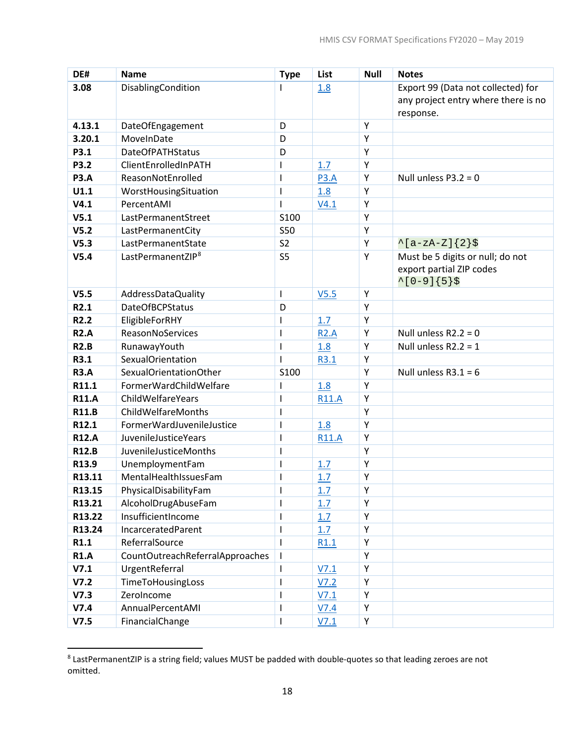| DE#                      | <b>Name</b>                              | <b>Type</b>                                                                                                                                                                                                                                                                                                                                                                                                    | List             | <b>Null</b> | <b>Notes</b>                        |
|--------------------------|------------------------------------------|----------------------------------------------------------------------------------------------------------------------------------------------------------------------------------------------------------------------------------------------------------------------------------------------------------------------------------------------------------------------------------------------------------------|------------------|-------------|-------------------------------------|
| 3.08                     | DisablingCondition                       |                                                                                                                                                                                                                                                                                                                                                                                                                | 1.8              |             | Export 99 (Data not collected) for  |
|                          |                                          |                                                                                                                                                                                                                                                                                                                                                                                                                |                  |             | any project entry where there is no |
|                          |                                          |                                                                                                                                                                                                                                                                                                                                                                                                                |                  |             | response.                           |
| 4.13.1                   | DateOfEngagement                         | D                                                                                                                                                                                                                                                                                                                                                                                                              |                  | Υ           |                                     |
| 3.20.1                   | MoveInDate                               | D                                                                                                                                                                                                                                                                                                                                                                                                              |                  | Υ           |                                     |
| P3.1                     | <b>DateOfPATHStatus</b>                  | D                                                                                                                                                                                                                                                                                                                                                                                                              |                  | Y           |                                     |
| P3.2                     | ClientEnrolledInPATH                     | L                                                                                                                                                                                                                                                                                                                                                                                                              | 1.7              | Υ           |                                     |
| <b>P3.A</b>              | ReasonNotEnrolled                        | T                                                                                                                                                                                                                                                                                                                                                                                                              | <b>P3.A</b>      | Υ           | Null unless $P3.2 = 0$              |
| U1.1                     | WorstHousingSituation                    |                                                                                                                                                                                                                                                                                                                                                                                                                | 1.8              | Υ           |                                     |
| V4.1                     | PercentAMI                               | T                                                                                                                                                                                                                                                                                                                                                                                                              | V4.1             | Υ           |                                     |
| V5.1                     | LastPermanentStreet                      | S100                                                                                                                                                                                                                                                                                                                                                                                                           |                  | Υ           |                                     |
| V <sub>5.2</sub>         | LastPermanentCity                        | <b>S50</b>                                                                                                                                                                                                                                                                                                                                                                                                     |                  | Υ           |                                     |
| V <sub>5.3</sub>         | LastPermanentState                       | S <sub>2</sub>                                                                                                                                                                                                                                                                                                                                                                                                 |                  | Υ           | $^{\wedge}$ [a-zA-Z]{2}\$           |
| V5.4                     | LastPermanentZIP <sup>8</sup>            | S <sub>5</sub>                                                                                                                                                                                                                                                                                                                                                                                                 |                  | Υ           | Must be 5 digits or null; do not    |
|                          |                                          |                                                                                                                                                                                                                                                                                                                                                                                                                |                  |             | export partial ZIP codes            |
|                          |                                          |                                                                                                                                                                                                                                                                                                                                                                                                                |                  |             | $^{\wedge}[0-9]\{5\}\$              |
| V5.5                     | AddressDataQuality                       | T                                                                                                                                                                                                                                                                                                                                                                                                              | V <sub>5.5</sub> | Υ           |                                     |
| R2.1<br>R <sub>2.2</sub> | <b>DateOfBCPStatus</b>                   | D                                                                                                                                                                                                                                                                                                                                                                                                              |                  | Y           |                                     |
|                          | EligibleForRHY                           |                                                                                                                                                                                                                                                                                                                                                                                                                | 1.7              | Υ           |                                     |
| <b>R2.A</b>              | ReasonNoServices                         | ı                                                                                                                                                                                                                                                                                                                                                                                                              | <b>R2.A</b>      | Υ           | Null unless $R2.2 = 0$              |
| <b>R2.B</b><br>R3.1      | RunawayYouth<br><b>SexualOrientation</b> | T                                                                                                                                                                                                                                                                                                                                                                                                              | 1.8              | Υ<br>Υ      | Null unless $R2.2 = 1$              |
| <b>R3.A</b>              | SexualOrientationOther                   | S100                                                                                                                                                                                                                                                                                                                                                                                                           | R3.1             | Y           | Null unless $R3.1 = 6$              |
| R11.1                    | FormerWardChildWelfare                   | ı                                                                                                                                                                                                                                                                                                                                                                                                              | 1.8              | Υ           |                                     |
| <b>R11.A</b>             | ChildWelfareYears                        |                                                                                                                                                                                                                                                                                                                                                                                                                | <b>R11.A</b>     | Υ           |                                     |
| <b>R11.B</b>             | ChildWelfareMonths                       |                                                                                                                                                                                                                                                                                                                                                                                                                |                  | Υ           |                                     |
| R12.1                    | FormerWardJuvenileJustice                |                                                                                                                                                                                                                                                                                                                                                                                                                | 1.8              | Υ           |                                     |
| <b>R12.A</b>             | <b>JuvenileJusticeYears</b>              | ı                                                                                                                                                                                                                                                                                                                                                                                                              | <b>R11.A</b>     | Υ           |                                     |
| <b>R12.B</b>             | JuvenileJusticeMonths                    |                                                                                                                                                                                                                                                                                                                                                                                                                |                  | Υ           |                                     |
| R13.9                    | UnemploymentFam                          |                                                                                                                                                                                                                                                                                                                                                                                                                | 1.7              | Υ           |                                     |
| R13.11                   | MentalHealthIssuesFam                    |                                                                                                                                                                                                                                                                                                                                                                                                                | 1.7              | Υ           |                                     |
| R13.15                   | PhysicalDisabilityFam                    | $\begin{array}{c} \rule{0pt}{2ex} \rule{0pt}{2ex} \rule{0pt}{2ex} \rule{0pt}{2ex} \rule{0pt}{2ex} \rule{0pt}{2ex} \rule{0pt}{2ex} \rule{0pt}{2ex} \rule{0pt}{2ex} \rule{0pt}{2ex} \rule{0pt}{2ex} \rule{0pt}{2ex} \rule{0pt}{2ex} \rule{0pt}{2ex} \rule{0pt}{2ex} \rule{0pt}{2ex} \rule{0pt}{2ex} \rule{0pt}{2ex} \rule{0pt}{2ex} \rule{0pt}{2ex} \rule{0pt}{2ex} \rule{0pt}{2ex} \rule{0pt}{2ex} \rule{0pt}{$ | 1.7              | Υ           |                                     |
| R13.21                   | AlcoholDrugAbuseFam                      |                                                                                                                                                                                                                                                                                                                                                                                                                | 1.7              | Υ           |                                     |
| R13.22                   | InsufficientIncome                       |                                                                                                                                                                                                                                                                                                                                                                                                                | 1.7              | Υ           |                                     |
| R13.24                   | IncarceratedParent                       |                                                                                                                                                                                                                                                                                                                                                                                                                | 1.7              | Υ           |                                     |
| R1.1                     | ReferralSource                           |                                                                                                                                                                                                                                                                                                                                                                                                                | R1.1             | Υ           |                                     |
| <b>R1.A</b>              | CountOutreachReferralApproaches          |                                                                                                                                                                                                                                                                                                                                                                                                                |                  | Υ           |                                     |
| V7.1                     | UrgentReferral                           |                                                                                                                                                                                                                                                                                                                                                                                                                | V7.1             | Υ           |                                     |
| V7.2                     | TimeToHousingLoss                        |                                                                                                                                                                                                                                                                                                                                                                                                                | V7.2             | Υ           |                                     |
| V7.3                     | ZeroIncome                               |                                                                                                                                                                                                                                                                                                                                                                                                                | V7.1             | Υ           |                                     |
| V7.4                     | AnnualPercentAMI                         |                                                                                                                                                                                                                                                                                                                                                                                                                | V7.4             | Υ           |                                     |
| V7.5                     | FinancialChange                          |                                                                                                                                                                                                                                                                                                                                                                                                                | V7.1             | Υ           |                                     |

<span id="page-21-0"></span><sup>&</sup>lt;sup>8</sup> LastPermanentZIP is a string field; values MUST be padded with double-quotes so that leading zeroes are not omitted.

 $\overline{\phantom{a}}$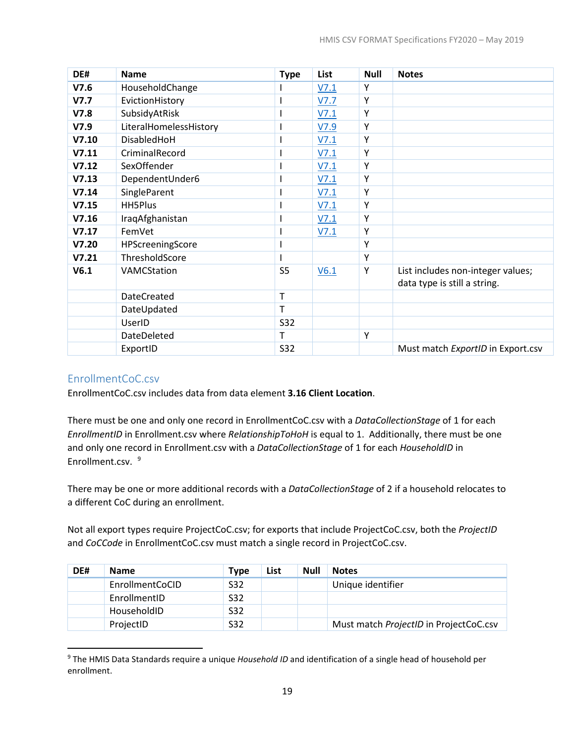| DE#   | <b>Name</b>            | <b>Type</b>    | List | <b>Null</b> | <b>Notes</b>                                                      |
|-------|------------------------|----------------|------|-------------|-------------------------------------------------------------------|
| V7.6  | HouseholdChange        |                | V7.1 | Y           |                                                                   |
| V7.7  | EvictionHistory        |                | V7.7 | Υ           |                                                                   |
| V7.8  | SubsidyAtRisk          |                | V7.1 | Y           |                                                                   |
| V7.9  | LiteralHomelessHistory |                | V7.9 | Υ           |                                                                   |
| V7.10 | DisabledHoH            |                | V7.1 | Υ           |                                                                   |
| V7.11 | CriminalRecord         |                | V7.1 | Y           |                                                                   |
| V7.12 | SexOffender            |                | V7.1 | Υ           |                                                                   |
| V7.13 | DependentUnder6        |                | V7.1 | Y           |                                                                   |
| V7.14 | SingleParent           |                | V7.1 | Y           |                                                                   |
| V7.15 | HH5Plus                |                | V7.1 | Υ           |                                                                   |
| V7.16 | IraqAfghanistan        |                | V7.1 | Υ           |                                                                   |
| V7.17 | FemVet                 |                | V7.1 | Y           |                                                                   |
| V7.20 | HPScreeningScore       |                |      | Y           |                                                                   |
| V7.21 | ThresholdScore         |                |      | Y           |                                                                   |
| V6.1  | VAMCStation            | S <sub>5</sub> | V6.1 | Υ           | List includes non-integer values;<br>data type is still a string. |
|       | <b>DateCreated</b>     | T              |      |             |                                                                   |
|       | DateUpdated            | т              |      |             |                                                                   |
|       | UserID                 | <b>S32</b>     |      |             |                                                                   |
|       | DateDeleted            | T.             |      | Y           |                                                                   |
|       | ExportID               | <b>S32</b>     |      |             | Must match ExportID in Export.csv                                 |

#### <span id="page-22-0"></span>EnrollmentCoC.csv

 $\overline{\phantom{a}}$ 

EnrollmentCoC.csv includes data from data element **3.16 Client Location**.

There must be one and only one record in EnrollmentCoC.csv with a *DataCollectionStage* of 1 for each *EnrollmentID* in Enrollment.csv where *RelationshipToHoH* is equal to 1. Additionally, there must be one and only one record in Enrollment.csv with a *DataCollectionStage* of 1 for each *HouseholdID* in Enrollment.csv. [9](#page-22-1)

There may be one or more additional records with a *DataCollectionStage* of 2 if a household relocates to a different CoC during an enrollment.

Not all export types require ProjectCoC.csv; for exports that include ProjectCoC.csv, both the *ProjectID* and *CoCCode* in EnrollmentCoC.csv must match a single record in ProjectCoC.csv.

| DE# | <b>Name</b>     | <b>Type</b> | List | <b>Null</b> | <b>Notes</b>                           |
|-----|-----------------|-------------|------|-------------|----------------------------------------|
|     | EnrollmentCoCID | S32         |      |             | Unique identifier                      |
|     | EnrollmentID    | S32         |      |             |                                        |
|     | HouseholdID     | S32         |      |             |                                        |
|     | ProjectID       | S32         |      |             | Must match ProjectID in ProjectCoC.csv |

<span id="page-22-1"></span><sup>9</sup> The HMIS Data Standards require a unique *Household ID* and identification of a single head of household per enrollment.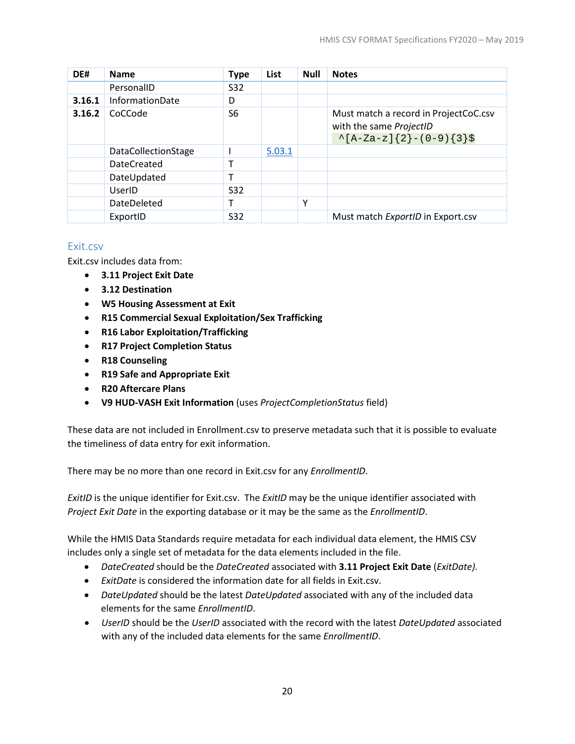| DE#    | <b>Name</b>                | <b>Type</b>    | List   | <b>Null</b> | <b>Notes</b>                                                                                    |
|--------|----------------------------|----------------|--------|-------------|-------------------------------------------------------------------------------------------------|
|        | PersonalID                 | S32            |        |             |                                                                                                 |
| 3.16.1 | <b>InformationDate</b>     | D              |        |             |                                                                                                 |
| 3.16.2 | CoCCode                    | S <sub>6</sub> |        |             | Must match a record in ProjectCoC.csv<br>with the same ProjectID<br>$\{A-Za-z\}$ {2}-(0-9){3}\$ |
|        | <b>DataCollectionStage</b> |                | 5.03.1 |             |                                                                                                 |
|        | <b>DateCreated</b>         |                |        |             |                                                                                                 |
|        | DateUpdated                |                |        |             |                                                                                                 |
|        | UserID                     | S32            |        |             |                                                                                                 |
|        | DateDeleted                | т              |        | Υ           |                                                                                                 |
|        | ExportID                   | <b>S32</b>     |        |             | Must match ExportID in Export.csv                                                               |

#### <span id="page-23-0"></span>Exit.csv

Exit.csv includes data from:

- **3.11 Project Exit Date**
- **3.12 Destination**
- **W5 Housing Assessment at Exit**
- **R15 Commercial Sexual Exploitation/Sex Trafficking**
- **R16 Labor Exploitation/Trafficking**
- **R17 Project Completion Status**
- **R18 Counseling**
- **R19 Safe and Appropriate Exit**
- **R20 Aftercare Plans**
- **V9 HUD-VASH Exit Information** (uses *ProjectCompletionStatus* field)

These data are not included in Enrollment.csv to preserve metadata such that it is possible to evaluate the timeliness of data entry for exit information.

There may be no more than one record in Exit.csv for any *EnrollmentID*.

*ExitID* is the unique identifier for Exit.csv. The *ExitID* may be the unique identifier associated with *Project Exit Date* in the exporting database or it may be the same as the *EnrollmentID*.

While the HMIS Data Standards require metadata for each individual data element, the HMIS CSV includes only a single set of metadata for the data elements included in the file.

- *DateCreated* should be the *DateCreated* associated with **3.11 Project Exit Date** (*ExitDate).*
- *ExitDate* is considered the information date for all fields in Exit.csv.
- *DateUpdated* should be the latest *DateUpdated* associated with any of the included data elements for the same *EnrollmentID*.
- *UserID* should be the *UserID* associated with the record with the latest *DateUpdated* associated with any of the included data elements for the same *EnrollmentID*.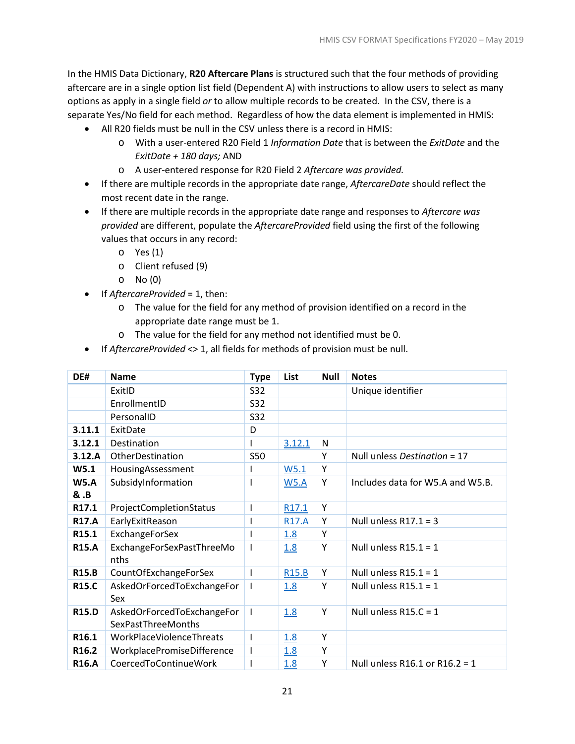In the HMIS Data Dictionary, **R20 Aftercare Plans** is structured such that the four methods of providing aftercare are in a single option list field (Dependent A) with instructions to allow users to select as many options as apply in a single field *or* to allow multiple records to be created. In the CSV, there is a separate Yes/No field for each method. Regardless of how the data element is implemented in HMIS:

- All R20 fields must be null in the CSV unless there is a record in HMIS:
	- o With a user-entered R20 Field 1 *Information Date* that is between the *ExitDate* and the *ExitDate + 180 days;* AND
	- o A user-entered response for R20 Field 2 *Aftercare was provided.*
- If there are multiple records in the appropriate date range, *AftercareDate* should reflect the most recent date in the range.
- If there are multiple records in the appropriate date range and responses to *Aftercare was provided* are different, populate the *AftercareProvided* field using the first of the following values that occurs in any record:
	- o Yes (1)
	- o Client refused (9)
	- o No (0)
- If *AftercareProvided* = 1, then:
	- o The value for the field for any method of provision identified on a record in the appropriate date range must be 1.
	- o The value for the field for any method not identified must be 0.
- If *AftercareProvided* <> 1, all fields for methods of provision must be null.

| DE#               | <b>Name</b>                                             | <b>Type</b>  | List              | <b>Null</b> | <b>Notes</b>                     |
|-------------------|---------------------------------------------------------|--------------|-------------------|-------------|----------------------------------|
|                   | ExitID                                                  | S32          |                   |             | Unique identifier                |
|                   | EnrollmentID                                            | S32          |                   |             |                                  |
|                   | PersonalID                                              | S32          |                   |             |                                  |
| 3.11.1            | ExitDate                                                | D            |                   |             |                                  |
| 3.12.1            | Destination                                             | T            | 3.12.1            | N           |                                  |
| 3.12.A            | OtherDestination                                        | <b>S50</b>   |                   | Υ           | Null unless Destination = 17     |
| W5.1              | HousingAssessment                                       |              | W5.1              | Y           |                                  |
| <b>W5.A</b>       | SubsidyInformation                                      | ı            | <b>W5.A</b>       | Y           | Includes data for W5.A and W5.B. |
| <b>&amp; .B</b>   |                                                         |              |                   |             |                                  |
| R <sub>17.1</sub> | ProjectCompletionStatus                                 | I            | R17.1             | Y           |                                  |
| <b>R17.A</b>      | EarlyExitReason                                         |              | <b>R17.A</b>      | Υ           | Null unless $R17.1 = 3$          |
| R <sub>15.1</sub> | <b>ExchangeForSex</b>                                   |              | 1.8               | Y           |                                  |
| <b>R15.A</b>      | ExchangeForSexPastThreeMo<br>nths                       | $\mathbf{I}$ | 1.8               | Υ           | Null unless $R15.1 = 1$          |
| <b>R15.B</b>      | CountOfExchangeForSex                                   | T            | R <sub>15.B</sub> | Y           | Null unless $R15.1 = 1$          |
| <b>R15.C</b>      | AskedOrForcedToExchangeFor<br>Sex                       | T            | 1.8               | Υ           | Null unless $R15.1 = 1$          |
| <b>R15.D</b>      | AskedOrForcedToExchangeFor<br><b>SexPastThreeMonths</b> | $\mathsf{I}$ | 1.8               | Y           | Null unless $R15.C = 1$          |
| R <sub>16.1</sub> | WorkPlaceViolenceThreats                                | T            | 1.8               | Υ           |                                  |
| R <sub>16.2</sub> | WorkplacePromiseDifference                              | $\mathbf{I}$ | 1.8               | Y           |                                  |
| <b>R16.A</b>      | CoercedToContinueWork                                   | ı            | <u>1.8</u>        | Υ           | Null unless R16.1 or R16.2 = 1   |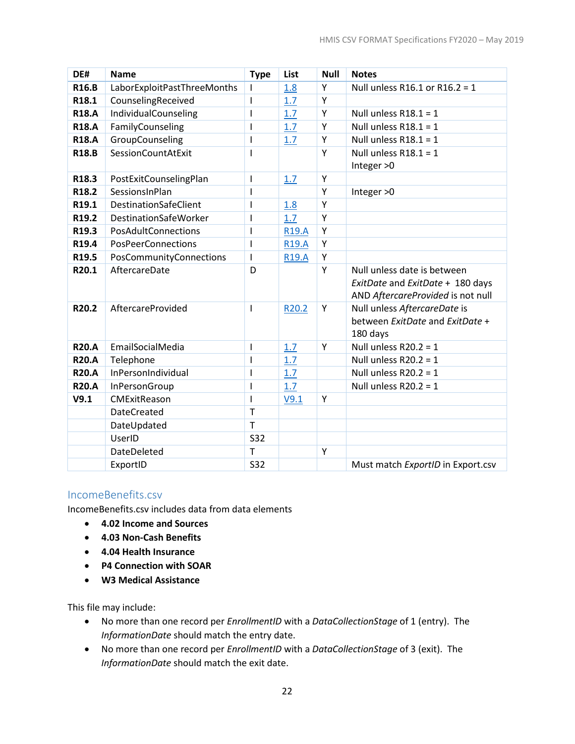| DE#               | <b>Name</b>                  | <b>Type</b>  | List         | <b>Null</b> | <b>Notes</b>                                                                                         |
|-------------------|------------------------------|--------------|--------------|-------------|------------------------------------------------------------------------------------------------------|
| <b>R16.B</b>      | LaborExploitPastThreeMonths  |              | 1.8          | Y           | Null unless R16.1 or R16.2 = 1                                                                       |
| R18.1             | CounselingReceived           | I            | 1.7          | Y           |                                                                                                      |
| <b>R18.A</b>      | IndividualCounseling         | T            | 1.7          | Υ           | Null unless $R18.1 = 1$                                                                              |
| <b>R18.A</b>      | FamilyCounseling             | $\mathsf I$  | 1.7          | Υ           | Null unless $R18.1 = 1$                                                                              |
| <b>R18.A</b>      | GroupCounseling              | T            | 1.7          | Y           | Null unless $R18.1 = 1$                                                                              |
| <b>R18.B</b>      | SessionCountAtExit           | T            |              | Y           | Null unless $R18.1 = 1$<br>Integer > 0                                                               |
| R <sub>18.3</sub> | PostExitCounselingPlan       | T            | 1.7          | Υ           |                                                                                                      |
| R18.2             | SessionsInPlan               | I            |              | Y           | Integer > 0                                                                                          |
| R19.1             | DestinationSafeClient        | I            | 1.8          | Y           |                                                                                                      |
| R <sub>19.2</sub> | <b>DestinationSafeWorker</b> | I            | 1.7          | Y           |                                                                                                      |
| R19.3             | PosAdultConnections          | $\mathsf{l}$ | <b>R19.A</b> | Y           |                                                                                                      |
| R19.4             | PosPeerConnections           | T            | <b>R19.A</b> | Υ           |                                                                                                      |
| R19.5             | PosCommunityConnections      | I            | <b>R19.A</b> | Υ           |                                                                                                      |
| R20.1             | AftercareDate                | D            |              | Y           | Null unless date is between<br>ExitDate and ExitDate + 180 days<br>AND AftercareProvided is not null |
| R20.2             | <b>AftercareProvided</b>     | T            | R20.2        | Y           | Null unless AftercareDate is<br>between ExitDate and ExitDate +<br>180 days                          |
| <b>R20.A</b>      | EmailSocialMedia             | T            | 1.7          | Y           | Null unless $R20.2 = 1$                                                                              |
| <b>R20.A</b>      | Telephone                    | T            | 1.7          |             | Null unless $R20.2 = 1$                                                                              |
| <b>R20.A</b>      | InPersonIndividual           | T            | 1.7          |             | Null unless $R20.2 = 1$                                                                              |
| <b>R20.A</b>      | InPersonGroup                | I            | 1.7          |             | Null unless $R20.2 = 1$                                                                              |
| V9.1              | CMExitReason                 | T            | V9.1         | Y           |                                                                                                      |
|                   | <b>DateCreated</b>           | $\mathsf{T}$ |              |             |                                                                                                      |
|                   | DateUpdated                  | $\mathsf{T}$ |              |             |                                                                                                      |
|                   | UserID                       | <b>S32</b>   |              |             |                                                                                                      |
|                   | DateDeleted                  | $\mathsf{T}$ |              | Y           |                                                                                                      |
|                   | ExportID                     | <b>S32</b>   |              |             | Must match ExportID in Export.csv                                                                    |

#### <span id="page-25-0"></span>IncomeBenefits.csv

IncomeBenefits.csv includes data from data elements

- **4.02 Income and Sources**
- **4.03 Non-Cash Benefits**
- **4.04 Health Insurance**
- **P4 Connection with SOAR**
- **W3 Medical Assistance**

This file may include:

- No more than one record per *EnrollmentID* with a *DataCollectionStage* of 1 (entry). The *InformationDate* should match the entry date.
- No more than one record per *EnrollmentID* with a *DataCollectionStage* of 3 (exit). The *InformationDate* should match the exit date.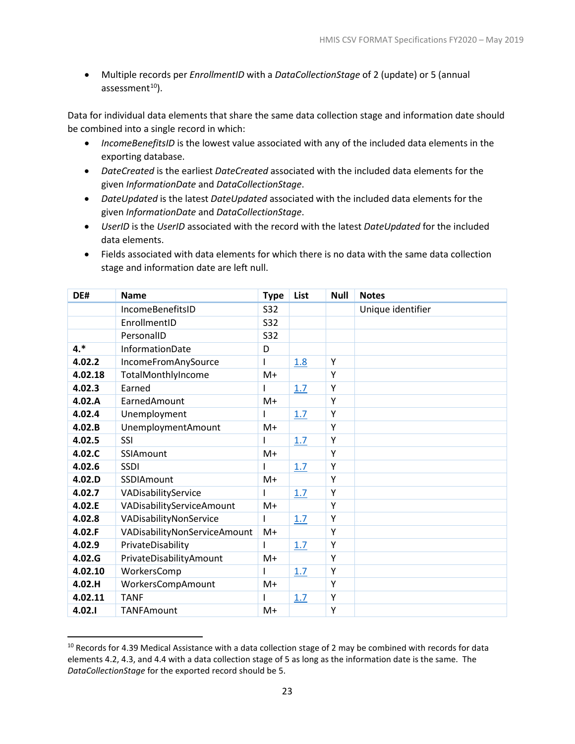• Multiple records per *EnrollmentID* with a *DataCollectionStage* of 2 (update) or 5 (annual assessment $10$ ).

Data for individual data elements that share the same data collection stage and information date should be combined into a single record in which:

- *IncomeBenefitsID* is the lowest value associated with any of the included data elements in the exporting database.
- *DateCreated* is the earliest *DateCreated* associated with the included data elements for the given *InformationDate* and *DataCollectionStage*.
- *DateUpdated* is the latest *DateUpdated* associated with the included data elements for the given *InformationDate* and *DataCollectionStage*.
- *UserID* is the *UserID* associated with the record with the latest *DateUpdated* for the included data elements.
- Fields associated with data elements for which there is no data with the same data collection stage and information date are left null.

| DE#     | <b>Name</b>                  | <b>Type</b> | List | <b>Null</b> | <b>Notes</b>      |
|---------|------------------------------|-------------|------|-------------|-------------------|
|         | IncomeBenefitsID             | <b>S32</b>  |      |             | Unique identifier |
|         | EnrollmentID                 | S32         |      |             |                   |
|         | PersonalID                   | <b>S32</b>  |      |             |                   |
| $4.*$   | InformationDate              | D           |      |             |                   |
| 4.02.2  | IncomeFromAnySource          |             | 1.8  | Υ           |                   |
| 4.02.18 | TotalMonthlyIncome           | $M+$        |      | Υ           |                   |
| 4.02.3  | Earned                       |             | 1.7  | Y           |                   |
| 4.02.A  | EarnedAmount                 | $M+$        |      | Y           |                   |
| 4.02.4  | Unemployment                 |             | 1.7  | Υ           |                   |
| 4.02.B  | <b>UnemploymentAmount</b>    | M+          |      | Y           |                   |
| 4.02.5  | <b>SSI</b>                   |             | 1.7  | Y           |                   |
| 4.02.C  | SSIAmount                    | $M+$        |      | Y           |                   |
| 4.02.6  | <b>SSDI</b>                  |             | 1.7  | Υ           |                   |
| 4.02.D  | SSDIAmount                   | $M+$        |      | Υ           |                   |
| 4.02.7  | VADisabilityService          |             | 1.7  | Υ           |                   |
| 4.02.E  | VADisabilityServiceAmount    | M+          |      | Υ           |                   |
| 4.02.8  | VADisabilityNonService       | т           | 1.7  | Υ           |                   |
| 4.02.F  | VADisabilityNonServiceAmount | $M+$        |      | Υ           |                   |
| 4.02.9  | PrivateDisability            | ı           | 1.7  | Υ           |                   |
| 4.02.G  | PrivateDisabilityAmount      | M+          |      | Y           |                   |
| 4.02.10 | WorkersComp                  | ı           | 1.7  | Υ           |                   |
| 4.02.H  | WorkersCompAmount            | M+          |      | Υ           |                   |
| 4.02.11 | <b>TANF</b>                  |             | 1.7  | Υ           |                   |
| 4.02.1  | <b>TANFAmount</b>            | $M+$        |      | Υ           |                   |

<span id="page-26-0"></span><sup>&</sup>lt;sup>10</sup> Records for 4.39 Medical Assistance with a data collection stage of 2 may be combined with records for data elements 4.2, 4.3, and 4.4 with a data collection stage of 5 as long as the information date is the same. The *DataCollectionStage* for the exported record should be 5.

l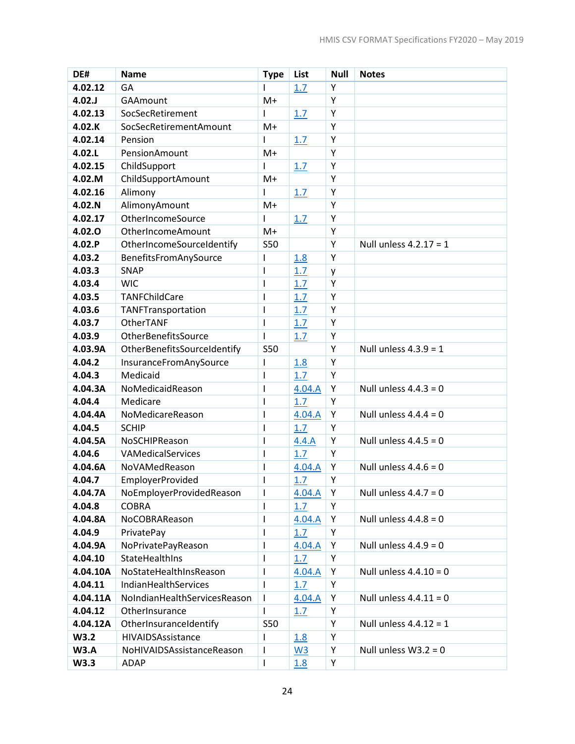| DE#         | <b>Name</b>                  | <b>Type</b>              | List           | <b>Null</b> | <b>Notes</b>             |
|-------------|------------------------------|--------------------------|----------------|-------------|--------------------------|
| 4.02.12     | GA                           |                          | 1.7            | Y           |                          |
| 4.02.J      | GAAmount                     | $M+$                     |                | Υ           |                          |
| 4.02.13     | SocSecRetirement             | ı                        | 1.7            | Υ           |                          |
| 4.02.K      | SocSecRetirementAmount       | $M+$                     |                | Y           |                          |
| 4.02.14     | Pension                      | ı                        | 1.7            | Υ           |                          |
| 4.02.L      | PensionAmount                | $M+$                     |                | Y           |                          |
| 4.02.15     | ChildSupport                 | ı                        | 1.7            | Y           |                          |
| 4.02.M      | ChildSupportAmount           | $M+$                     |                | Υ           |                          |
| 4.02.16     | Alimony                      | ı                        | 1.7            | Υ           |                          |
| 4.02.N      | AlimonyAmount                | M+                       |                | Υ           |                          |
| 4.02.17     | OtherIncomeSource            | ı                        | 1.7            | Y           |                          |
| 4.02.0      | OtherIncomeAmount            | $M+$                     |                | Υ           |                          |
| 4.02.P      | OtherIncomeSourceIdentify    | <b>S50</b>               |                | Y           | Null unless $4.2.17 = 1$ |
| 4.03.2      | BenefitsFromAnySource        | I                        | 1.8            | Y           |                          |
| 4.03.3      | <b>SNAP</b>                  | $\mathsf{l}$             | 1.7            | y           |                          |
| 4.03.4      | <b>WIC</b>                   | ı                        | 1.7            | Υ           |                          |
| 4.03.5      | TANFChildCare                | $\overline{\phantom{a}}$ | 1.7            | Y           |                          |
| 4.03.6      | TANFTransportation           | I                        | 1.7            | Y           |                          |
| 4.03.7      | OtherTANF                    | 1                        | 1.7            | Y           |                          |
| 4.03.9      | OtherBenefitsSource          | ı                        | 1.7            | Y           |                          |
| 4.03.9A     | OtherBenefitsSourceIdentify  | <b>S50</b>               |                | Y           | Null unless $4.3.9 = 1$  |
| 4.04.2      | InsuranceFromAnySource       | ı                        | 1.8            | Υ           |                          |
| 4.04.3      | Medicaid                     | I                        | 1.7            | Y           |                          |
| 4.04.3A     | NoMedicaidReason             | $\mathsf{l}$             | 4.04.A         | Y           | Null unless $4.4.3 = 0$  |
| 4.04.4      | Medicare                     | $\mathsf{l}$             | 1.7            | Y           |                          |
| 4.04.4A     | NoMedicareReason             | $\overline{\phantom{a}}$ | 4.04.A         | Y           | Null unless $4.4.4 = 0$  |
| 4.04.5      | <b>SCHIP</b>                 | $\mathsf{l}$             | 1.7            | Y           |                          |
| 4.04.5A     | NoSCHIPReason                | $\overline{\phantom{a}}$ | 4.4.A          | Y           | Null unless $4.4.5 = 0$  |
| 4.04.6      | VAMedicalServices            | I                        | 1.7            | Y           |                          |
| 4.04.6A     | NoVAMedReason                | ı                        | 4.04.A         | Υ           | Null unless $4.4.6 = 0$  |
| 4.04.7      | <b>EmployerProvided</b>      | $\overline{\phantom{a}}$ | 1.7            | Υ           |                          |
| 4.04.7A     | NoEmployerProvidedReason     | I.                       | 4.04.A         | Υ           | Null unless $4.4.7 = 0$  |
| 4.04.8      | <b>COBRA</b>                 |                          | 1.7            | Υ           |                          |
| 4.04.8A     | NoCOBRAReason                | $\mathsf{l}$             | 4.04.A         | Υ           | Null unless $4.4.8 = 0$  |
| 4.04.9      | PrivatePay                   | I                        | 1.7            | Υ           |                          |
| 4.04.9A     | NoPrivatePayReason           | 1                        | 4.04.A         | Υ           | Null unless $4.4.9 = 0$  |
| 4.04.10     | StateHealthIns               | ı                        | 1.7            | Υ           |                          |
| 4.04.10A    | NoStateHealthInsReason       | $\mathsf{l}$             | 4.04.A         | Υ           | Null unless $4.4.10 = 0$ |
| 4.04.11     | IndianHealthServices         | I                        | 1.7            | Υ           |                          |
| 4.04.11A    | NoIndianHealthServicesReason |                          | 4.04.A         | Υ           | Null unless $4.4.11 = 0$ |
| 4.04.12     | OtherInsurance               |                          | 1.7            | Υ           |                          |
| 4.04.12A    | OtherInsuranceIdentify       | <b>S50</b>               |                | Υ           | Null unless $4.4.12 = 1$ |
| W3.2        | HIVAIDSAssistance            | I                        | 1.8            | Υ           |                          |
| <b>W3.A</b> | NoHIVAIDSAssistanceReason    | I                        | W <sub>3</sub> | Υ           | Null unless $W3.2 = 0$   |
| W3.3        | ADAP                         | ı                        | 1.8            | Υ           |                          |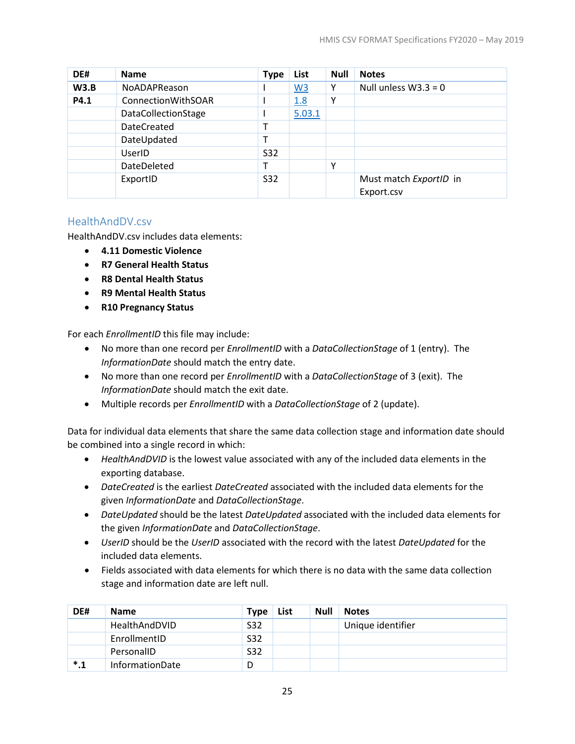| DE#  | <b>Name</b>                | <b>Type</b> | List             | <b>Null</b> | <b>Notes</b>                         |
|------|----------------------------|-------------|------------------|-------------|--------------------------------------|
| W3.B | <b>NoADAPReason</b>        |             | $\underline{W3}$ | Υ           | Null unless $W3.3 = 0$               |
| P4.1 | <b>ConnectionWithSOAR</b>  |             | 1.8              | ٧           |                                      |
|      | <b>DataCollectionStage</b> |             | 5.03.1           |             |                                      |
|      | DateCreated                |             |                  |             |                                      |
|      | DateUpdated                |             |                  |             |                                      |
|      | <b>UserID</b>              | <b>S32</b>  |                  |             |                                      |
|      | DateDeleted                |             |                  | v           |                                      |
|      | ExportID                   | <b>S32</b>  |                  |             | Must match ExportID in<br>Export.csv |

## <span id="page-28-0"></span>HealthAndDV.csv

HealthAndDV.csv includes data elements:

- **4.11 Domestic Violence**
- **R7 General Health Status**
- **R8 Dental Health Status**
- **R9 Mental Health Status**
- **R10 Pregnancy Status**

For each *EnrollmentID* this file may include:

- No more than one record per *EnrollmentID* with a *DataCollectionStage* of 1 (entry). The *InformationDate* should match the entry date.
- No more than one record per *EnrollmentID* with a *DataCollectionStage* of 3 (exit). The *InformationDate* should match the exit date.
- Multiple records per *EnrollmentID* with a *DataCollectionStage* of 2 (update).

Data for individual data elements that share the same data collection stage and information date should be combined into a single record in which:

- *HealthAndDVID* is the lowest value associated with any of the included data elements in the exporting database.
- *DateCreated* is the earliest *DateCreated* associated with the included data elements for the given *InformationDate* and *DataCollectionStage*.
- *DateUpdated* should be the latest *DateUpdated* associated with the included data elements for the given *InformationDate* and *DataCollectionStage*.
- *UserID* should be the *UserID* associated with the record with the latest *DateUpdated* for the included data elements.
- Fields associated with data elements for which there is no data with the same data collection stage and information date are left null.

| DE#       | <b>Name</b>            | <b>Type</b> | List | <b>Null</b> | <b>Notes</b>      |
|-----------|------------------------|-------------|------|-------------|-------------------|
|           | HealthAndDVID          | S32         |      |             | Unique identifier |
|           | EnrollmentID           | S32         |      |             |                   |
|           | PersonalID             | S32         |      |             |                   |
| $^\ast.1$ | <b>InformationDate</b> |             |      |             |                   |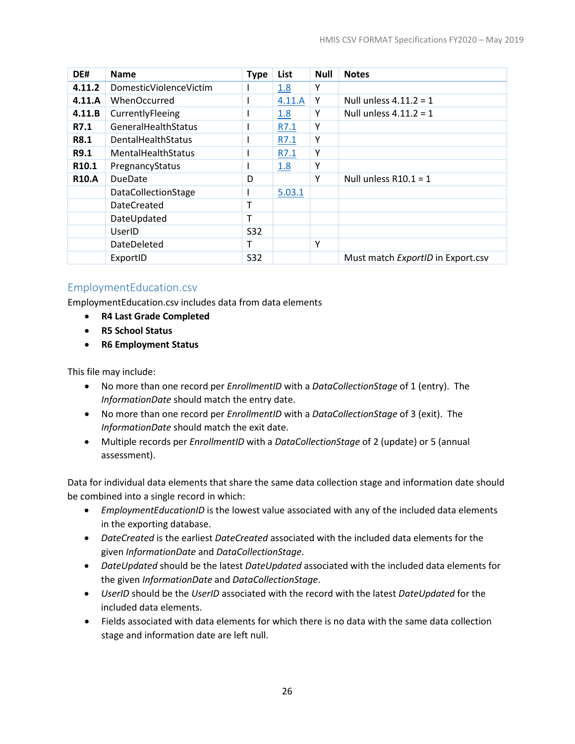| DE#               | <b>Name</b>                | <b>Type</b> | List   | <b>Null</b> | <b>Notes</b>                      |
|-------------------|----------------------------|-------------|--------|-------------|-----------------------------------|
| 4.11.2            | DomesticViolenceVictim     |             | 1.8    | Υ           |                                   |
| 4.11.A            | <b>WhenOccurred</b>        |             | 4.11.A | Υ           | Null unless $4.11.2 = 1$          |
| 4.11.B            | CurrentlyFleeing           |             | 1.8    | Υ           | Null unless $4.11.2 = 1$          |
| R7.1              | GeneralHealthStatus        |             | R7.1   | Y           |                                   |
| R8.1              | DentalHealthStatus         |             | R7.1   | Υ           |                                   |
| R9.1              | MentalHealthStatus         |             | R7.1   | Y           |                                   |
| R <sub>10.1</sub> | PregnancyStatus            |             | 1.8    | Y           |                                   |
| <b>R10.A</b>      | <b>DueDate</b>             | D           |        | Y           | Null unless $R10.1 = 1$           |
|                   | <b>DataCollectionStage</b> |             | 5.03.1 |             |                                   |
|                   | <b>DateCreated</b>         |             |        |             |                                   |
|                   | DateUpdated                |             |        |             |                                   |
|                   | UserID                     | S32         |        |             |                                   |
|                   | DateDeleted                | т           |        | Y           |                                   |
|                   | ExportID                   | S32         |        |             | Must match ExportID in Export.csv |

# <span id="page-29-0"></span>EmploymentEducation.csv

EmploymentEducation.csv includes data from data elements

- **R4 Last Grade Completed**
- **R5 School Status**
- **R6 Employment Status**

This file may include:

- No more than one record per *EnrollmentID* with a *DataCollectionStage* of 1 (entry). The *InformationDate* should match the entry date.
- No more than one record per *EnrollmentID* with a *DataCollectionStage* of 3 (exit). The *InformationDate* should match the exit date.
- Multiple records per *EnrollmentID* with a *DataCollectionStage* of 2 (update) or 5 (annual assessment).

Data for individual data elements that share the same data collection stage and information date should be combined into a single record in which:

- *EmploymentEducationID* is the lowest value associated with any of the included data elements in the exporting database.
- *DateCreated* is the earliest *DateCreated* associated with the included data elements for the given *InformationDate* and *DataCollectionStage*.
- *DateUpdated* should be the latest *DateUpdated* associated with the included data elements for the given *InformationDate* and *DataCollectionStage*.
- *UserID* should be the *UserID* associated with the record with the latest *DateUpdated* for the included data elements.
- Fields associated with data elements for which there is no data with the same data collection stage and information date are left null.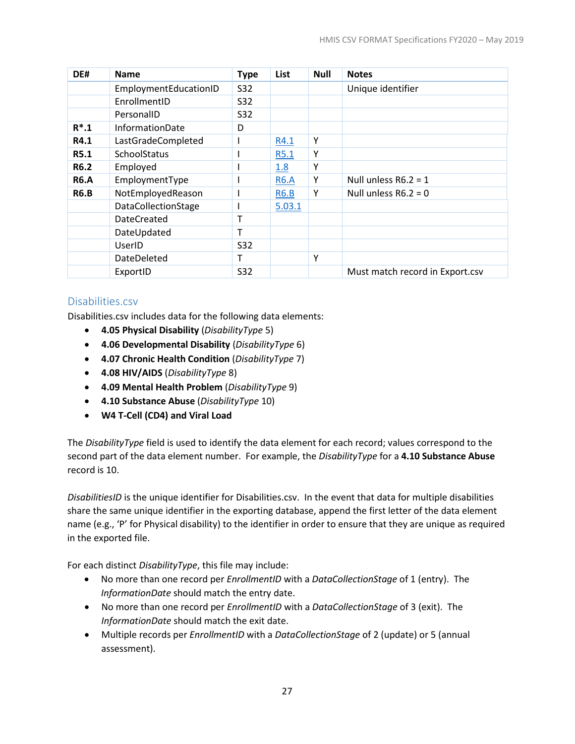| DE#         | <b>Name</b>            | <b>Type</b> | List        | <b>Null</b> | <b>Notes</b>                    |
|-------------|------------------------|-------------|-------------|-------------|---------------------------------|
|             | EmploymentEducationID  | <b>S32</b>  |             |             | Unique identifier               |
|             | EnrollmentID           | S32         |             |             |                                 |
|             | PersonalID             | <b>S32</b>  |             |             |                                 |
| $R^*$ .1    | <b>InformationDate</b> | D           |             |             |                                 |
| R4.1        | LastGradeCompleted     |             | R4.1        | Υ           |                                 |
| R5.1        | <b>SchoolStatus</b>    |             | R5.1        | Υ           |                                 |
| <b>R6.2</b> | Employed               |             | 1.8         | Υ           |                                 |
| <b>R6.A</b> | EmploymentType         |             | <b>R6.A</b> | Υ           | Null unless $R6.2 = 1$          |
| <b>R6.B</b> | NotEmployedReason      |             | <b>R6.B</b> | Y           | Null unless $R6.2 = 0$          |
|             | DataCollectionStage    |             | 5.03.1      |             |                                 |
|             | <b>DateCreated</b>     | т           |             |             |                                 |
|             | DateUpdated            | т           |             |             |                                 |
|             | UserID                 | <b>S32</b>  |             |             |                                 |
|             | DateDeleted            | Т           |             | Υ           |                                 |
|             | ExportID               | <b>S32</b>  |             |             | Must match record in Export.csv |

#### <span id="page-30-0"></span>Disabilities.csv

Disabilities.csv includes data for the following data elements:

- **4.05 Physical Disability** (*DisabilityType* 5)
- **4.06 Developmental Disability** (*DisabilityType* 6)
- **4.07 Chronic Health Condition** (*DisabilityType* 7)
- **4.08 HIV/AIDS** (*DisabilityType* 8)
- **4.09 Mental Health Problem** (*DisabilityType* 9)
- **4.10 Substance Abuse** (*DisabilityType* 10)
- **W4 T-Cell (CD4) and Viral Load**

The *DisabilityType* field is used to identify the data element for each record; values correspond to the second part of the data element number. For example, the *DisabilityType* for a **4.10 Substance Abuse** record is 10.

*DisabilitiesID* is the unique identifier for Disabilities.csv. In the event that data for multiple disabilities share the same unique identifier in the exporting database, append the first letter of the data element name (e.g., 'P' for Physical disability) to the identifier in order to ensure that they are unique as required in the exported file.

For each distinct *DisabilityType*, this file may include:

- No more than one record per *EnrollmentID* with a *DataCollectionStage* of 1 (entry). The *InformationDate* should match the entry date.
- No more than one record per *EnrollmentID* with a *DataCollectionStage* of 3 (exit). The *InformationDate* should match the exit date.
- Multiple records per *EnrollmentID* with a *DataCollectionStage* of 2 (update) or 5 (annual assessment).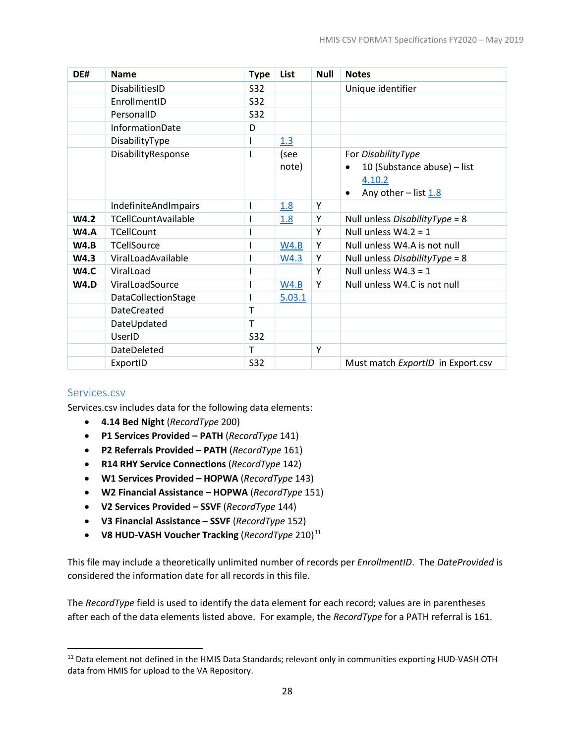| DE#         | <b>Name</b>                 | <b>Type</b>  | List   | <b>Null</b> | <b>Notes</b>                             |
|-------------|-----------------------------|--------------|--------|-------------|------------------------------------------|
|             | DisabilitiesID              | S32          |        |             | Unique identifier                        |
|             | EnrollmentID                | <b>S32</b>   |        |             |                                          |
|             | PersonalID                  | S32          |        |             |                                          |
|             | InformationDate             | D            |        |             |                                          |
|             | DisabilityType              |              | 1.3    |             |                                          |
|             | DisabilityResponse          |              | (see   |             | For DisabilityType                       |
|             |                             |              | note)  |             | 10 (Substance abuse) - list<br>$\bullet$ |
|             |                             |              |        |             | 4.10.2                                   |
|             |                             |              |        |             | Any other $-$ list $1.8$                 |
|             | <b>IndefiniteAndImpairs</b> |              | 1.8    | Y           |                                          |
| W4.2        | <b>TCellCountAvailable</b>  |              | 1.8    | Y           | Null unless <i>DisabilityType</i> = $8$  |
| <b>W4.A</b> | <b>TCellCount</b>           |              |        | Υ           | Null unless $W4.2 = 1$                   |
| W4.B        | <b>TCellSource</b>          |              | W4.B   | Υ           | Null unless W4.A is not null             |
| W4.3        | ViralLoadAvailable          |              | W4.3   | Υ           | Null unless DisabilityType = 8           |
| <b>W4.C</b> | ViralLoad                   |              |        | Y           | Null unless $W4.3 = 1$                   |
| <b>W4.D</b> | ViralLoadSource             |              | W4.B   | Y           | Null unless W4.C is not null             |
|             | DataCollectionStage         |              | 5.03.1 |             |                                          |
|             | <b>DateCreated</b>          | $\mathsf{T}$ |        |             |                                          |
|             | DateUpdated                 | т            |        |             |                                          |
|             | UserID                      | S32          |        |             |                                          |
|             | <b>DateDeleted</b>          | T            |        | Υ           |                                          |
|             | ExportID                    | S32          |        |             | Must match ExportID in Export.csv        |

#### <span id="page-31-0"></span>Services.csv

 $\overline{\phantom{a}}$ 

Services.csv includes data for the following data elements:

- **4.14 Bed Night** (*RecordType* 200)
- **P1 Services Provided – PATH** (*RecordType* 141)
- **P2 Referrals Provided – PATH** (*RecordType* 161)
- **R14 RHY Service Connections** (*RecordType* 142)
- **W1 Services Provided – HOPWA** (*RecordType* 143)
- **W2 Financial Assistance – HOPWA** (*RecordType* 151)
- **V2 Services Provided – SSVF** (*RecordType* 144)
- **V3 Financial Assistance – SSVF** (*RecordType* 152)
- **V8 HUD-VASH Voucher Tracking** (*RecordType* 210)[11](#page-31-1)

This file may include a theoretically unlimited number of records per *EnrollmentID*. The *DateProvided* is considered the information date for all records in this file.

The *RecordType* field is used to identify the data element for each record; values are in parentheses after each of the data elements listed above. For example, the *RecordType* for a PATH referral is 161.

<span id="page-31-1"></span><sup>&</sup>lt;sup>11</sup> Data element not defined in the HMIS Data Standards; relevant only in communities exporting HUD-VASH OTH data from HMIS for upload to the VA Repository.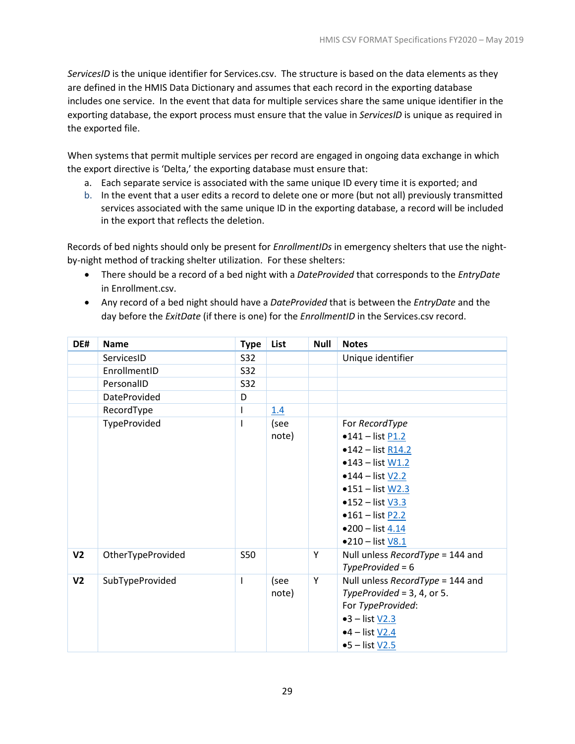*ServicesID* is the unique identifier for Services.csv. The structure is based on the data elements as they are defined in the HMIS Data Dictionary and assumes that each record in the exporting database includes one service. In the event that data for multiple services share the same unique identifier in the exporting database, the export process must ensure that the value in *ServicesID* is unique as required in the exported file.

When systems that permit multiple services per record are engaged in ongoing data exchange in which the export directive is 'Delta,' the exporting database must ensure that:

- a. Each separate service is associated with the same unique ID every time it is exported; and
- b. In the event that a user edits a record to delete one or more (but not all) previously transmitted services associated with the same unique ID in the exporting database, a record will be included in the export that reflects the deletion.

Records of bed nights should only be present for *EnrollmentIDs* in emergency shelters that use the nightby-night method of tracking shelter utilization. For these shelters:

- There should be a record of a bed night with a *DateProvided* that corresponds to the *EntryDate* in Enrollment.csv.
- Any record of a bed night should have a *DateProvided* that is between the *EntryDate* and the day before the *ExitDate* (if there is one) for the *EnrollmentID* in the Services.csv record.

| DE#            | <b>Name</b>         | <b>Type</b> | List  | <b>Null</b> | <b>Notes</b>                     |
|----------------|---------------------|-------------|-------|-------------|----------------------------------|
|                | ServicesID          | S32         |       |             | Unique identifier                |
|                | EnrollmentID        | S32         |       |             |                                  |
|                | PersonalID          | S32         |       |             |                                  |
|                | <b>DateProvided</b> | D           |       |             |                                  |
|                | RecordType          |             | 1.4   |             |                                  |
|                | TypeProvided        |             | (see  |             | For RecordType                   |
|                |                     |             | note) |             | $•141 - list P1.2$               |
|                |                     |             |       |             | $•142 - list R14.2$              |
|                |                     |             |       |             | $•143 - list W1.2$               |
|                |                     |             |       |             | $•144$ - list V2.2               |
|                |                     |             |       |             | $•151 - list W2.3$               |
|                |                     |             |       |             | • $152 - list$ V3.3              |
|                |                     |             |       |             | • $161 -$ list $P2.2$            |
|                |                     |             |       |             | •200 – list $4.14$               |
|                |                     |             |       |             | •210 - list V8.1                 |
| V <sub>2</sub> | OtherTypeProvided   | <b>S50</b>  |       | Υ           | Null unless RecordType = 144 and |
|                |                     |             |       |             | $TypeProvided = 6$               |
| V <sub>2</sub> | SubTypeProvided     |             | (see  | Υ           | Null unless RecordType = 144 and |
|                |                     |             | note) |             | TypeProvided = $3, 4$ , or $5.$  |
|                |                     |             |       |             | For TypeProvided:                |
|                |                     |             |       |             | $-3$ – list V2.3                 |
|                |                     |             |       |             | $•4$ – list $V2.4$               |
|                |                     |             |       |             | $•5$ – list $V2.5$               |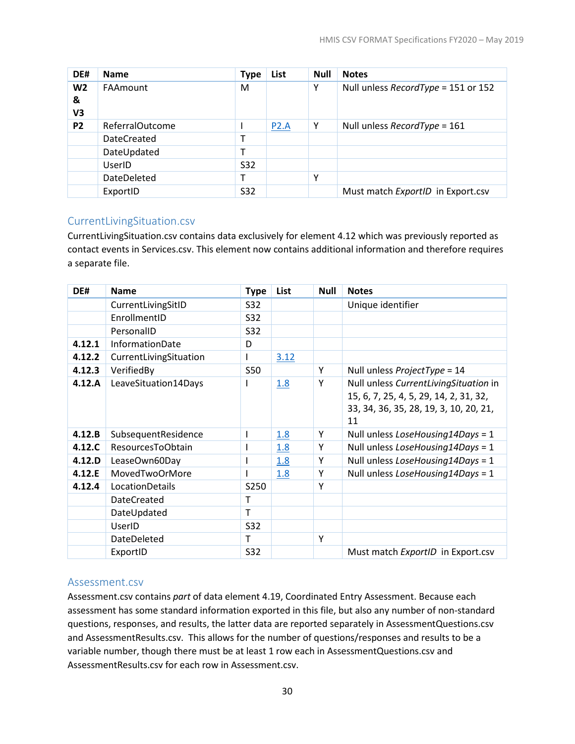| DE#            | <b>Name</b>        | <b>Type</b> | List | <b>Null</b> | <b>Notes</b>                        |
|----------------|--------------------|-------------|------|-------------|-------------------------------------|
| W <sub>2</sub> | FAAmount           | M           |      | Y           | Null unless RecordType = 151 or 152 |
| &              |                    |             |      |             |                                     |
| V3             |                    |             |      |             |                                     |
| P <sub>2</sub> | ReferralOutcome    |             | P2.A | Y           | Null unless RecordType = 161        |
|                | <b>DateCreated</b> |             |      |             |                                     |
|                | DateUpdated        |             |      |             |                                     |
|                | UserID             | <b>S32</b>  |      |             |                                     |
|                | DateDeleted        |             |      | Υ           |                                     |
|                | ExportID           | <b>S32</b>  |      |             | Must match ExportID in Export.csv   |

#### <span id="page-33-0"></span>CurrentLivingSituation.csv

CurrentLivingSituation.csv contains data exclusively for element 4.12 which was previously reported as contact events in Services.csv. This element now contains additional information and therefore requires a separate file.

| DE#    | <b>Name</b>            | <b>Type</b> | List | <b>Null</b> | <b>Notes</b>                                                                                                                    |
|--------|------------------------|-------------|------|-------------|---------------------------------------------------------------------------------------------------------------------------------|
|        | CurrentLivingSitID     | <b>S32</b>  |      |             | Unique identifier                                                                                                               |
|        | EnrollmentID           | <b>S32</b>  |      |             |                                                                                                                                 |
|        | PersonalID             | <b>S32</b>  |      |             |                                                                                                                                 |
| 4.12.1 | InformationDate        | D           |      |             |                                                                                                                                 |
| 4.12.2 | CurrentLivingSituation | L           | 3.12 |             |                                                                                                                                 |
| 4.12.3 | VerifiedBy             | <b>S50</b>  |      | Y           | Null unless ProjectType = 14                                                                                                    |
| 4.12.A | LeaveSituation14Days   |             | 1.8  | Y           | Null unless CurrentLivingSituation in<br>15, 6, 7, 25, 4, 5, 29, 14, 2, 31, 32,<br>33, 34, 36, 35, 28, 19, 3, 10, 20, 21,<br>11 |
| 4.12.B | SubsequentResidence    | I           | 1.8  | Y           | Null unless LoseHousing14Days = 1                                                                                               |
| 4.12.C | ResourcesToObtain      | ı           | 1.8  | Y           | Null unless LoseHousing14Days = 1                                                                                               |
| 4.12.D | LeaseOwn60Day          |             | 1.8  | Y           | Null unless LoseHousing14Days = 1                                                                                               |
| 4.12.E | MovedTwoOrMore         |             | 1.8  | Y           | Null unless LoseHousing14Days = 1                                                                                               |
| 4.12.4 | LocationDetails        | S250        |      | Y           |                                                                                                                                 |
|        | <b>DateCreated</b>     | т           |      |             |                                                                                                                                 |
|        | DateUpdated            | T           |      |             |                                                                                                                                 |
|        | UserID                 | S32         |      |             |                                                                                                                                 |
|        | DateDeleted            | T           |      | Y           |                                                                                                                                 |
|        | ExportID               | <b>S32</b>  |      |             | Must match ExportID in Export.csv                                                                                               |

#### <span id="page-33-1"></span>Assessment.csv

Assessment.csv contains *part* of data element 4.19, Coordinated Entry Assessment. Because each assessment has some standard information exported in this file, but also any number of non-standard questions, responses, and results, the latter data are reported separately in AssessmentQuestions.csv and AssessmentResults.csv. This allows for the number of questions/responses and results to be a variable number, though there must be at least 1 row each in AssessmentQuestions.csv and AssessmentResults.csv for each row in Assessment.csv.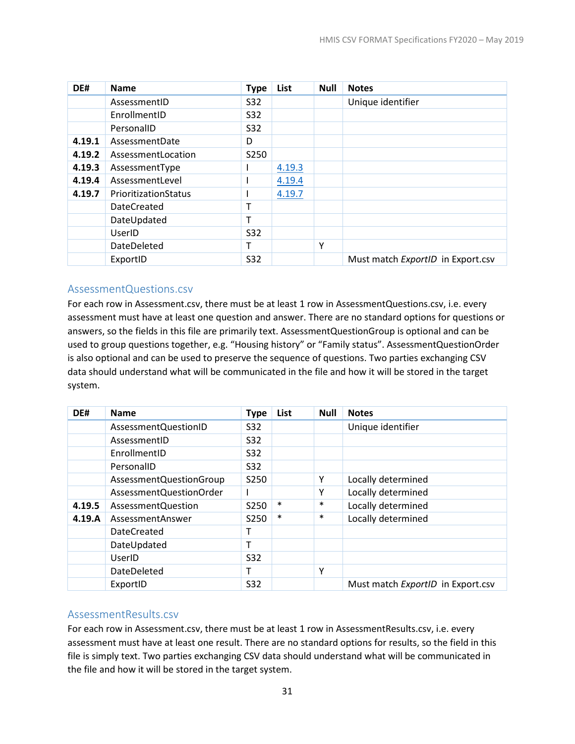| DE#    | <b>Name</b>          | <b>Type</b> | List   | <b>Null</b> | <b>Notes</b>                      |
|--------|----------------------|-------------|--------|-------------|-----------------------------------|
|        | AssessmentID         | S32         |        |             | Unique identifier                 |
|        | EnrollmentID         | S32         |        |             |                                   |
|        | PersonalID           | S32         |        |             |                                   |
| 4.19.1 | AssessmentDate       | D           |        |             |                                   |
| 4.19.2 | AssessmentLocation   | S250        |        |             |                                   |
| 4.19.3 | AssessmentType       |             | 4.19.3 |             |                                   |
| 4.19.4 | AssessmentLevel      |             | 4.19.4 |             |                                   |
| 4.19.7 | PrioritizationStatus |             | 4.19.7 |             |                                   |
|        | <b>DateCreated</b>   | т           |        |             |                                   |
|        | DateUpdated          | т           |        |             |                                   |
|        | UserID               | S32         |        |             |                                   |
|        | DateDeleted          | т           |        | Υ           |                                   |
|        | ExportID             | S32         |        |             | Must match ExportID in Export.csv |

#### <span id="page-34-0"></span>AssessmentQuestions.csv

For each row in Assessment.csv, there must be at least 1 row in AssessmentQuestions.csv, i.e. every assessment must have at least one question and answer. There are no standard options for questions or answers, so the fields in this file are primarily text. AssessmentQuestionGroup is optional and can be used to group questions together, e.g. "Housing history" or "Family status". AssessmentQuestionOrder is also optional and can be used to preserve the sequence of questions. Two parties exchanging CSV data should understand what will be communicated in the file and how it will be stored in the target system.

| DE#    | <b>Name</b>               | <b>Type</b> | List   | <b>Null</b> | <b>Notes</b>                      |
|--------|---------------------------|-------------|--------|-------------|-----------------------------------|
|        | AssessmentQuestionID      | S32         |        |             | Unique identifier                 |
|        | AssessmentID              | S32         |        |             |                                   |
|        | EnrollmentID              | <b>S32</b>  |        |             |                                   |
|        | PersonalID                | S32         |        |             |                                   |
|        | AssessmentQuestionGroup   | S250        |        | Υ           | Locally determined                |
|        | AssessmentQuestionOrder   |             |        | Υ           | Locally determined                |
| 4.19.5 | <b>AssessmentQuestion</b> | S250        | $\ast$ | $\ast$      | Locally determined                |
| 4.19.A | AssessmentAnswer          | S250        | $\ast$ | $\ast$      | Locally determined                |
|        | <b>DateCreated</b>        |             |        |             |                                   |
|        | DateUpdated               |             |        |             |                                   |
|        | UserID                    | <b>S32</b>  |        |             |                                   |
|        | DateDeleted               | т           |        | Υ           |                                   |
|        | ExportID                  | <b>S32</b>  |        |             | Must match ExportID in Export.csv |

#### <span id="page-34-1"></span>AssessmentResults.csv

For each row in Assessment.csv, there must be at least 1 row in AssessmentResults.csv, i.e. every assessment must have at least one result. There are no standard options for results, so the field in this file is simply text. Two parties exchanging CSV data should understand what will be communicated in the file and how it will be stored in the target system.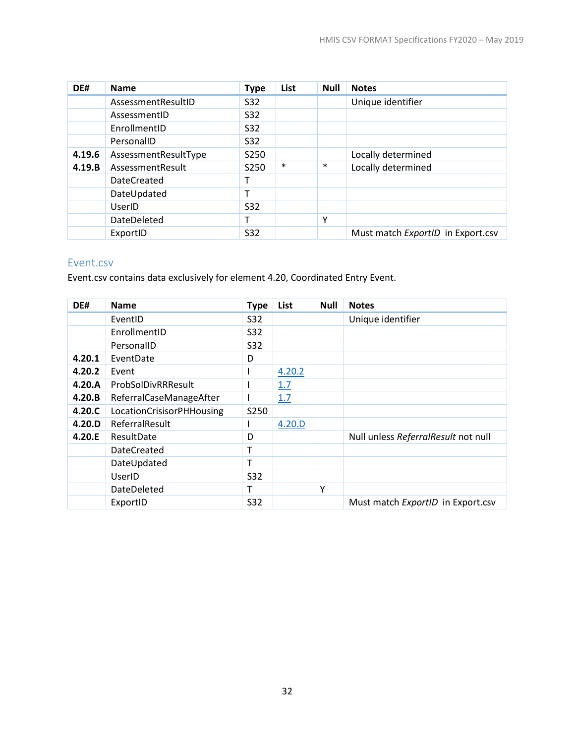| DE#    | <b>Name</b>          | <b>Type</b> | List   | <b>Null</b> | <b>Notes</b>                      |
|--------|----------------------|-------------|--------|-------------|-----------------------------------|
|        | AssessmentResultID   | <b>S32</b>  |        |             | Unique identifier                 |
|        | AssessmentID         | <b>S32</b>  |        |             |                                   |
|        | EnrollmentID         | <b>S32</b>  |        |             |                                   |
|        | PersonalID           | S32         |        |             |                                   |
| 4.19.6 | AssessmentResultType | S250        |        |             | Locally determined                |
| 4.19.B | AssessmentResult     | S250        | $\ast$ | $\ast$      | Locally determined                |
|        | <b>DateCreated</b>   |             |        |             |                                   |
|        | DateUpdated          | т           |        |             |                                   |
|        | UserID               | <b>S32</b>  |        |             |                                   |
|        | DateDeleted          | т           |        | Υ           |                                   |
|        | ExportID             | S32         |        |             | Must match ExportID in Export.csv |

# <span id="page-35-0"></span>Event.csv

Event.csv contains data exclusively for element 4.20, Coordinated Entry Event.

<span id="page-35-1"></span>

| DE#    | <b>Name</b>               | <b>Type</b> | List   | <b>Null</b> | <b>Notes</b>                        |
|--------|---------------------------|-------------|--------|-------------|-------------------------------------|
|        | EventID                   | S32         |        |             | Unique identifier                   |
|        | EnrollmentID              | S32         |        |             |                                     |
|        | PersonalID                | <b>S32</b>  |        |             |                                     |
| 4.20.1 | EventDate                 | D           |        |             |                                     |
| 4.20.2 | Event                     |             | 4.20.2 |             |                                     |
| 4.20.A | ProbSolDivRRResult        |             | 1.7    |             |                                     |
| 4.20.B | ReferralCaseManageAfter   |             | 1.7    |             |                                     |
| 4.20.C | LocationCrisisorPHHousing | S250        |        |             |                                     |
| 4.20.D | ReferralResult            |             | 4.20.D |             |                                     |
| 4.20.E | ResultDate                | D           |        |             | Null unless ReferralResult not null |
|        | <b>DateCreated</b>        |             |        |             |                                     |
|        | DateUpdated               | т           |        |             |                                     |
|        | UserID                    | <b>S32</b>  |        |             |                                     |
|        | DateDeleted               | т           |        | γ           |                                     |
|        | ExportID                  | S32         |        |             | Must match ExportID in Export.csv   |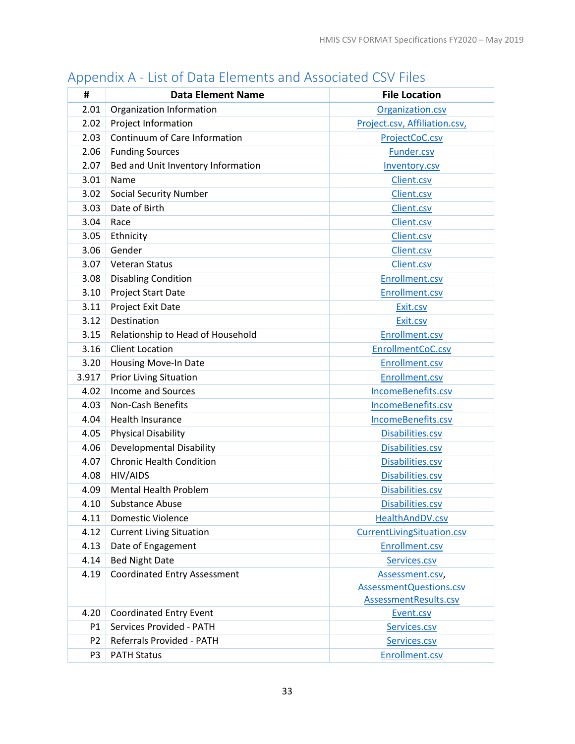| #              | <b>Data Element Name</b>            | <b>File Location</b>          |
|----------------|-------------------------------------|-------------------------------|
| 2.01           | Organization Information            | Organization.csv              |
| 2.02           | Project Information                 | Project.csv, Affiliation.csv, |
| 2.03           | Continuum of Care Information       | ProjectCoC.csv                |
| 2.06           | <b>Funding Sources</b>              | Funder.csv                    |
| 2.07           | Bed and Unit Inventory Information  | Inventory.csv                 |
| 3.01           | Name                                | Client.csv                    |
| 3.02           | <b>Social Security Number</b>       | Client.csv                    |
| 3.03           | Date of Birth                       | Client.csv                    |
| 3.04           | Race                                | Client.csv                    |
| 3.05           | Ethnicity                           | Client.csv                    |
| 3.06           | Gender                              | Client.csv                    |
| 3.07           | Veteran Status                      | Client.csv                    |
| 3.08           | <b>Disabling Condition</b>          | Enrollment.csv                |
| 3.10           | Project Start Date                  | Enrollment.csv                |
| 3.11           | Project Exit Date                   | Exit.csv                      |
| 3.12           | Destination                         | Exit.csv                      |
| 3.15           | Relationship to Head of Household   | Enrollment.csv                |
| 3.16           | <b>Client Location</b>              | EnrollmentCoC.csv             |
| 3.20           | Housing Move-In Date                | Enrollment.csv                |
| 3.917          | <b>Prior Living Situation</b>       | Enrollment.csv                |
| 4.02           | <b>Income and Sources</b>           | IncomeBenefits.csv            |
| 4.03           | Non-Cash Benefits                   | IncomeBenefits.csv            |
| 4.04           | <b>Health Insurance</b>             | IncomeBenefits.csv            |
| 4.05           | <b>Physical Disability</b>          | Disabilities.csv              |
| 4.06           | <b>Developmental Disability</b>     | Disabilities.csv              |
| 4.07           | <b>Chronic Health Condition</b>     | Disabilities.csv              |
| 4.08           | HIV/AIDS                            | Disabilities.csv              |
| 4.09           | <b>Mental Health Problem</b>        | Disabilities.csv              |
| 4.10           | <b>Substance Abuse</b>              | Disabilities.csv              |
| 4.11           | <b>Domestic Violence</b>            | HealthAndDV.csv               |
| 4.12           | <b>Current Living Situation</b>     | CurrentLivingSituation.csv    |
| 4.13           | Date of Engagement                  | Enrollment.csv                |
| 4.14           | <b>Bed Night Date</b>               | Services.csv                  |
| 4.19           | <b>Coordinated Entry Assessment</b> | Assessment.csv,               |
|                |                                     | AssessmentQuestions.csv       |
|                |                                     | AssessmentResults.csv         |
| 4.20           | <b>Coordinated Entry Event</b>      | Event.csv                     |
| P1             | Services Provided - PATH            | Services.csv                  |
| P <sub>2</sub> | Referrals Provided - PATH           | Services.csv                  |
| P3             | <b>PATH Status</b>                  | Enrollment.csv                |

# <span id="page-36-0"></span>Appendix A - List of Data Elements and Associated CSV Files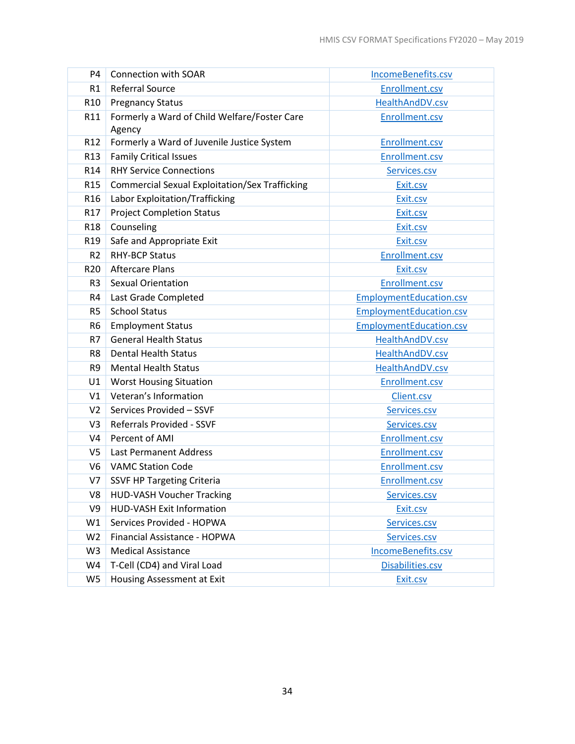| P4              | <b>Connection with SOAR</b>                            | IncomeBenefits.csv             |
|-----------------|--------------------------------------------------------|--------------------------------|
| R1              | <b>Referral Source</b>                                 | Enrollment.csv                 |
| R <sub>10</sub> | <b>Pregnancy Status</b>                                | HealthAndDV.csv                |
| R11             | Formerly a Ward of Child Welfare/Foster Care<br>Agency | Enrollment.csv                 |
| R <sub>12</sub> | Formerly a Ward of Juvenile Justice System             | Enrollment.csv                 |
| R <sub>13</sub> | <b>Family Critical Issues</b>                          | Enrollment.csv                 |
| R <sub>14</sub> | <b>RHY Service Connections</b>                         | Services.csv                   |
| R <sub>15</sub> | <b>Commercial Sexual Exploitation/Sex Trafficking</b>  | Exit.csv                       |
| R <sub>16</sub> | Labor Exploitation/Trafficking                         | Exit.csv                       |
| R17             | <b>Project Completion Status</b>                       | Exit.csv                       |
| R <sub>18</sub> | Counseling                                             | Exit.csv                       |
| R <sub>19</sub> | Safe and Appropriate Exit                              | Exit.csv                       |
| R <sub>2</sub>  | <b>RHY-BCP Status</b>                                  | Enrollment.csv                 |
| R <sub>20</sub> | <b>Aftercare Plans</b>                                 | Exit.csv                       |
| R <sub>3</sub>  | <b>Sexual Orientation</b>                              | Enrollment.csv                 |
| R4              | Last Grade Completed                                   | <b>EmploymentEducation.csv</b> |
| R <sub>5</sub>  | <b>School Status</b>                                   | <b>EmploymentEducation.csv</b> |
| R <sub>6</sub>  | <b>Employment Status</b>                               | <b>EmploymentEducation.csv</b> |
| R7              | <b>General Health Status</b>                           | HealthAndDV.csv                |
| R8              | <b>Dental Health Status</b>                            | HealthAndDV.csv                |
| R9              | <b>Mental Health Status</b>                            | HealthAndDV.csv                |
| U1              | <b>Worst Housing Situation</b>                         | <b>Enrollment.csv</b>          |
| V1              | Veteran's Information                                  | Client.csv                     |
| V <sub>2</sub>  | Services Provided - SSVF                               | Services.csv                   |
| V3              | <b>Referrals Provided - SSVF</b>                       | Services.csv                   |
| V <sub>4</sub>  | Percent of AMI                                         | Enrollment.csv                 |
| V5              | <b>Last Permanent Address</b>                          | Enrollment.csv                 |
| V <sub>6</sub>  | <b>VAMC Station Code</b>                               | Enrollment.csv                 |
| V7              | <b>SSVF HP Targeting Criteria</b>                      | <b>Enrollment.csv</b>          |
| V8              | <b>HUD-VASH Voucher Tracking</b>                       | Services.csv                   |
| V9              | <b>HUD-VASH Exit Information</b>                       | Exit.csv                       |
| W1              | Services Provided - HOPWA                              | Services.csv                   |
| W <sub>2</sub>  | Financial Assistance - HOPWA                           | Services.csv                   |
| W <sub>3</sub>  | <b>Medical Assistance</b>                              | IncomeBenefits.csv             |
| W4              | T-Cell (CD4) and Viral Load                            | Disabilities.csv               |
| W <sub>5</sub>  | Housing Assessment at Exit                             | Exit.csv                       |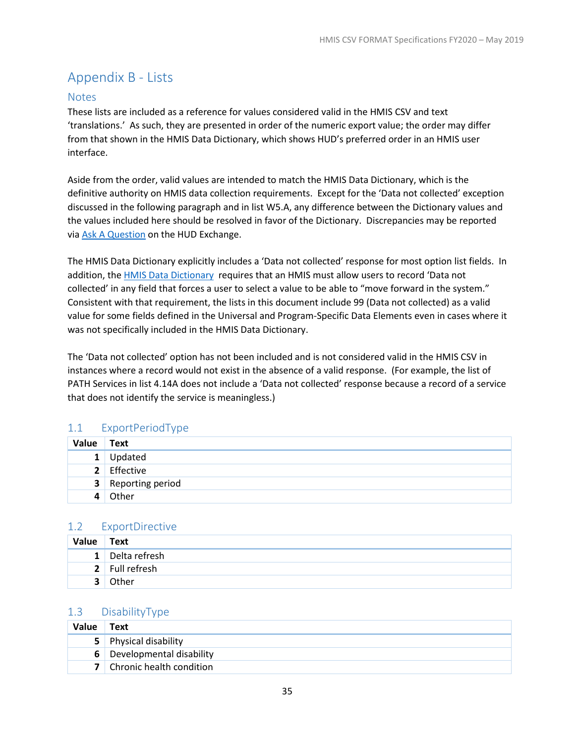# <span id="page-38-0"></span>Appendix B - Lists

## <span id="page-38-1"></span>**Notes**

These lists are included as a reference for values considered valid in the HMIS CSV and text 'translations.' As such, they are presented in order of the numeric export value; the order may differ from that shown in the HMIS Data Dictionary, which shows HUD's preferred order in an HMIS user interface.

Aside from the order, valid values are intended to match the HMIS Data Dictionary, which is the definitive authority on HMIS data collection requirements. Except for the 'Data not collected' exception discussed in the following paragraph and in list W5.A, any difference between the Dictionary values and the values included here should be resolved in favor of the Dictionary. Discrepancies may be reported via [Ask A Question](https://www.hudexchange.info/get-assistance/my-question/) on the HUD Exchange.

The HMIS Data Dictionary explicitly includes a 'Data not collected' response for most option list fields. In addition, the [HMIS Data Dictionary](https://www.hudexchange.info/resources/documents/HMIS-Data-Dictionary.pdf) requires that an HMIS must allow users to record 'Data not collected' in any field that forces a user to select a value to be able to "move forward in the system." Consistent with that requirement, the lists in this document include 99 (Data not collected) as a valid value for some fields defined in the Universal and Program-Specific Data Elements even in cases where it was not specifically included in the HMIS Data Dictionary.

The 'Data not collected' option has not been included and is not considered valid in the HMIS CSV in instances where a record would not exist in the absence of a valid response. (For example, the list of PATH Services in list 4.14A does not include a 'Data not collected' response because a record of a service that does not identify the service is meaningless.)

# <span id="page-38-2"></span>1.1 ExportPeriodType

| Value        | $\overline{\phantom{a}}$ Text |
|--------------|-------------------------------|
| $\mathbf{1}$ | Updated                       |
|              | 2 Effective                   |
|              | <b>3</b> Reporting period     |
|              | Other                         |

#### <span id="page-38-3"></span>1.2 ExportDirective

| Value | Text            |
|-------|-----------------|
|       | 1 Delta refresh |
|       | 2 Full refresh  |
|       | Other           |

#### <span id="page-38-4"></span>1.3 DisabilityType

| Value | Text                              |
|-------|-----------------------------------|
|       | <b>5</b> Physical disability      |
|       | 6 Developmental disability        |
|       | <b>7</b> Chronic health condition |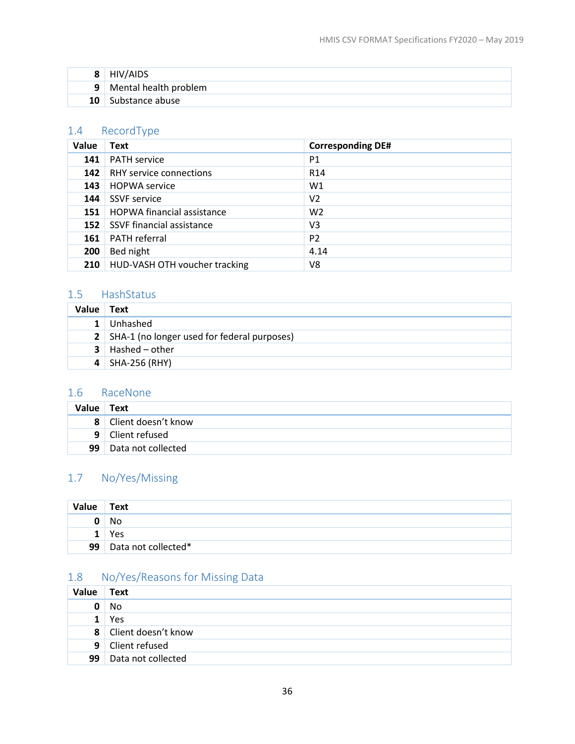| 8  | HIV/AIDS                |
|----|-------------------------|
|    | 9 Mental health problem |
| 10 | Substance abuse         |

# <span id="page-39-4"></span>1.4 RecordType

| Value | <b>Text</b>                       | <b>Corresponding DE#</b> |
|-------|-----------------------------------|--------------------------|
| 141   | <b>PATH service</b>               | P1                       |
| 142   | RHY service connections           | R <sub>14</sub>          |
| 143   | <b>HOPWA</b> service              | W1                       |
| 144   | <b>SSVF</b> service               | V <sub>2</sub>           |
| 151   | <b>HOPWA financial assistance</b> | W <sub>2</sub>           |
| 152   | SSVF financial assistance         | V3                       |
| 161   | <b>PATH</b> referral              | P <sub>2</sub>           |
| 200   | Bed night                         | 4.14                     |
| 210   | HUD-VASH OTH voucher tracking     | V8                       |

# <span id="page-39-0"></span>1.5 HashStatus

| Value | Text                                            |
|-------|-------------------------------------------------|
|       | Unhashed                                        |
|       | 2   SHA-1 (no longer used for federal purposes) |
| 3     | Hashed – other                                  |
|       | $4$ SHA-256 (RHY)                               |

# <span id="page-39-2"></span>1.6 RaceNone

| Value Text      |                       |
|-----------------|-----------------------|
|                 | 8 Client doesn't know |
|                 | 9 Client refused      |
| 99 <sup>1</sup> | Data not collected    |

# <span id="page-39-1"></span>1.7 No/Yes/Missing

| Value | Text                |
|-------|---------------------|
| 0     | No                  |
|       | Yes                 |
| 99    | Data not collected* |

# <span id="page-39-3"></span>1.8 No/Yes/Reasons for Missing Data

| Value | Text                  |
|-------|-----------------------|
| 0     | No                    |
| 1     | Yes                   |
|       | 8 Client doesn't know |
|       | 9 Client refused      |
| 99    | Data not collected    |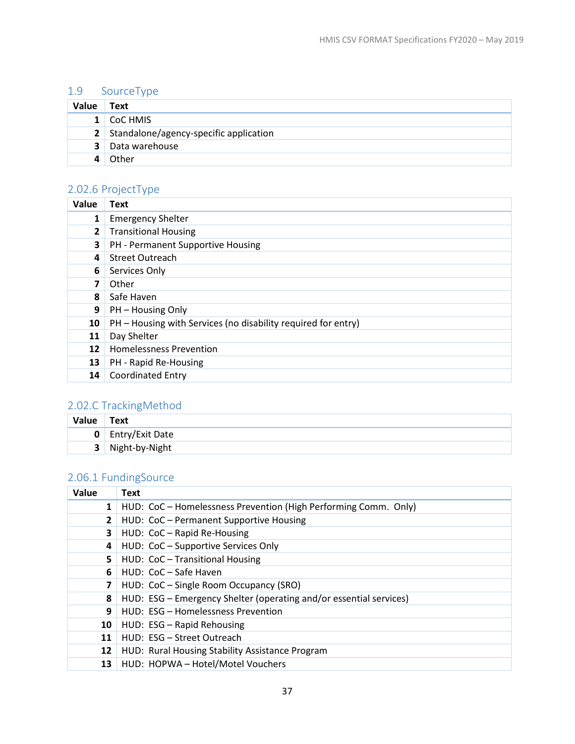# 1.9 SourceType

| Value        | Text                                     |
|--------------|------------------------------------------|
| $\mathbf{1}$ | CoC HMIS                                 |
|              | 2 Standalone/agency-specific application |
| 3            | Data warehouse                           |
|              | Other                                    |

# <span id="page-40-1"></span>2.02.6 ProjectType

| Value        | Text                                                          |
|--------------|---------------------------------------------------------------|
| 1            | <b>Emergency Shelter</b>                                      |
| $\mathbf{2}$ | <b>Transitional Housing</b>                                   |
| 3            | PH - Permanent Supportive Housing                             |
| 4            | <b>Street Outreach</b>                                        |
| 6            | Services Only                                                 |
| 7            | Other                                                         |
| 8            | Safe Haven                                                    |
| 9            | PH – Housing Only                                             |
| 10           | PH – Housing with Services (no disability required for entry) |
| 11           | Day Shelter                                                   |
| 12           | <b>Homelessness Prevention</b>                                |
| 13           | PH - Rapid Re-Housing                                         |
| 14           | <b>Coordinated Entry</b>                                      |

# <span id="page-40-2"></span>2.02.C TrackingMethod

| Value          | Text                     |
|----------------|--------------------------|
|                | <b>0</b> Entry/Exit Date |
| 3 <sup>1</sup> | Night-by-Night           |

# <span id="page-40-0"></span>2.06.1 FundingSource

| Value        | <b>Text</b>                                                        |
|--------------|--------------------------------------------------------------------|
| $\mathbf{1}$ | HUD: CoC - Homelessness Prevention (High Performing Comm. Only)    |
| $\mathbf{2}$ | HUD: CoC - Permanent Supportive Housing                            |
| 3            | HUD: CoC - Rapid Re-Housing                                        |
| 4            | HUD: CoC - Supportive Services Only                                |
| 5.           | HUD: CoC - Transitional Housing                                    |
| 6            | HUD: CoC - Safe Haven                                              |
| 7            | HUD: CoC - Single Room Occupancy (SRO)                             |
| 8            | HUD: ESG - Emergency Shelter (operating and/or essential services) |
| 9            | HUD: ESG - Homelessness Prevention                                 |
| 10           | HUD: ESG - Rapid Rehousing                                         |
| 11           | HUD: ESG - Street Outreach                                         |
| 12           | HUD: Rural Housing Stability Assistance Program                    |
| 13           | HUD: HOPWA - Hotel/Motel Vouchers                                  |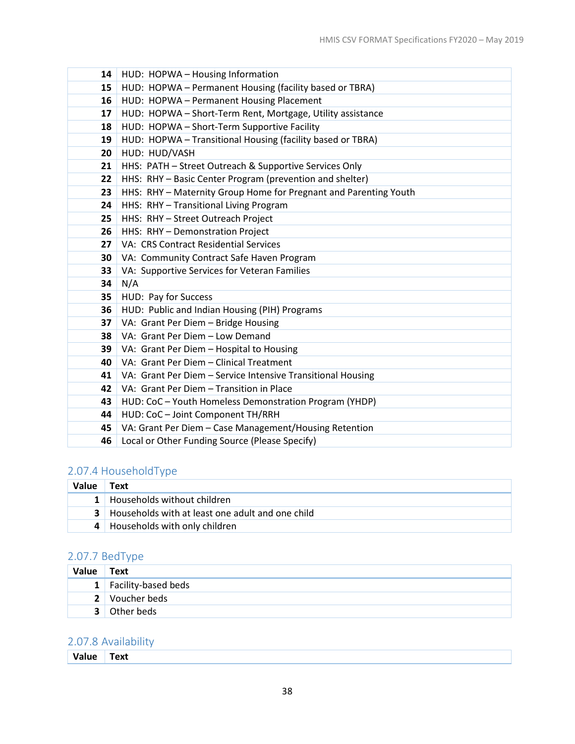| 14 | HUD: HOPWA - Housing Information                                 |
|----|------------------------------------------------------------------|
| 15 | HUD: HOPWA - Permanent Housing (facility based or TBRA)          |
| 16 | HUD: HOPWA - Permanent Housing Placement                         |
| 17 | HUD: HOPWA - Short-Term Rent, Mortgage, Utility assistance       |
| 18 | HUD: HOPWA - Short-Term Supportive Facility                      |
| 19 | HUD: HOPWA - Transitional Housing (facility based or TBRA)       |
| 20 | HUD: HUD/VASH                                                    |
| 21 | HHS: PATH - Street Outreach & Supportive Services Only           |
| 22 | HHS: RHY - Basic Center Program (prevention and shelter)         |
| 23 | HHS: RHY - Maternity Group Home for Pregnant and Parenting Youth |
| 24 | HHS: RHY - Transitional Living Program                           |
| 25 | HHS: RHY - Street Outreach Project                               |
| 26 | HHS: RHY - Demonstration Project                                 |
| 27 | VA: CRS Contract Residential Services                            |
| 30 | VA: Community Contract Safe Haven Program                        |
| 33 | VA: Supportive Services for Veteran Families                     |
| 34 | N/A                                                              |
| 35 | HUD: Pay for Success                                             |
| 36 | HUD: Public and Indian Housing (PIH) Programs                    |
| 37 | VA: Grant Per Diem - Bridge Housing                              |
| 38 | VA: Grant Per Diem - Low Demand                                  |
| 39 | VA: Grant Per Diem - Hospital to Housing                         |
| 40 | VA: Grant Per Diem - Clinical Treatment                          |
| 41 | VA: Grant Per Diem - Service Intensive Transitional Housing      |
| 42 | VA: Grant Per Diem - Transition in Place                         |
| 43 | HUD: CoC - Youth Homeless Demonstration Program (YHDP)           |
| 44 | HUD: CoC - Joint Component TH/RRH                                |
| 45 | VA: Grant Per Diem - Case Management/Housing Retention           |
| 46 | Local or Other Funding Source (Please Specify)                   |

# <span id="page-41-0"></span>2.07.4 HouseholdType

| <b>Value</b> | Text                                                 |
|--------------|------------------------------------------------------|
|              | 1 Households without children                        |
|              | 3   Households with at least one adult and one child |
|              | 4 Households with only children                      |

# <span id="page-41-2"></span>2.07.7 BedType

| Value Text |                       |
|------------|-----------------------|
|            | 1 Facility-based beds |
|            | 2 Voucher beds        |
| ર          | Other beds            |

# <span id="page-41-1"></span>2.07.8 Availability

**Value Text**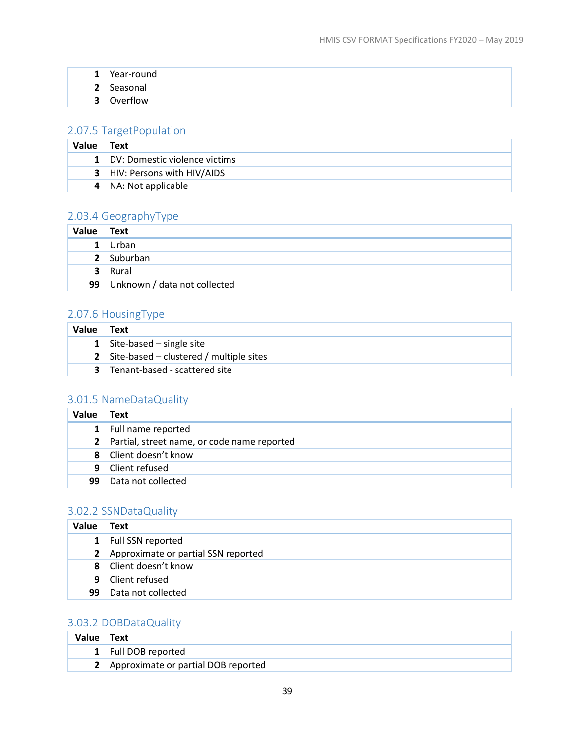| $\overline{ }$ | Year-round      |
|----------------|-----------------|
| -<br>-         | Seasonal        |
| ◠<br>-         | <b>Dverflow</b> |

# <span id="page-42-1"></span>2.07.5 TargetPopulation

| Value | Text                            |
|-------|---------------------------------|
|       | 1 DV: Domestic violence victims |
|       | 3   HIV: Persons with HIV/AIDS  |
|       | NA: Not applicable              |

# <span id="page-42-0"></span>2.03.4 GeographyType

| Value Text     |                                   |
|----------------|-----------------------------------|
| 1 <sup>1</sup> | Urban                             |
|                | 2 Suburban                        |
|                | 3 Rural                           |
|                | 99   Unknown / data not collected |

## <span id="page-42-2"></span>2.07.6 HousingType

| <b>Value</b> | Text                                             |
|--------------|--------------------------------------------------|
|              | <b>1</b> Site-based – single site                |
|              | <b>2</b> Site-based – clustered / multiple sites |
|              | 3 Tenant-based - scattered site                  |

# <span id="page-42-3"></span>3.01.5 NameDataQuality

| Value        | Text                                          |
|--------------|-----------------------------------------------|
|              | 1 Full name reported                          |
|              | 2 Partial, street name, or code name reported |
|              | 8 Client doesn't know                         |
| $\mathsf{q}$ | Client refused                                |
| 99           | Data not collected                            |

# <span id="page-42-4"></span>3.02.2 SSNDataQuality

| Value          | <b>Text</b>                           |
|----------------|---------------------------------------|
| 1 <sup>1</sup> | Full SSN reported                     |
|                | 2 Approximate or partial SSN reported |
| $\mathbf{8}$   | Client doesn't know                   |
| 9              | Client refused                        |
| 99             | Data not collected                    |

# <span id="page-42-5"></span>3.03.2 DOBDataQuality

| Value | Text                                    |
|-------|-----------------------------------------|
|       | 1 Full DOB reported                     |
|       | 2   Approximate or partial DOB reported |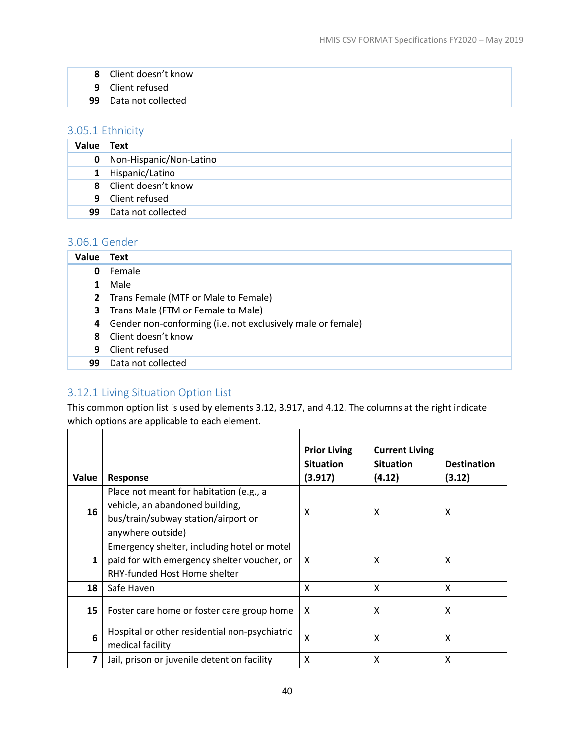| 8  | Client doesn't know |
|----|---------------------|
| q  | Client refused      |
| 99 | Data not collected  |

# <span id="page-43-0"></span>3.05.1 Ethnicity

| Value        | Text                    |
|--------------|-------------------------|
| 0            | Non-Hispanic/Non-Latino |
| $\mathbf{1}$ | Hispanic/Latino         |
|              | 8 Client doesn't know   |
| 9            | Client refused          |
| 99           | Data not collected      |

#### <span id="page-43-1"></span>3.06.1 Gender

| Value          | Text                                                        |
|----------------|-------------------------------------------------------------|
| 0              | Female                                                      |
|                | Male                                                        |
| 2 <sup>1</sup> | Trans Female (MTF or Male to Female)                        |
| 3              | Trans Male (FTM or Female to Male)                          |
| 4              | Gender non-conforming (i.e. not exclusively male or female) |
| 8              | Client doesn't know                                         |
| 9              | Client refused                                              |
| 99             | Data not collected                                          |

## <span id="page-43-2"></span>3.12.1 Living Situation Option List

This common option list is used by elements 3.12, 3.917, and 4.12. The columns at the right indicate which options are applicable to each element.

| Value        | Response                                                                                                                               | <b>Prior Living</b><br><b>Situation</b><br>(3.917) | <b>Current Living</b><br><b>Situation</b><br>(4.12) | <b>Destination</b><br>(3.12) |
|--------------|----------------------------------------------------------------------------------------------------------------------------------------|----------------------------------------------------|-----------------------------------------------------|------------------------------|
| 16           | Place not meant for habitation (e.g., a<br>vehicle, an abandoned building,<br>bus/train/subway station/airport or<br>anywhere outside) | x                                                  | X                                                   | X                            |
| $\mathbf{1}$ | Emergency shelter, including hotel or motel<br>paid for with emergency shelter voucher, or<br>RHY-funded Host Home shelter             | X                                                  | X                                                   | X                            |
| 18           | Safe Haven                                                                                                                             | X                                                  | X                                                   | X                            |
| 15           | Foster care home or foster care group home                                                                                             | X                                                  | X                                                   | X                            |
| 6            | Hospital or other residential non-psychiatric<br>medical facility                                                                      | X                                                  | X                                                   | X                            |
| 7            | Jail, prison or juvenile detention facility                                                                                            | X                                                  | X                                                   | X                            |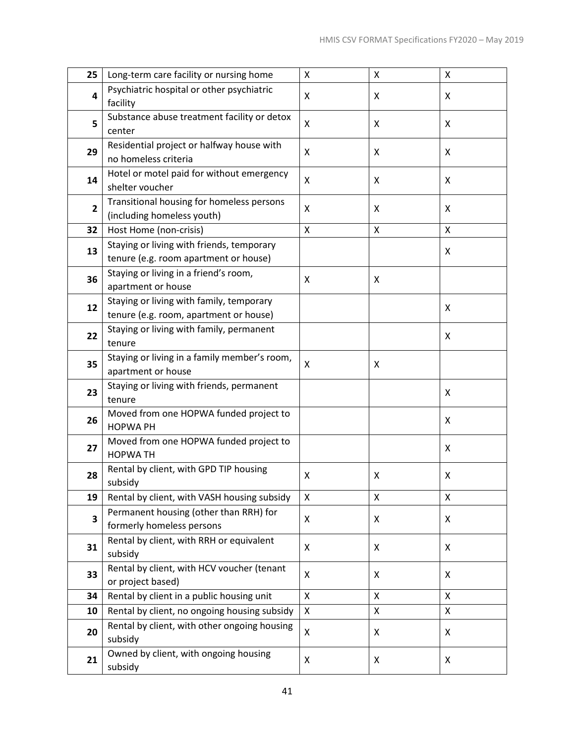| 25             | Long-term care facility or nursing home                           | Χ                  | Χ                  | X                  |
|----------------|-------------------------------------------------------------------|--------------------|--------------------|--------------------|
| 4              | Psychiatric hospital or other psychiatric                         | X                  | X                  | X                  |
|                | facility                                                          |                    |                    |                    |
| 5              | Substance abuse treatment facility or detox                       | X                  | Χ                  | X                  |
|                | center                                                            |                    |                    |                    |
| 29             | Residential project or halfway house with<br>no homeless criteria | X                  | Χ                  | X                  |
|                | Hotel or motel paid for without emergency                         |                    |                    |                    |
| 14             | shelter voucher                                                   | X                  | X                  | X                  |
|                | Transitional housing for homeless persons                         |                    |                    |                    |
| $\overline{2}$ | (including homeless youth)                                        | X                  | Χ                  | X                  |
| 32             | Host Home (non-crisis)                                            | X                  | X                  | X                  |
|                | Staying or living with friends, temporary                         |                    |                    |                    |
| 13             | tenure (e.g. room apartment or house)                             |                    |                    | X                  |
| 36             | Staying or living in a friend's room,                             | X                  | X                  |                    |
|                | apartment or house                                                |                    |                    |                    |
| 12             | Staying or living with family, temporary                          |                    |                    | X                  |
|                | tenure (e.g. room, apartment or house)                            |                    |                    |                    |
| 22             | Staying or living with family, permanent                          |                    |                    | X                  |
|                | tenure                                                            |                    |                    |                    |
| 35             | Staying or living in a family member's room,                      | X                  | X                  |                    |
|                | apartment or house<br>Staying or living with friends, permanent   |                    |                    |                    |
| 23             | tenure                                                            |                    |                    | X                  |
|                | Moved from one HOPWA funded project to                            |                    |                    |                    |
| 26             | <b>HOPWA PH</b>                                                   |                    |                    | X                  |
| 27             | Moved from one HOPWA funded project to                            |                    |                    | X                  |
|                | <b>HOPWATH</b>                                                    |                    |                    |                    |
| 28             | Rental by client, with GPD TIP housing                            | X                  | X                  | Χ                  |
|                | subsidy                                                           |                    |                    |                    |
| 19             | Rental by client, with VASH housing subsidy                       | $\pmb{\mathsf{X}}$ | $\pmb{\mathsf{X}}$ | $\pmb{\mathsf{X}}$ |
| 3              | Permanent housing (other than RRH) for                            | X                  | X                  | X                  |
|                | formerly homeless persons                                         |                    |                    |                    |
| 31             | Rental by client, with RRH or equivalent<br>subsidy               | X                  | X                  | X                  |
|                | Rental by client, with HCV voucher (tenant                        |                    |                    |                    |
| 33             | or project based)                                                 | X                  | X                  | X                  |
| 34             | Rental by client in a public housing unit                         | X                  | $\pmb{\mathsf{X}}$ | X                  |
| 10             | Rental by client, no ongoing housing subsidy                      | X                  | X                  | X                  |
|                | Rental by client, with other ongoing housing                      |                    |                    |                    |
| 20             | subsidy                                                           | X                  | X                  | X                  |
| 21             | Owned by client, with ongoing housing                             | X                  | X                  | X                  |
|                | subsidy                                                           |                    |                    |                    |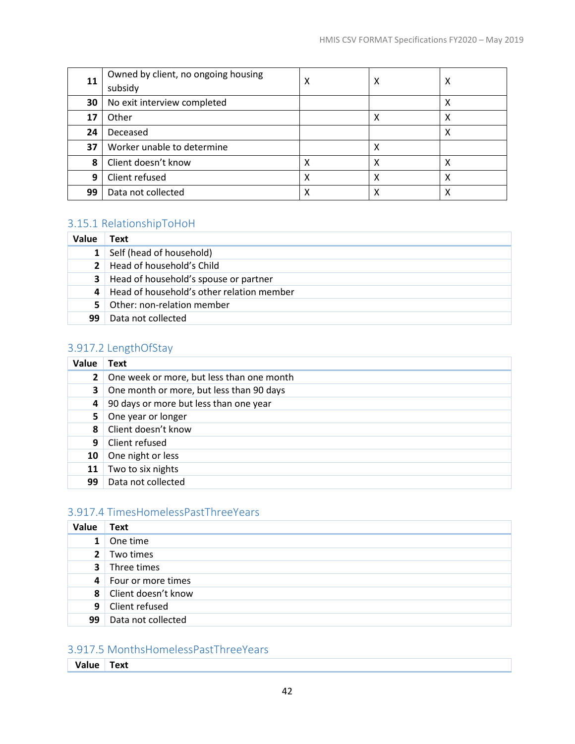| 11 | Owned by client, no ongoing housing<br>subsidy | х | Χ | х |
|----|------------------------------------------------|---|---|---|
| 30 | No exit interview completed                    |   |   | х |
| 17 | Other                                          |   | х | Χ |
| 24 | Deceased                                       |   |   | х |
| 37 | Worker unable to determine                     |   | Χ |   |
| 8  | Client doesn't know                            | χ | х | χ |
| 9  | Client refused                                 | χ | Χ | χ |
| 99 | Data not collected                             | Χ | х | х |

# <span id="page-45-0"></span>3.15.1 RelationshipToHoH

| Value          | Text                                      |
|----------------|-------------------------------------------|
|                | Self (head of household)                  |
| 2 <sup>1</sup> | Head of household's Child                 |
| 3.             | Head of household's spouse or partner     |
| 4              | Head of household's other relation member |
| 5.             | Other: non-relation member                |
| 99             | Data not collected                        |

# <span id="page-45-1"></span>3.917.2 LengthOfStay

| Value        | Text                                      |
|--------------|-------------------------------------------|
| $\mathbf{2}$ | One week or more, but less than one month |
| 3            | One month or more, but less than 90 days  |
| 4            | 90 days or more but less than one year    |
| 5.           | One year or longer                        |
| 8            | Client doesn't know                       |
| 9            | Client refused                            |
| 10           | One night or less                         |
| 11           | Two to six nights                         |
| 99           | Data not collected                        |

# <span id="page-45-2"></span>3.917.4 TimesHomelessPastThreeYears

| Value          | <b>Text</b>          |
|----------------|----------------------|
| $\mathbf{1}$   | One time             |
| 2 <sup>1</sup> | Two times            |
| 3 <sup>1</sup> | Three times          |
|                | 4 Four or more times |
| 8              | Client doesn't know  |
| 9 <sup>1</sup> | Client refused       |
| 99             | Data not collected   |

# <span id="page-45-3"></span>3.917.5 MonthsHomelessPastThreeYears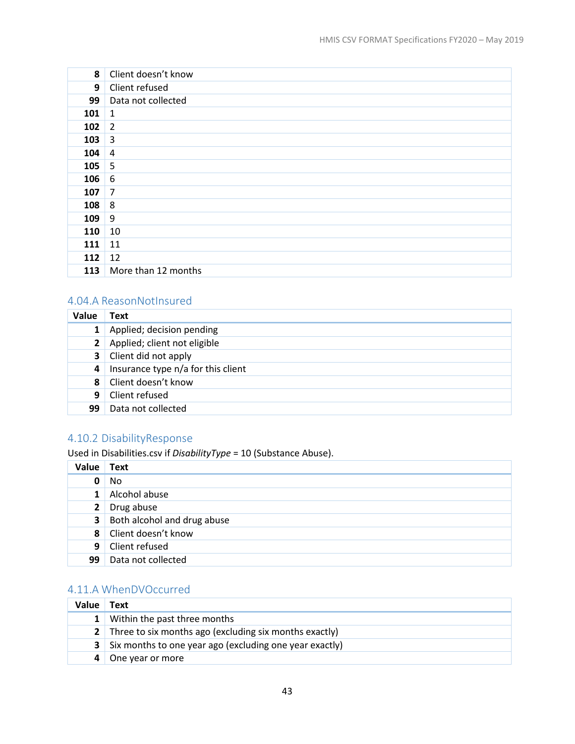| 8   | Client doesn't know |
|-----|---------------------|
| 9   | Client refused      |
| 99  | Data not collected  |
| 101 | 1                   |
| 102 | $\overline{2}$      |
| 103 | $\overline{3}$      |
| 104 | $\overline{4}$      |
| 105 | 5                   |
| 106 | 6                   |
| 107 | $\overline{7}$      |
| 108 | 8                   |
| 109 | 9                   |
| 110 | 10                  |
| 111 | 11                  |
| 112 | 12                  |
| 113 | More than 12 months |

#### <span id="page-46-0"></span>4.04.A ReasonNotInsured

| Value        | <b>Text</b>                        |
|--------------|------------------------------------|
|              | Applied; decision pending          |
| $\mathbf{2}$ | Applied; client not eligible       |
|              | <b>3</b> Client did not apply      |
| 4            | Insurance type n/a for this client |
| 8            | Client doesn't know                |
| -9           | Client refused                     |
| 99           | Data not collected                 |

# <span id="page-46-2"></span>4.10.2 DisabilityResponse

Used in Disabilities.csv if *DisabilityType* = 10 (Substance Abuse).

| Value          | <b>Text</b>                 |
|----------------|-----------------------------|
| 0              | No                          |
| 1 <sup>1</sup> | Alcohol abuse               |
| $2^{\circ}$    | Drug abuse                  |
| $\mathbf{3}$   | Both alcohol and drug abuse |
|                | 8 Client doesn't know       |
| 9              | Client refused              |
| 99             | Data not collected          |

# <span id="page-46-1"></span>4.11.A WhenDVOccurred

| Value          | Text                                                            |
|----------------|-----------------------------------------------------------------|
|                | <b>1</b> Within the past three months                           |
|                | <b>2</b> Three to six months ago (excluding six months exactly) |
| 3 <sup>1</sup> | Six months to one year ago (excluding one year exactly)         |
|                | One year or more                                                |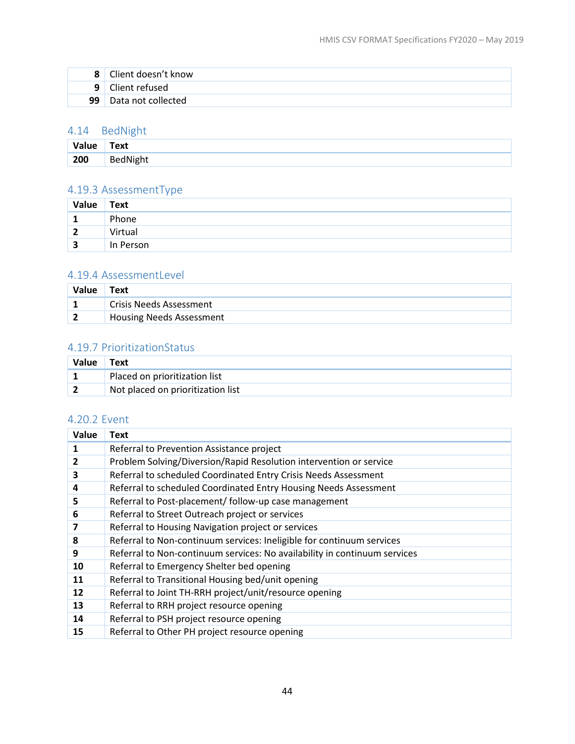|                | Client doesn't know |
|----------------|---------------------|
| 9 <sup>1</sup> | Client refused      |
| 99.            | Data not collected  |

## <span id="page-47-0"></span>4.14 BedNight

| Value | Text     |
|-------|----------|
| 200   | BedNight |

# <span id="page-47-1"></span>4.19.3 AssessmentType

| Value | <b>Text</b> |
|-------|-------------|
|       | Phone       |
| 2     | Virtual     |
| 3     | In Person   |

## <span id="page-47-2"></span>4.19.4 AssessmentLevel

| Value | Text                            |
|-------|---------------------------------|
|       | <b>Crisis Needs Assessment</b>  |
|       | <b>Housing Needs Assessment</b> |

# <span id="page-47-3"></span>4.19.7 PrioritizationStatus

| Value | Text                              |
|-------|-----------------------------------|
|       | Placed on prioritization list     |
|       | Not placed on prioritization list |

# <span id="page-47-4"></span>4.20.2 Event

| Value | <b>Text</b>                                                               |
|-------|---------------------------------------------------------------------------|
| 1     | Referral to Prevention Assistance project                                 |
| 2     | Problem Solving/Diversion/Rapid Resolution intervention or service        |
| 3     | Referral to scheduled Coordinated Entry Crisis Needs Assessment           |
| 4     | Referral to scheduled Coordinated Entry Housing Needs Assessment          |
| 5     | Referral to Post-placement/ follow-up case management                     |
| 6     | Referral to Street Outreach project or services                           |
| 7     | Referral to Housing Navigation project or services                        |
| 8     | Referral to Non-continuum services: Ineligible for continuum services     |
| 9     | Referral to Non-continuum services: No availability in continuum services |
| 10    | Referral to Emergency Shelter bed opening                                 |
| 11    | Referral to Transitional Housing bed/unit opening                         |
| 12    | Referral to Joint TH-RRH project/unit/resource opening                    |
| 13    | Referral to RRH project resource opening                                  |
| 14    | Referral to PSH project resource opening                                  |
| 15    | Referral to Other PH project resource opening                             |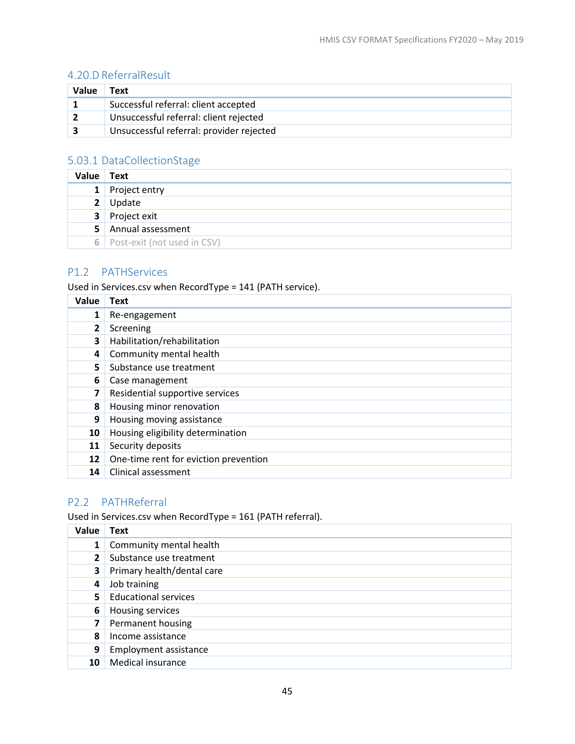# <span id="page-48-4"></span>4.20.D ReferralResult

| Value | Text                                     |
|-------|------------------------------------------|
|       | Successful referral: client accepted     |
|       | Unsuccessful referral: client rejected   |
|       | Unsuccessful referral: provider rejected |

# <span id="page-48-1"></span>5.03.1 DataCollectionStage

| Value          | Text                            |
|----------------|---------------------------------|
| $\mathbf{1}$   | Project entry                   |
| 2 <sup>1</sup> | Update                          |
|                | 3 Project exit                  |
| 5              | Annual assessment               |
|                | 6   Post-exit (not used in CSV) |

#### <span id="page-48-2"></span><span id="page-48-0"></span>P1.2 PATHServices

Used in Services.csv when RecordType = 141 (PATH service).

| Value        | <b>Text</b>                           |
|--------------|---------------------------------------|
| 1            | Re-engagement                         |
| $\mathbf{2}$ | Screening                             |
| 3            | Habilitation/rehabilitation           |
| 4            | Community mental health               |
| 5.           | Substance use treatment               |
| 6            | Case management                       |
| 7            | Residential supportive services       |
| 8            | Housing minor renovation              |
| 9            | Housing moving assistance             |
| 10           | Housing eligibility determination     |
| 11           | Security deposits                     |
| 12           | One-time rent for eviction prevention |
| 14           | Clinical assessment                   |

# <span id="page-48-3"></span>P2.2 PATHReferral

Used in Services.csv when RecordType = 161 (PATH referral).

| Value        | Text                         |
|--------------|------------------------------|
| $\mathbf{1}$ | Community mental health      |
| $\mathbf{2}$ | Substance use treatment      |
| 3            | Primary health/dental care   |
| 4            | Job training                 |
| 5.           | <b>Educational services</b>  |
| 6            | Housing services             |
| 7            | Permanent housing            |
| 8            | Income assistance            |
| 9            | <b>Employment assistance</b> |
| 10           | Medical insurance            |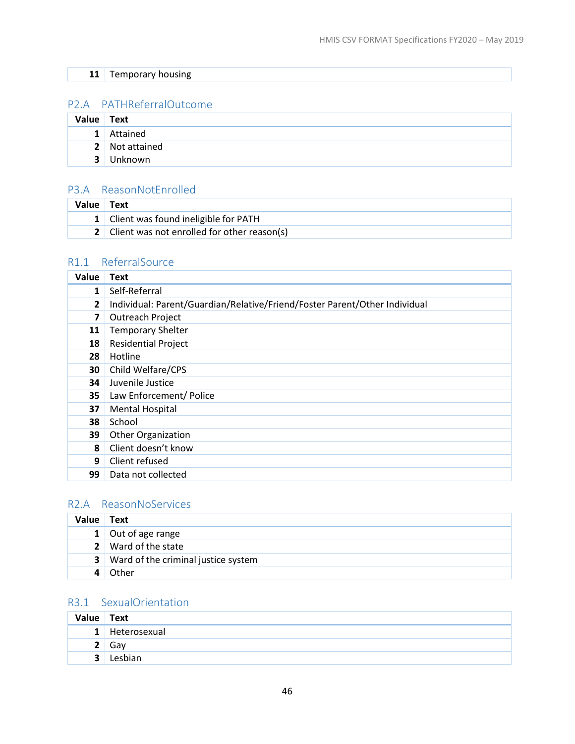| -4<br><b>TT</b> |  |  |  |
|-----------------|--|--|--|

# <span id="page-49-4"></span>P2.A PATHReferralOutcome

| <b>Value</b>   | <b>Text</b>    |
|----------------|----------------|
| 1 <sup>1</sup> | Attained       |
|                | 2 Not attained |
| 3              | Unknown        |

#### <span id="page-49-0"></span>P3.A ReasonNotEnrolled

| Value Text |                                               |
|------------|-----------------------------------------------|
|            | 1 Client was found ineligible for PATH        |
|            | 2 Client was not enrolled for other reason(s) |

# <span id="page-49-3"></span>R1.1 ReferralSource

| Value          | <b>Text</b>                                                                |
|----------------|----------------------------------------------------------------------------|
| $\mathbf{1}$   | Self-Referral                                                              |
| $\overline{2}$ | Individual: Parent/Guardian/Relative/Friend/Foster Parent/Other Individual |
| 7              | Outreach Project                                                           |
| 11             | <b>Temporary Shelter</b>                                                   |
| 18             | <b>Residential Project</b>                                                 |
| 28             | Hotline                                                                    |
| 30             | Child Welfare/CPS                                                          |
| 34             | Juvenile Justice                                                           |
| 35             | Law Enforcement/ Police                                                    |
| 37             | <b>Mental Hospital</b>                                                     |
| 38             | School                                                                     |
| 39             | Other Organization                                                         |
| 8              | Client doesn't know                                                        |
| 9              | Client refused                                                             |
| 99             | Data not collected                                                         |

# <span id="page-49-1"></span>R2.A ReasonNoServices

| <b>Value</b> | Text                                         |
|--------------|----------------------------------------------|
|              | 1 Out of age range                           |
|              | 2 Ward of the state                          |
|              | <b>3</b> Ward of the criminal justice system |
|              | Other                                        |

# <span id="page-49-2"></span>R3.1 SexualOrientation

| Value Text   |              |
|--------------|--------------|
| $\mathbf{1}$ | Heterosexual |
|              | Gav          |
| ∍            | Lesbian      |
|              |              |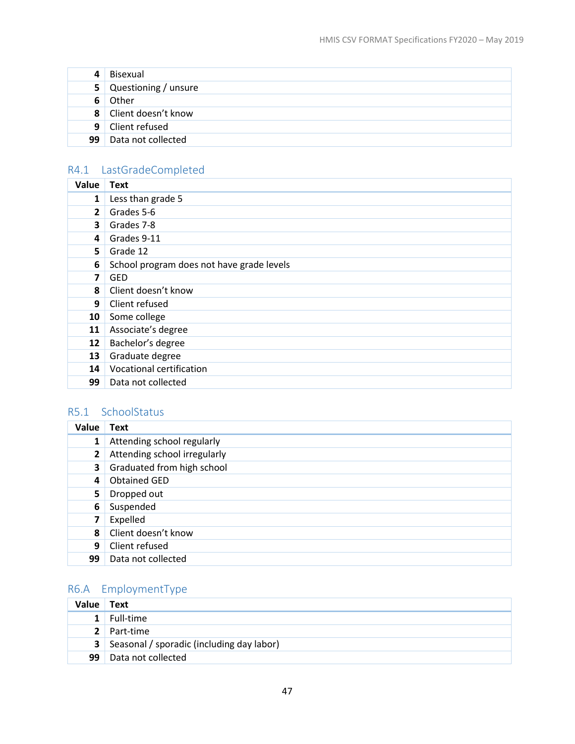| 4  | Bisexual               |
|----|------------------------|
|    | 5 Questioning / unsure |
| 61 | Other                  |
|    | 8 Client doesn't know  |
|    | 9 Client refused       |
| 99 | Data not collected     |

# <span id="page-50-0"></span>R4.1 LastGradeCompleted

| Value        | <b>Text</b>                               |
|--------------|-------------------------------------------|
| 1            | Less than grade 5                         |
| $\mathbf{2}$ | Grades 5-6                                |
| 3            | Grades 7-8                                |
| 4            | Grades 9-11                               |
| 5            | Grade 12                                  |
| 6            | School program does not have grade levels |
| 7            | <b>GED</b>                                |
| 8            | Client doesn't know                       |
| 9            | Client refused                            |
| 10           | Some college                              |
| 11           | Associate's degree                        |
| 12           | Bachelor's degree                         |
| 13           | Graduate degree                           |
| 14           | Vocational certification                  |
| 99           | Data not collected                        |

# <span id="page-50-1"></span>R5.1 SchoolStatus

| Value          | <b>Text</b>                  |
|----------------|------------------------------|
| $\mathbf{1}$   | Attending school regularly   |
| $\mathbf{2}$   | Attending school irregularly |
| 3              | Graduated from high school   |
| $\overline{a}$ | <b>Obtained GED</b>          |
| 5.             | Dropped out                  |
| 6              | Suspended                    |
| 7              | Expelled                     |
| 8              | Client doesn't know          |
| 9              | Client refused               |
| 99             | Data not collected           |

# <span id="page-50-2"></span>R6.A EmploymentType

| Value Text |                                                    |
|------------|----------------------------------------------------|
|            | $1$ Full-time                                      |
|            | 2 Part-time                                        |
|            | <b>3</b> Seasonal / sporadic (including day labor) |
| 99         | Data not collected                                 |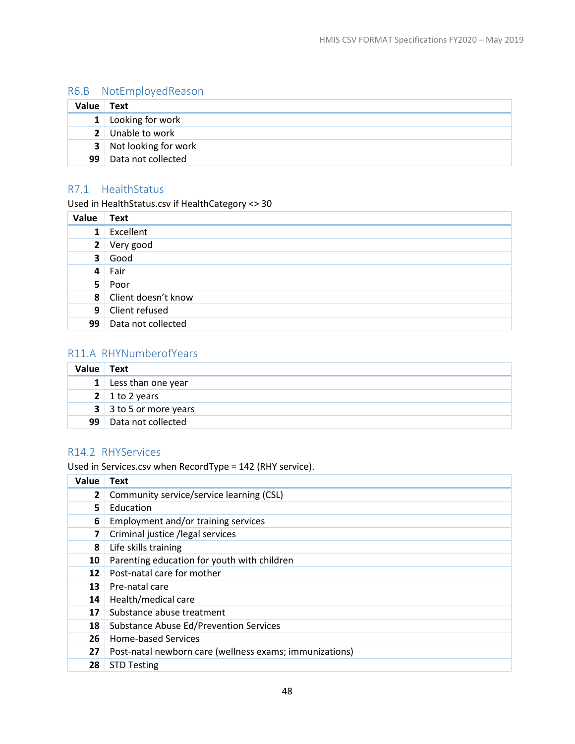# <span id="page-51-2"></span>R6.B NotEmployedReason

| Value Text      |                        |
|-----------------|------------------------|
|                 | 1 Looking for work     |
|                 | 2 Unable to work       |
|                 | 3 Not looking for work |
| 99 <sup>1</sup> | Data not collected     |

# <span id="page-51-1"></span>R7.1 HealthStatus

Used in HealthStatus.csv if HealthCategory <> 30

| Value          | <b>Text</b>           |
|----------------|-----------------------|
| $\mathbf{1}$   | Excellent             |
|                | 2 Very good           |
| 3 <sup>1</sup> | Good                  |
|                | $4$ Fair              |
|                | 5 Poor                |
|                | 8 Client doesn't know |
|                | 9 Client refused      |
| 99             | Data not collected    |

# <span id="page-51-0"></span>R11.A RHYNumberofYears

| Value        | Text                   |
|--------------|------------------------|
| $\mathbf{1}$ | Less than one year     |
|              | 2 1 to 2 years         |
|              | 3 3 to 5 or more years |
| 99           | Data not collected     |

#### <span id="page-51-3"></span>R14.2 RHYServices

Used in Services.csv when RecordType = 142 (RHY service).

| Value        | Text                                                    |
|--------------|---------------------------------------------------------|
| $\mathbf{2}$ | Community service/service learning (CSL)                |
| 5.           | Education                                               |
| 6            | Employment and/or training services                     |
| 7            | Criminal justice /legal services                        |
| 8            | Life skills training                                    |
| 10           | Parenting education for youth with children             |
| 12           | Post-natal care for mother                              |
| 13           | Pre-natal care                                          |
| 14           | Health/medical care                                     |
| 17           | Substance abuse treatment                               |
| 18           | <b>Substance Abuse Ed/Prevention Services</b>           |
| 26           | <b>Home-based Services</b>                              |
| 27           | Post-natal newborn care (wellness exams; immunizations) |
| 28           | <b>STD Testing</b>                                      |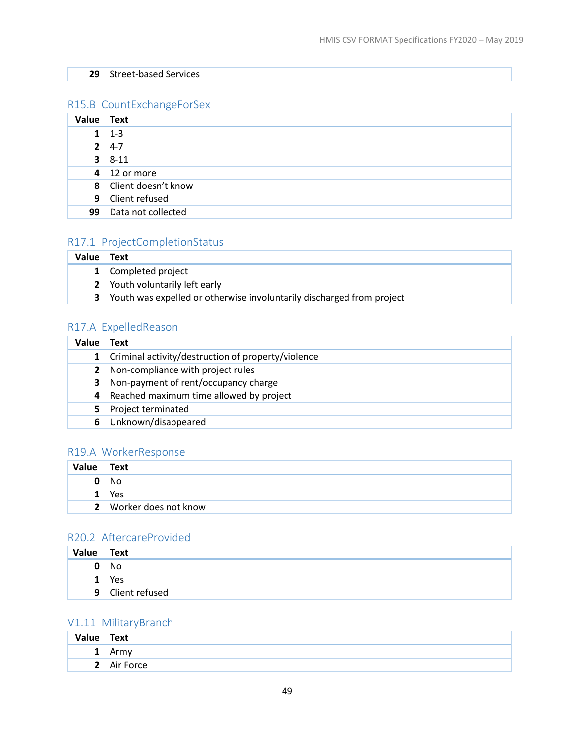## Street-based Services

## <span id="page-52-3"></span>R15.B CountExchangeForSex

| <b>Value</b> | Text                  |
|--------------|-----------------------|
|              | $1 - 3$               |
| $2-1$        | $4 - 7$               |
|              | $3 \mid 8 - 11$       |
|              | $4 \mid 12$ or more   |
|              | 8 Client doesn't know |
|              | 9 Client refused      |
| 99           | Data not collected    |

## <span id="page-52-1"></span>R17.1 ProjectCompletionStatus

| Value | $^{\dagger}$ Text                                                       |
|-------|-------------------------------------------------------------------------|
|       | 1 Completed project                                                     |
|       | 2 Youth voluntarily left early                                          |
|       | 3 Youth was expelled or otherwise involuntarily discharged from project |

# <span id="page-52-2"></span>R17.A ExpelledReason

| Value          | Text                                               |
|----------------|----------------------------------------------------|
| 1 <sup>1</sup> | Criminal activity/destruction of property/violence |
|                | 2 Non-compliance with project rules                |
| 3              | Non-payment of rent/occupancy charge               |
| 4              | Reached maximum time allowed by project            |
|                | Project terminated                                 |
|                | Unknown/disappeared                                |

# <span id="page-52-4"></span>R19.A WorkerResponse

| Value        | Text                 |
|--------------|----------------------|
|              | No                   |
|              | Yes                  |
| $\mathbf{2}$ | Worker does not know |

#### R20.2 AftercareProvided

| Value | <b>Text</b>    |
|-------|----------------|
|       | No             |
| --    | Yes            |
| 9     | Client refused |

# <span id="page-52-0"></span>V1.11 MilitaryBranch

| Value | <b>Text</b> |
|-------|-------------|
|       | 7111        |
| C     | Air Force   |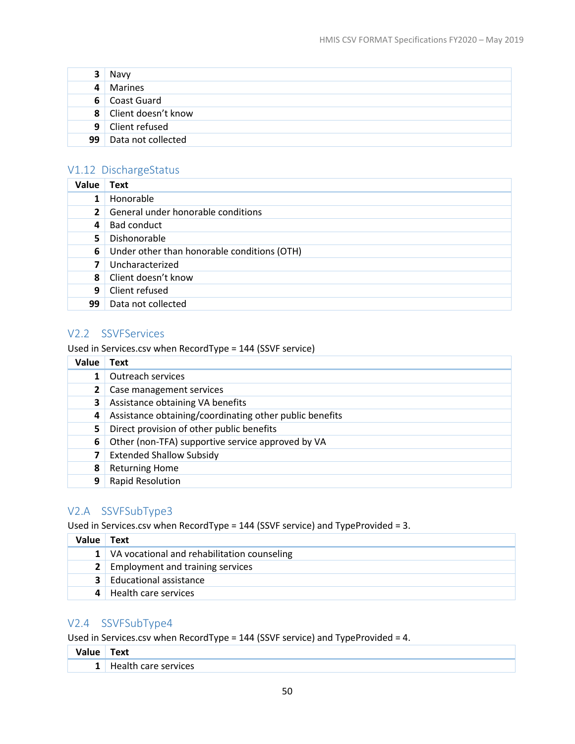| 3              | Navy                  |
|----------------|-----------------------|
| 4 <sup>1</sup> | Marines               |
|                | 6 Coast Guard         |
|                | 8 Client doesn't know |
|                | 9 Client refused      |
| 99             | Data not collected    |

## <span id="page-53-0"></span>V1.12 DischargeStatus

| Value        | <b>Text</b>                                 |
|--------------|---------------------------------------------|
| 1            | Honorable                                   |
| $\mathbf{2}$ | General under honorable conditions          |
| 4            | Bad conduct                                 |
| 5            | Dishonorable                                |
| 6            | Under other than honorable conditions (OTH) |
|              | Uncharacterized                             |
| 8            | Client doesn't know                         |
| 9            | Client refused                              |
| 99           | Data not collected                          |

# <span id="page-53-1"></span>V2.2 SSVFServices

Used in Services.csv when RecordType = 144 (SSVF service)

| Value | Text                                                    |
|-------|---------------------------------------------------------|
|       | Outreach services                                       |
|       | Case management services                                |
| 3     | Assistance obtaining VA benefits                        |
| 4     | Assistance obtaining/coordinating other public benefits |
| 5.    | Direct provision of other public benefits               |
| 6     | Other (non-TFA) supportive service approved by VA       |
|       | <b>Extended Shallow Subsidy</b>                         |
| 8     | <b>Returning Home</b>                                   |
| 9     | <b>Rapid Resolution</b>                                 |

# <span id="page-53-2"></span>V2.A SSVFSubType3

Used in Services.csv when RecordType = 144 (SSVF service) and TypeProvided = 3.

| Value l | Text                                            |
|---------|-------------------------------------------------|
|         | 1   VA vocational and rehabilitation counseling |
|         | <b>2</b> Employment and training services       |
|         | <b>3</b> Educational assistance                 |
|         | Health care services                            |

# <span id="page-53-3"></span>V2.4 SSVFSubType4

Used in Services.csv when RecordType = 144 (SSVF service) and TypeProvided = 4.

| . .<br>. | ext"                 |
|----------|----------------------|
| -        | vices<br>.<br>$\sim$ |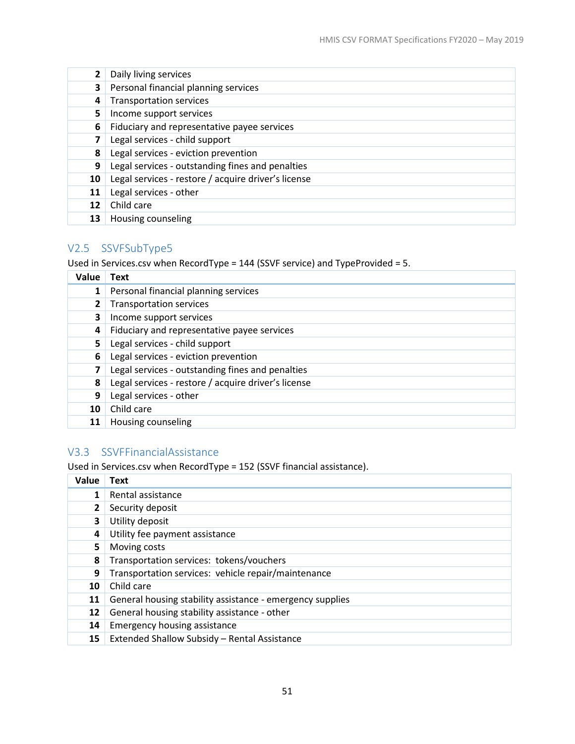|    | Daily living services                               |
|----|-----------------------------------------------------|
| 3  | Personal financial planning services                |
| 4  | <b>Transportation services</b>                      |
| 5  | Income support services                             |
| 6  | Fiduciary and representative payee services         |
|    | Legal services - child support                      |
| 8  | Legal services - eviction prevention                |
| 9  | Legal services - outstanding fines and penalties    |
| 10 | Legal services - restore / acquire driver's license |
| 11 | Legal services - other                              |
| 12 | Child care                                          |
| 13 | Housing counseling                                  |

# <span id="page-54-1"></span>V2.5 SSVFSubType5

Used in Services.csv when RecordType = 144 (SSVF service) and TypeProvided = 5.

| Value | <b>Text</b>                                         |
|-------|-----------------------------------------------------|
|       | Personal financial planning services                |
| 2     | Transportation services                             |
| 3     | Income support services                             |
| 4     | Fiduciary and representative payee services         |
| 5     | Legal services - child support                      |
| 6     | Legal services - eviction prevention                |
| 7     | Legal services - outstanding fines and penalties    |
| 8     | Legal services - restore / acquire driver's license |
| 9     | Legal services - other                              |
| 10    | Child care                                          |
| 11    | Housing counseling                                  |

# <span id="page-54-0"></span>V3.3 SSVFFinancialAssistance

Used in Services.csv when RecordType = 152 (SSVF financial assistance).

| Value | <b>Text</b>                                               |
|-------|-----------------------------------------------------------|
|       | Rental assistance                                         |
|       | Security deposit                                          |
| 3     | Utility deposit                                           |
| 4     | Utility fee payment assistance                            |
| 5.    | Moving costs                                              |
| 8     | Transportation services: tokens/vouchers                  |
| 9     | Transportation services: vehicle repair/maintenance       |
| 10    | Child care                                                |
| 11    | General housing stability assistance - emergency supplies |
| 12    | General housing stability assistance - other              |
| 14    | <b>Emergency housing assistance</b>                       |
| 15    | Extended Shallow Subsidy - Rental Assistance              |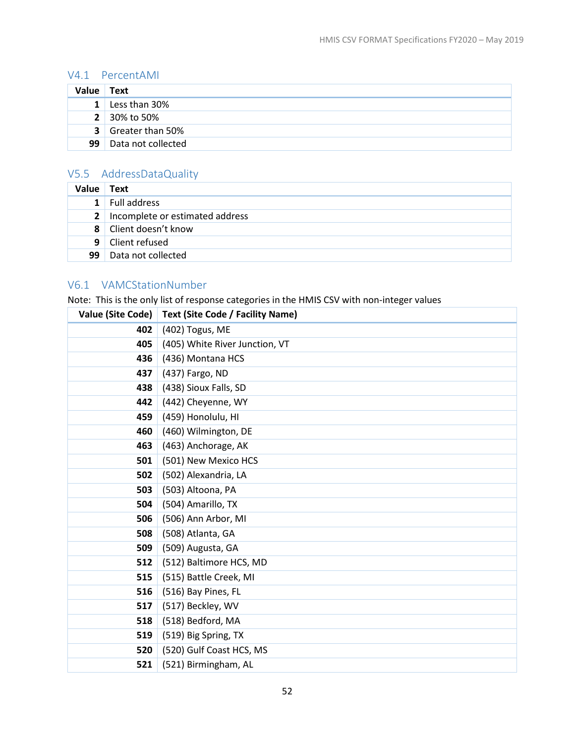## <span id="page-55-0"></span>V4.1 PercentAMI

| Value        | <b>Text</b>               |
|--------------|---------------------------|
| $\mathbf{1}$ | Less than 30%             |
|              | <b>2</b> 30% to 50%       |
|              | <b>3</b> Greater than 50% |
| 99           | Data not collected        |

# <span id="page-55-1"></span>V5.5 AddressDataQuality

| <b>Value</b>   | <b>Text</b>                         |
|----------------|-------------------------------------|
| 1 <sup>1</sup> | Full address                        |
|                | 2   Incomplete or estimated address |
|                | 8 Client doesn't know               |
|                | 9 Client refused                    |
| 99             | Data not collected                  |

#### <span id="page-55-2"></span>V6.1 VAMCStationNumber

Note: This is the only list of response categories in the HMIS CSV with non-integer values

| Value (Site Code) | Text (Site Code / Facility Name) |
|-------------------|----------------------------------|
| 402               | (402) Togus, ME                  |
| 405               | (405) White River Junction, VT   |
| 436               | (436) Montana HCS                |
| 437               | (437) Fargo, ND                  |
| 438               | (438) Sioux Falls, SD            |
| 442               | (442) Cheyenne, WY               |
| 459               | (459) Honolulu, HI               |
| 460               | (460) Wilmington, DE             |
| 463               | (463) Anchorage, AK              |
| 501               | (501) New Mexico HCS             |
| 502               | (502) Alexandria, LA             |
| 503               | (503) Altoona, PA                |
| 504               | (504) Amarillo, TX               |
| 506               | (506) Ann Arbor, MI              |
| 508               | (508) Atlanta, GA                |
| 509               | (509) Augusta, GA                |
| 512               | (512) Baltimore HCS, MD          |
| 515               | (515) Battle Creek, MI           |
| 516               | (516) Bay Pines, FL              |
| 517               | (517) Beckley, WV                |
| 518               | (518) Bedford, MA                |
| 519               | (519) Big Spring, TX             |
| 520               | (520) Gulf Coast HCS, MS         |
| 521               | (521) Birmingham, AL             |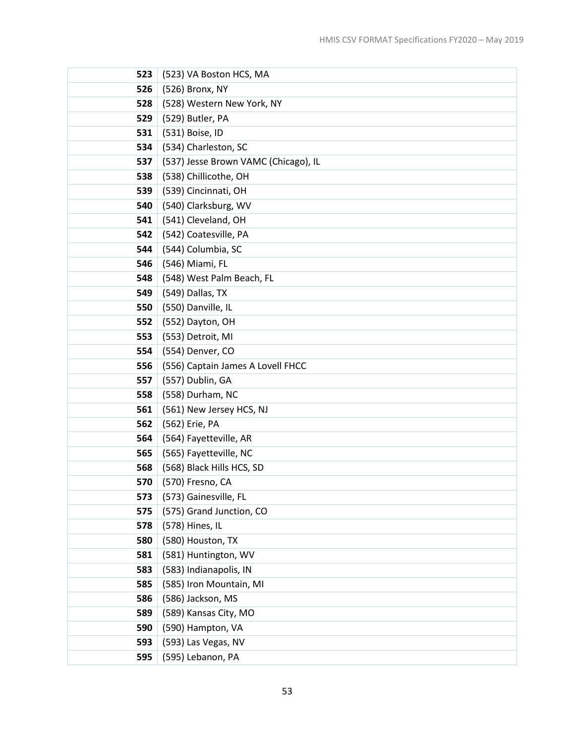| 523 | (523) VA Boston HCS, MA              |
|-----|--------------------------------------|
| 526 | (526) Bronx, NY                      |
| 528 | (528) Western New York, NY           |
| 529 | (529) Butler, PA                     |
| 531 | (531) Boise, ID                      |
| 534 | (534) Charleston, SC                 |
| 537 | (537) Jesse Brown VAMC (Chicago), IL |
| 538 | (538) Chillicothe, OH                |
| 539 | (539) Cincinnati, OH                 |
| 540 | (540) Clarksburg, WV                 |
| 541 | (541) Cleveland, OH                  |
| 542 | (542) Coatesville, PA                |
| 544 | (544) Columbia, SC                   |
| 546 | (546) Miami, FL                      |
| 548 | (548) West Palm Beach, FL            |
| 549 | (549) Dallas, TX                     |
| 550 | (550) Danville, IL                   |
| 552 | (552) Dayton, OH                     |
| 553 | (553) Detroit, MI                    |
| 554 | (554) Denver, CO                     |
| 556 | (556) Captain James A Lovell FHCC    |
| 557 | (557) Dublin, GA                     |
| 558 | (558) Durham, NC                     |
| 561 | (561) New Jersey HCS, NJ             |
| 562 | (562) Erie, PA                       |
| 564 | (564) Fayetteville, AR               |
| 565 | (565) Fayetteville, NC               |
| 568 | (568) Black Hills HCS, SD            |
| 570 | (570) Fresno, CA                     |
| 573 | (573) Gainesville, FL                |
| 575 | (575) Grand Junction, CO             |
| 578 | (578) Hines, IL                      |
| 580 | (580) Houston, TX                    |
| 581 | (581) Huntington, WV                 |
| 583 | (583) Indianapolis, IN               |
| 585 | (585) Iron Mountain, MI              |
| 586 | (586) Jackson, MS                    |
| 589 | (589) Kansas City, MO                |
| 590 | (590) Hampton, VA                    |
| 593 | (593) Las Vegas, NV                  |
| 595 | (595) Lebanon, PA                    |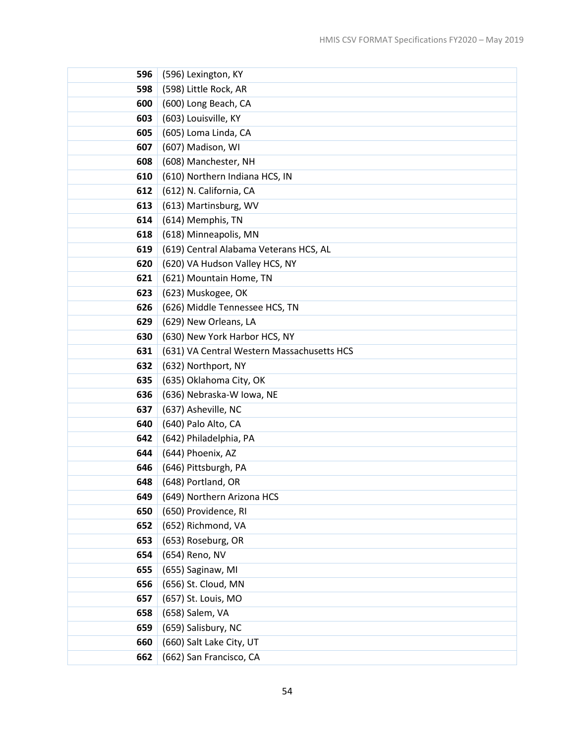| 596 | (596) Lexington, KY                        |
|-----|--------------------------------------------|
| 598 | (598) Little Rock, AR                      |
| 600 | (600) Long Beach, CA                       |
| 603 | (603) Louisville, KY                       |
| 605 | (605) Loma Linda, CA                       |
| 607 | (607) Madison, WI                          |
| 608 | (608) Manchester, NH                       |
| 610 | (610) Northern Indiana HCS, IN             |
| 612 | (612) N. California, CA                    |
| 613 | (613) Martinsburg, WV                      |
| 614 | (614) Memphis, TN                          |
| 618 | (618) Minneapolis, MN                      |
| 619 | (619) Central Alabama Veterans HCS, AL     |
| 620 | (620) VA Hudson Valley HCS, NY             |
| 621 | (621) Mountain Home, TN                    |
| 623 | (623) Muskogee, OK                         |
| 626 | (626) Middle Tennessee HCS, TN             |
| 629 | (629) New Orleans, LA                      |
| 630 | (630) New York Harbor HCS, NY              |
| 631 | (631) VA Central Western Massachusetts HCS |
| 632 | (632) Northport, NY                        |
| 635 | (635) Oklahoma City, OK                    |
| 636 | (636) Nebraska-W Iowa, NE                  |
| 637 | (637) Asheville, NC                        |
| 640 | (640) Palo Alto, CA                        |
| 642 | (642) Philadelphia, PA                     |
| 644 | (644) Phoenix, AZ                          |
| 646 | (646) Pittsburgh, PA                       |
| 648 | (648) Portland, OR                         |
| 649 | (649) Northern Arizona HCS                 |
| 650 | (650) Providence, RI                       |
| 652 | (652) Richmond, VA                         |
| 653 | (653) Roseburg, OR                         |
| 654 | (654) Reno, NV                             |
| 655 | (655) Saginaw, MI                          |
| 656 | (656) St. Cloud, MN                        |
| 657 | (657) St. Louis, MO                        |
| 658 | (658) Salem, VA                            |
| 659 | (659) Salisbury, NC                        |
| 660 | (660) Salt Lake City, UT                   |
| 662 | (662) San Francisco, CA                    |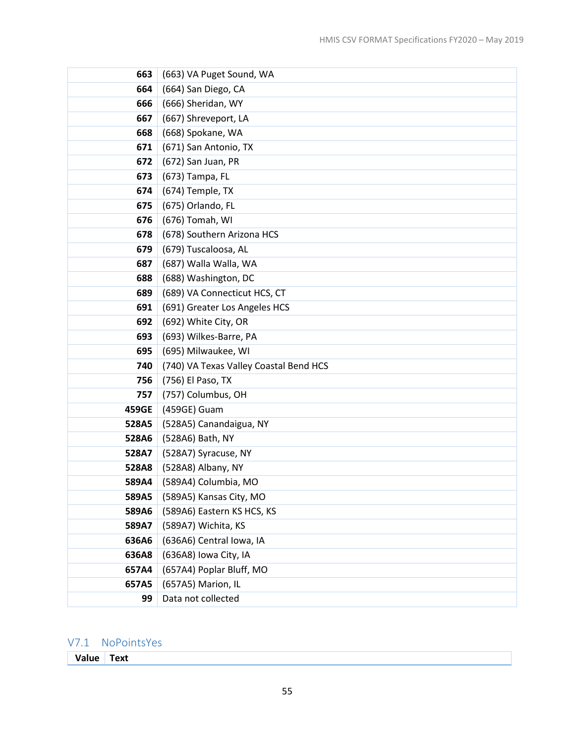| 663   | (663) VA Puget Sound, WA               |
|-------|----------------------------------------|
| 664   | (664) San Diego, CA                    |
| 666   | (666) Sheridan, WY                     |
| 667   | (667) Shreveport, LA                   |
| 668   | (668) Spokane, WA                      |
| 671   | (671) San Antonio, TX                  |
| 672   | (672) San Juan, PR                     |
| 673   | (673) Tampa, FL                        |
| 674   | (674) Temple, TX                       |
| 675   | (675) Orlando, FL                      |
| 676   | (676) Tomah, WI                        |
| 678   | (678) Southern Arizona HCS             |
| 679   | (679) Tuscaloosa, AL                   |
| 687   | (687) Walla Walla, WA                  |
| 688   | (688) Washington, DC                   |
| 689   | (689) VA Connecticut HCS, CT           |
| 691   | (691) Greater Los Angeles HCS          |
| 692   | (692) White City, OR                   |
| 693   | (693) Wilkes-Barre, PA                 |
| 695   | (695) Milwaukee, WI                    |
| 740   | (740) VA Texas Valley Coastal Bend HCS |
| 756   | (756) El Paso, TX                      |
| 757   | (757) Columbus, OH                     |
| 459GE | (459GE) Guam                           |
| 528A5 | (528A5) Canandaigua, NY                |
| 528A6 | (528A6) Bath, NY                       |
| 528A7 | (528A7) Syracuse, NY                   |
| 528A8 | (528A8) Albany, NY                     |
| 589A4 | (589A4) Columbia, MO                   |
| 589A5 | (589A5) Kansas City, MO                |
| 589A6 | (589A6) Eastern KS HCS, KS             |
| 589A7 | (589A7) Wichita, KS                    |
| 636A6 | (636A6) Central Iowa, IA               |
| 636A8 | (636A8) Iowa City, IA                  |
| 657A4 | (657A4) Poplar Bluff, MO               |
| 657A5 | (657A5) Marion, IL                     |
| 99    | Data not collected                     |

# V7.1 NoPointsYes

**Value Text**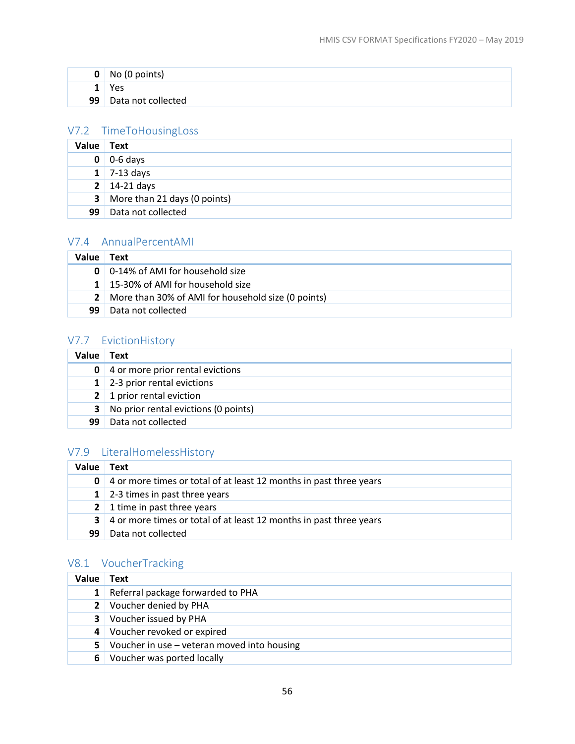| 0  | No (0 points)      |
|----|--------------------|
|    | Yes                |
| 99 | Data not collected |

# <span id="page-59-0"></span>V7.2 TimeToHousingLoss

| Value        | <b>Text</b>                  |
|--------------|------------------------------|
| 0            | $0-6$ days                   |
|              | $1 \mid 7-13 \text{ days}$   |
|              | $2 \mid 14-21 \text{ days}$  |
| $\mathbf{3}$ | More than 21 days (0 points) |
| 99           | Data not collected           |

## <span id="page-59-1"></span>V7.4 AnnualPercentAMI

| Value | Text                                                 |
|-------|------------------------------------------------------|
|       | <b>0</b>   0-14% of AMI for household size           |
|       | 1   15-30% of AMI for household size                 |
|       | 2 More than 30% of AMI for household size (0 points) |
| 99    | Data not collected                                   |

# <span id="page-59-2"></span>V7.7 EvictionHistory

| Value          | Text                                 |
|----------------|--------------------------------------|
| 0              | 4 or more prior rental evictions     |
|                | 1 2-3 prior rental evictions         |
| 2 <sup>1</sup> | 1 prior rental eviction              |
| 3              | No prior rental evictions (0 points) |
| 99             | Data not collected                   |

# <span id="page-59-3"></span>V7.9 LiteralHomelessHistory

| Value | Text                                                               |
|-------|--------------------------------------------------------------------|
| 0     | 4 or more times or total of at least 12 months in past three years |
|       | 1 2-3 times in past three years                                    |
|       | 2 1 time in past three years                                       |
| 3     | 4 or more times or total of at least 12 months in past three years |
| 99    | Data not collected                                                 |

# <span id="page-59-4"></span>V8.1 VoucherTracking

| Value          | <b>Text</b>                                 |
|----------------|---------------------------------------------|
| 1              | Referral package forwarded to PHA           |
|                | 2 Voucher denied by PHA                     |
| 3 <sup>1</sup> | Voucher issued by PHA                       |
| 4              | Voucher revoked or expired                  |
| 5 I            | Voucher in use - veteran moved into housing |
| 6              | Voucher was ported locally                  |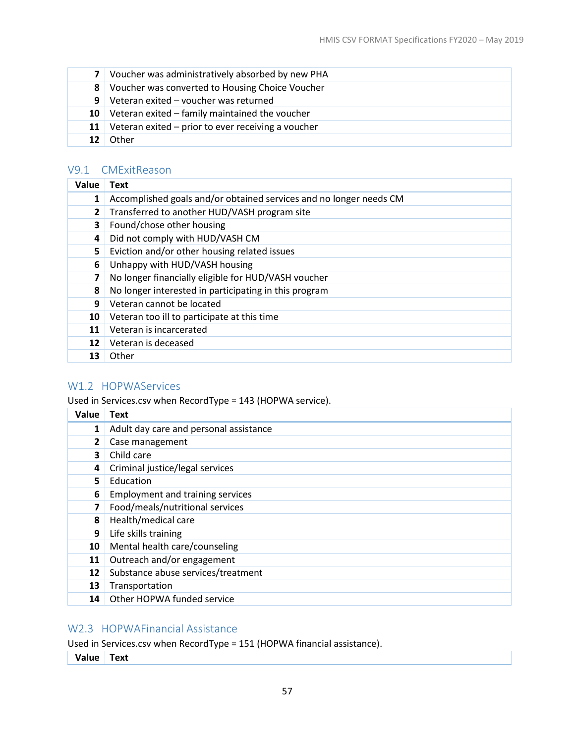|                 | 7 Voucher was administratively absorbed by new PHA    |
|-----------------|-------------------------------------------------------|
|                 | 8 Voucher was converted to Housing Choice Voucher     |
|                 | <b>9</b> Veteran exited – voucher was returned        |
|                 | 10 Veteran exited $-$ family maintained the voucher   |
|                 | 11 Veteran exited – prior to ever receiving a voucher |
| 12 <sup>1</sup> | Other                                                 |

## <span id="page-60-0"></span>V9.1 CMExitReason

| Value        | Text                                                               |
|--------------|--------------------------------------------------------------------|
| 1            | Accomplished goals and/or obtained services and no longer needs CM |
| $\mathbf{2}$ | Transferred to another HUD/VASH program site                       |
| 3            | Found/chose other housing                                          |
| 4            | Did not comply with HUD/VASH CM                                    |
| 5.           | Eviction and/or other housing related issues                       |
| 6            | Unhappy with HUD/VASH housing                                      |
| 7            | No longer financially eligible for HUD/VASH voucher                |
| 8            | No longer interested in participating in this program              |
| 9            | Veteran cannot be located                                          |
| 10           | Veteran too ill to participate at this time                        |
| 11           | Veteran is incarcerated                                            |
| 12           | Veteran is deceased                                                |
| 13           | Other                                                              |

#### <span id="page-60-1"></span>W1.2 HOPWAServices

Used in Services.csv when RecordType = 143 (HOPWA service).

| Value        | Text                                    |
|--------------|-----------------------------------------|
| 1            | Adult day care and personal assistance  |
| $\mathbf{2}$ | Case management                         |
| 3            | Child care                              |
| 4            | Criminal justice/legal services         |
| 5.           | Education                               |
| 6            | <b>Employment and training services</b> |
| 7            | Food/meals/nutritional services         |
| 8            | Health/medical care                     |
| 9            | Life skills training                    |
| 10           | Mental health care/counseling           |
| 11           | Outreach and/or engagement              |
| 12           | Substance abuse services/treatment      |
| 13           | Transportation                          |
| 14           | Other HOPWA funded service              |

# <span id="page-60-2"></span>W2.3 HOPWAFinancial Assistance

Used in Services.csv when RecordType = 151 (HOPWA financial assistance).

**Value Text**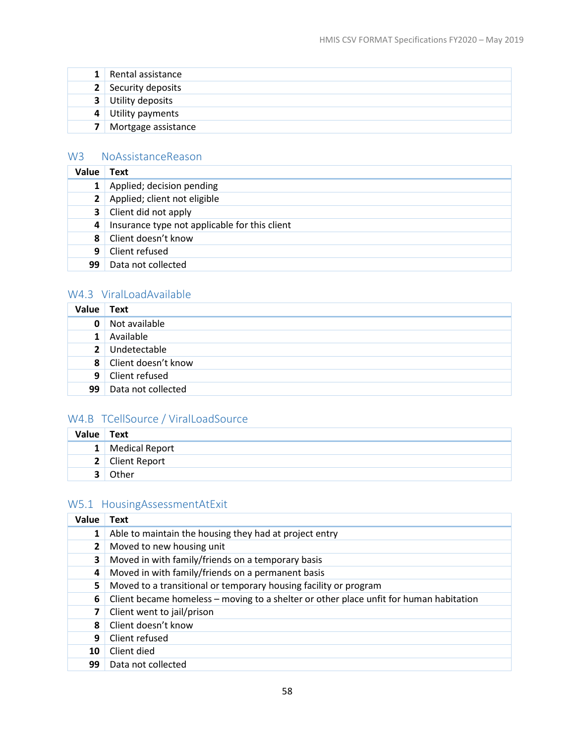|                | 1 Rental assistance |
|----------------|---------------------|
|                | 2 Security deposits |
| 3 <sup>1</sup> | Utility deposits    |
|                | 4 Utility payments  |
|                | Mortgage assistance |

# <span id="page-61-1"></span>W3 NoAssistanceReason

| Value          | Text                                          |
|----------------|-----------------------------------------------|
|                | Applied; decision pending                     |
| 2 <sup>1</sup> | Applied; client not eligible                  |
| 3 <sup>1</sup> | Client did not apply                          |
| 4              | Insurance type not applicable for this client |
| 8              | Client doesn't know                           |
| 9              | Client refused                                |
| 99             | Data not collected                            |

# <span id="page-61-3"></span>W4.3 ViralLoadAvailable

| Value          | Text                |
|----------------|---------------------|
| 0              | Not available       |
| $\mathbf{1}$   | Available           |
| 2 <sup>1</sup> | Undetectable        |
| 8 <sup>1</sup> | Client doesn't know |
| 9              | Client refused      |
| 99             | Data not collected  |

# <span id="page-61-2"></span>W4.B TCellSource / ViralLoadSource

| Value | <b>Text</b>      |
|-------|------------------|
|       | 1 Medical Report |
|       | 2 Client Report  |
|       | Other            |

# <span id="page-61-0"></span>W5.1 HousingAssessmentAtExit

| Value        | Text                                                                                   |  |
|--------------|----------------------------------------------------------------------------------------|--|
| 1            | Able to maintain the housing they had at project entry                                 |  |
| $\mathbf{2}$ | Moved to new housing unit                                                              |  |
| 3            | Moved in with family/friends on a temporary basis                                      |  |
| 4            | Moved in with family/friends on a permanent basis                                      |  |
| 5            | Moved to a transitional or temporary housing facility or program                       |  |
| 6            | Client became homeless - moving to a shelter or other place unfit for human habitation |  |
| 7            | Client went to jail/prison                                                             |  |
| 8            | Client doesn't know                                                                    |  |
| 9            | Client refused                                                                         |  |
| 10           | Client died                                                                            |  |
| 99           | Data not collected                                                                     |  |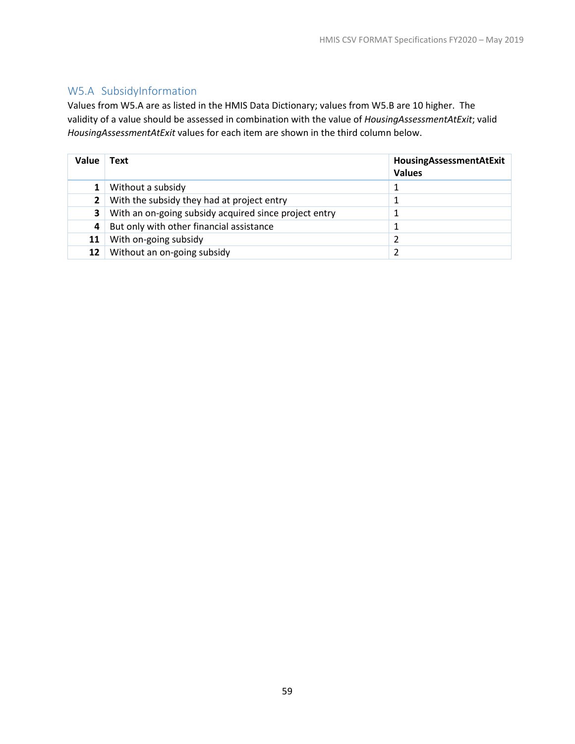# <span id="page-62-0"></span>W5.A SubsidyInformation

Values from W5.A are as listed in the HMIS Data Dictionary; values from W5.B are 10 higher. The validity of a value should be assessed in combination with the value of *HousingAssessmentAtExit*; valid *HousingAssessmentAtExit* values for each item are shown in the third column below.

| Value | <b>Text</b>                                           | HousingAssessmentAtExit<br><b>Values</b> |
|-------|-------------------------------------------------------|------------------------------------------|
|       | Without a subsidy                                     |                                          |
|       | With the subsidy they had at project entry            |                                          |
| 3     | With an on-going subsidy acquired since project entry |                                          |
| 4     | But only with other financial assistance              |                                          |
| 11    | With on-going subsidy                                 |                                          |
| 12    | Without an on-going subsidy                           |                                          |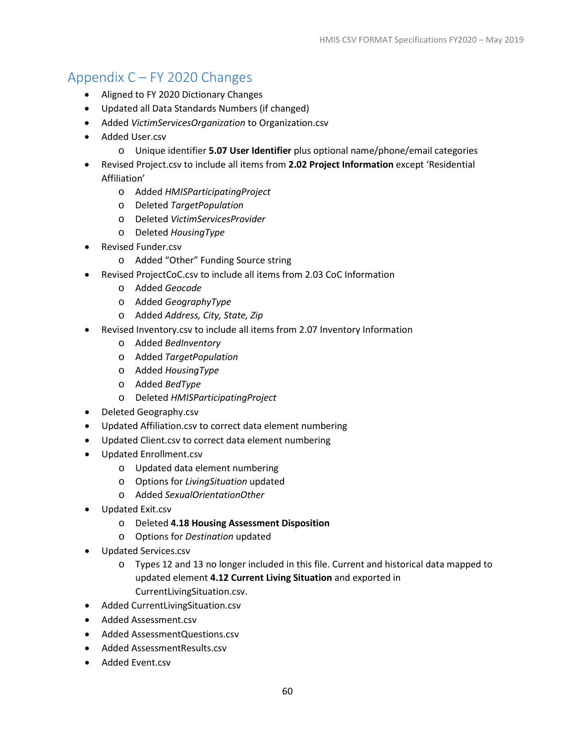# <span id="page-63-0"></span>Appendix C – FY 2020 Changes

- Aligned to FY 2020 Dictionary Changes
- Updated all Data Standards Numbers (if changed)
- Added *VictimServicesOrganization* to Organization.csv
- Added User.csv
	- o Unique identifier **5.07 User Identifier** plus optional name/phone/email categories
- Revised Project.csv to include all items from **2.02 Project Information** except 'Residential Affiliation'
	- o Added *HMISParticipatingProject*
	- o Deleted *TargetPopulation*
	- o Deleted *VictimServicesProvider*
	- o Deleted *HousingType*
- Revised Funder.csv
	- o Added "Other" Funding Source string
- Revised ProjectCoC.csv to include all items from 2.03 CoC Information
	- o Added *Geocode*
	- o Added *GeographyType*
	- o Added *Address, City, State, Zip*
- Revised Inventory.csv to include all items from 2.07 Inventory Information
	- o Added *BedInventory*
	- o Added *TargetPopulation*
	- o Added *HousingType*
	- o Added *BedType*
	- o Deleted *HMISParticipatingProject*
- Deleted Geography.csv
- Updated Affiliation.csv to correct data element numbering
- Updated Client.csv to correct data element numbering
- Updated Enrollment.csv
	- o Updated data element numbering
	- o Options for *LivingSituation* updated
	- o Added *SexualOrientationOther*
- Updated Exit.csv
	- o Deleted **4.18 Housing Assessment Disposition**
	- o Options for *Destination* updated
- Updated Services.csv
	- o Types 12 and 13 no longer included in this file. Current and historical data mapped to updated element **4.12 Current Living Situation** and exported in CurrentLivingSituation.csv.
- Added CurrentLivingSituation.csv
- Added Assessment.csv
- Added AssessmentQuestions.csv
- Added AssessmentResults.csv
- Added Event.csv